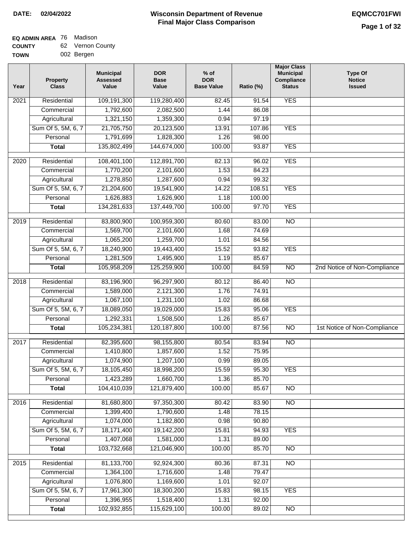<u>and</u> the state of the state of the state of the state of the state of the state of the state of the state of the state of the state of the state of the state of the state of the state of the state of the state of the stat

#### **Wisconsin Department of Revenue Final Major Class Comparison DATE: 02/04/2022 EQMCC701FWI**

#### **EQ ADMIN AREA** 76 Madison **COUNTY** 62 Vernon County

| <b>UUUNII</b> | <u>uz</u> | vuuvu vuu  |
|---------------|-----------|------------|
| TOWN          |           | 002 Bergen |

| Year | Property<br><b>Class</b>       | <b>Municipal</b><br><b>Assessed</b><br>Value | <b>DOR</b><br><b>Base</b><br>Value | $%$ of<br><b>DOR</b><br><b>Base Value</b> | Ratio (%)      | <b>Major Class</b><br><b>Municipal</b><br>Compliance<br><b>Status</b> | <b>Type Of</b><br><b>Notice</b><br><b>Issued</b> |
|------|--------------------------------|----------------------------------------------|------------------------------------|-------------------------------------------|----------------|-----------------------------------------------------------------------|--------------------------------------------------|
| 2021 | Residential                    | 109,191,300                                  | 119,280,400                        | 82.45                                     | 91.54          | <b>YES</b>                                                            |                                                  |
|      | Commercial                     | 1,792,600                                    | 2,082,500                          | 1.44                                      | 86.08          |                                                                       |                                                  |
|      | Agricultural                   | 1,321,150                                    | 1,359,300                          | 0.94                                      | 97.19          |                                                                       |                                                  |
|      | Sum Of 5, 5M, 6, 7             | 21,705,750                                   | 20,123,500                         | 13.91                                     | 107.86         | <b>YES</b>                                                            |                                                  |
|      | Personal                       | 1,791,699                                    | 1,828,300                          | 1.26                                      | 98.00          |                                                                       |                                                  |
|      | <b>Total</b>                   | 135,802,499                                  | 144,674,000                        | 100.00                                    | 93.87          | <b>YES</b>                                                            |                                                  |
| 2020 | Residential                    | 108,401,100                                  | 112,891,700                        | 82.13                                     | 96.02          | <b>YES</b>                                                            |                                                  |
|      | Commercial                     | 1,770,200                                    | 2,101,600                          | 1.53                                      | 84.23          |                                                                       |                                                  |
|      | Agricultural                   | 1,278,850                                    | 1,287,600                          | 0.94                                      | 99.32          |                                                                       |                                                  |
|      | Sum Of 5, 5M, 6, 7             | 21,204,600                                   | 19,541,900                         | 14.22                                     | 108.51         | <b>YES</b>                                                            |                                                  |
|      | Personal                       | 1,626,883                                    | 1,626,900                          | 1.18                                      | 100.00         |                                                                       |                                                  |
|      | <b>Total</b>                   | 134,281,633                                  | 137,449,700                        | 100.00                                    | 97.70          | <b>YES</b>                                                            |                                                  |
|      |                                |                                              |                                    |                                           |                | $\overline{NO}$                                                       |                                                  |
| 2019 | Residential                    | 83,800,900                                   | 100,959,300                        | 80.60                                     | 83.00          |                                                                       |                                                  |
|      | Commercial                     | 1,569,700                                    | 2,101,600                          | 1.68                                      | 74.69          |                                                                       |                                                  |
|      | Agricultural                   | 1,065,200                                    | 1,259,700<br>19,443,400            | 1.01                                      | 84.56          |                                                                       |                                                  |
|      | Sum Of 5, 5M, 6, 7<br>Personal | 18,240,900<br>1,281,509                      |                                    | 15.52                                     | 93.82          | <b>YES</b>                                                            |                                                  |
|      |                                |                                              | 1,495,900                          | 1.19<br>100.00                            | 85.67<br>84.59 | $\overline{NO}$                                                       |                                                  |
|      | <b>Total</b>                   | 105,958,209                                  | 125,259,900                        |                                           |                |                                                                       | 2nd Notice of Non-Compliance                     |
| 2018 | Residential                    | 83,196,900                                   | 96,297,900                         | 80.12                                     | 86.40          | $\overline{NO}$                                                       |                                                  |
|      | Commercial                     | 1,589,000                                    | 2,121,300                          | 1.76                                      | 74.91          |                                                                       |                                                  |
|      | Agricultural                   | 1,067,100                                    | 1,231,100                          | 1.02                                      | 86.68          |                                                                       |                                                  |
|      | Sum Of 5, 5M, 6, 7             | 18,089,050                                   | 19,029,000                         | 15.83                                     | 95.06          | <b>YES</b>                                                            |                                                  |
|      | Personal                       | 1,292,331                                    | 1,508,500                          | 1.26                                      | 85.67          |                                                                       |                                                  |
|      | <b>Total</b>                   | 105,234,381                                  | 120, 187, 800                      | 100.00                                    | 87.56          | $\overline{NO}$                                                       | 1st Notice of Non-Compliance                     |
| 2017 | Residential                    | 82,395,600                                   | 98,155,800                         | 80.54                                     | 83.94          | N <sub>O</sub>                                                        |                                                  |
|      | Commercial                     | 1,410,800                                    | 1,857,600                          | 1.52                                      | 75.95          |                                                                       |                                                  |
|      | Agricultural                   | 1,074,900                                    | 1,207,100                          | 0.99                                      | 89.05          |                                                                       |                                                  |
|      | Sum Of 5, 5M, 6, 7             | 18,105,450                                   | 18,998,200                         | 15.59                                     | 95.30          | <b>YES</b>                                                            |                                                  |
|      | Personal                       | 1,423,289                                    | 1,660,700                          | 1.36                                      | 85.70          |                                                                       |                                                  |
|      | <b>Total</b>                   | 104,410,039                                  | 121,879,400                        | 100.00                                    | 85.67          | <b>NO</b>                                                             |                                                  |
| 2016 | Residential                    | 81,680,800                                   | 97,350,300                         | 80.42                                     | 83.90          | $\overline{NO}$                                                       |                                                  |
|      | Commercial                     | 1,399,400                                    | 1,790,600                          | 1.48                                      | 78.15          |                                                                       |                                                  |
|      | Agricultural                   | 1,074,000                                    | 1,182,800                          | 0.98                                      | 90.80          |                                                                       |                                                  |
|      | Sum Of 5, 5M, 6, 7             | 18,171,400                                   | 19,142,200                         | 15.81                                     | 94.93          | <b>YES</b>                                                            |                                                  |
|      | Personal                       | 1,407,068                                    | 1,581,000                          | 1.31                                      | 89.00          |                                                                       |                                                  |
|      | <b>Total</b>                   | 103,732,668                                  | 121,046,900                        | 100.00                                    | 85.70          | $\overline{NO}$                                                       |                                                  |
|      |                                |                                              |                                    |                                           |                |                                                                       |                                                  |
| 2015 | Residential                    | 81,133,700                                   | 92,924,300                         | 80.36                                     | 87.31          | N <sub>O</sub>                                                        |                                                  |
|      | Commercial                     | 1,364,100                                    | 1,716,600                          | 1.48                                      | 79.47          |                                                                       |                                                  |
|      | Agricultural                   | 1,076,800                                    | 1,169,600                          | 1.01                                      | 92.07          |                                                                       |                                                  |
|      | Sum Of 5, 5M, 6, 7<br>Personal | 17,961,300<br>1,396,955                      | 18,300,200<br>1,518,400            | 15.83<br>1.31                             | 98.15<br>92.00 | <b>YES</b>                                                            |                                                  |
|      | <b>Total</b>                   | 102,932,855                                  | 115,629,100                        | 100.00                                    | 89.02          | $\overline{NO}$                                                       |                                                  |
|      |                                |                                              |                                    |                                           |                |                                                                       |                                                  |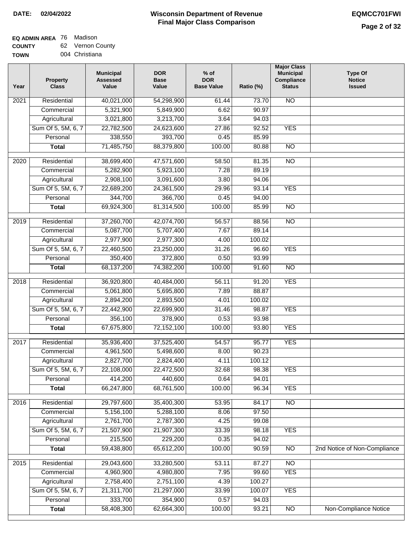## **EQ ADMIN AREA** 76 Madison

**COUNTY TOWN** 62 Vernon County

| 004 Christiana |  |  |
|----------------|--|--|

| Year              | <b>Property</b><br><b>Class</b> | <b>Municipal</b><br><b>Assessed</b><br>Value | <b>DOR</b><br><b>Base</b><br>Value | $%$ of<br><b>DOR</b><br><b>Base Value</b> | Ratio (%)       | <b>Major Class</b><br><b>Municipal</b><br>Compliance<br><b>Status</b> | <b>Type Of</b><br><b>Notice</b><br><b>Issued</b> |
|-------------------|---------------------------------|----------------------------------------------|------------------------------------|-------------------------------------------|-----------------|-----------------------------------------------------------------------|--------------------------------------------------|
| $\overline{202}1$ | Residential                     | 40,021,000                                   | 54,298,900                         | 61.44                                     | 73.70           | N <sub>O</sub>                                                        |                                                  |
|                   | Commercial                      | 5,321,900                                    | 5,849,900                          | 6.62                                      | 90.97           |                                                                       |                                                  |
|                   | Agricultural                    | 3,021,800                                    | 3,213,700                          | 3.64                                      | 94.03           |                                                                       |                                                  |
|                   | Sum Of 5, 5M, 6, 7              | 22,782,500                                   | 24,623,600                         | 27.86                                     | 92.52           | <b>YES</b>                                                            |                                                  |
|                   | Personal                        | 338,550                                      | 393,700                            | 0.45                                      | 85.99           |                                                                       |                                                  |
|                   | <b>Total</b>                    | 71,485,750                                   | 88,379,800                         | 100.00                                    | 80.88           | $\overline{NO}$                                                       |                                                  |
| $\overline{2020}$ | Residential                     | 38,699,400                                   | 47,571,600                         | 58.50                                     | 81.35           | $\overline{NO}$                                                       |                                                  |
|                   | Commercial                      | 5,282,900                                    | 5,923,100                          | 7.28                                      | 89.19           |                                                                       |                                                  |
|                   | Agricultural                    | 2,908,100                                    | 3,091,600                          | 3.80                                      | 94.06           |                                                                       |                                                  |
|                   | Sum Of 5, 5M, 6, 7              | 22,689,200                                   | 24,361,500                         | 29.96                                     | 93.14           | <b>YES</b>                                                            |                                                  |
|                   | Personal                        | 344,700                                      | 366,700                            | 0.45                                      | 94.00           |                                                                       |                                                  |
|                   | <b>Total</b>                    | 69,924,300                                   | 81,314,500                         | 100.00                                    | 85.99           | $\overline{NO}$                                                       |                                                  |
|                   |                                 |                                              |                                    |                                           | 88.56           |                                                                       |                                                  |
| 2019              | Residential                     | 37,260,700                                   | 42,074,700                         | 56.57<br>7.67                             | 89.14           | $\overline{NO}$                                                       |                                                  |
|                   | Commercial                      | 5,087,700<br>2,977,900                       | 5,707,400<br>2,977,300             |                                           |                 |                                                                       |                                                  |
|                   | Agricultural                    |                                              |                                    | 4.00<br>31.26                             | 100.02<br>96.60 | <b>YES</b>                                                            |                                                  |
|                   | Sum Of 5, 5M, 6, 7<br>Personal  | 22,460,500<br>350,400                        | 23,250,000<br>372,800              | 0.50                                      | 93.99           |                                                                       |                                                  |
|                   | <b>Total</b>                    |                                              |                                    | 100.00                                    | 91.60           | $\overline{NO}$                                                       |                                                  |
|                   |                                 | 68,137,200                                   | 74,382,200                         |                                           |                 |                                                                       |                                                  |
| 2018              | Residential                     | 36,920,800                                   | 40,484,000                         | 56.11                                     | 91.20           | <b>YES</b>                                                            |                                                  |
|                   | Commercial                      | 5,061,800                                    | 5,695,800                          | 7.89                                      | 88.87           |                                                                       |                                                  |
|                   | Agricultural                    | 2,894,200                                    | 2,893,500                          | 4.01                                      | 100.02          |                                                                       |                                                  |
|                   | Sum Of 5, 5M, 6, 7              | 22,442,900                                   | 22,699,900                         | 31.46                                     | 98.87           | <b>YES</b>                                                            |                                                  |
|                   | Personal                        | 356,100                                      | 378,900                            | 0.53                                      | 93.98           |                                                                       |                                                  |
|                   | <b>Total</b>                    | 67,675,800                                   | 72,152,100                         | 100.00                                    | 93.80           | <b>YES</b>                                                            |                                                  |
| $\overline{2017}$ | Residential                     | 35,936,400                                   | 37,525,400                         | 54.57                                     | 95.77           | <b>YES</b>                                                            |                                                  |
|                   | Commercial                      | 4,961,500                                    | 5,498,600                          | 8.00                                      | 90.23           |                                                                       |                                                  |
|                   | Agricultural                    | 2,827,700                                    | 2,824,400                          | 4.11                                      | 100.12          |                                                                       |                                                  |
|                   | Sum Of 5, 5M, 6, 7              | 22,108,000                                   | 22,472,500                         | 32.68                                     | 98.38           | <b>YES</b>                                                            |                                                  |
|                   | Personal                        | 414,200                                      | 440,600                            | 0.64                                      | 94.01           |                                                                       |                                                  |
|                   | <b>Total</b>                    | 66,247,800                                   | 68,761,500                         | 100.00                                    | 96.34           | <b>YES</b>                                                            |                                                  |
| 2016              | Residential                     | 29,797,600                                   | 35,400,300                         | 53.95                                     | 84.17           | $\overline{NO}$                                                       |                                                  |
|                   | Commercial                      | 5,156,100                                    | 5,288,100                          | 8.06                                      | 97.50           |                                                                       |                                                  |
|                   | Agricultural                    | 2,761,700                                    | 2,787,300                          | 4.25                                      | 99.08           |                                                                       |                                                  |
|                   | Sum Of 5, 5M, 6, 7              | 21,507,900                                   | 21,907,300                         | 33.39                                     | 98.18           | <b>YES</b>                                                            |                                                  |
|                   | Personal                        | 215,500                                      | 229,200                            | 0.35                                      | 94.02           |                                                                       |                                                  |
|                   | <b>Total</b>                    | 59,438,800                                   | 65,612,200                         | 100.00                                    | 90.59           | N <sub>O</sub>                                                        | 2nd Notice of Non-Compliance                     |
| 2015              | Residential                     | 29,043,600                                   | 33,280,500                         | 53.11                                     | 87.27           | <b>NO</b>                                                             |                                                  |
|                   | Commercial                      | 4,960,900                                    | 4,980,800                          | 7.95                                      | 99.60           | <b>YES</b>                                                            |                                                  |
|                   | Agricultural                    | 2,758,400                                    | 2,751,100                          | 4.39                                      | 100.27          |                                                                       |                                                  |
|                   | Sum Of 5, 5M, 6, 7              | 21,311,700                                   | 21,297,000                         | 33.99                                     | 100.07          | <b>YES</b>                                                            |                                                  |
|                   | Personal                        | 333,700                                      | 354,900                            | 0.57                                      | 94.03           |                                                                       |                                                  |
|                   | <b>Total</b>                    | 58,408,300                                   | 62,664,300                         | 100.00                                    | 93.21           | $\overline{NO}$                                                       | <b>Non-Compliance Notice</b>                     |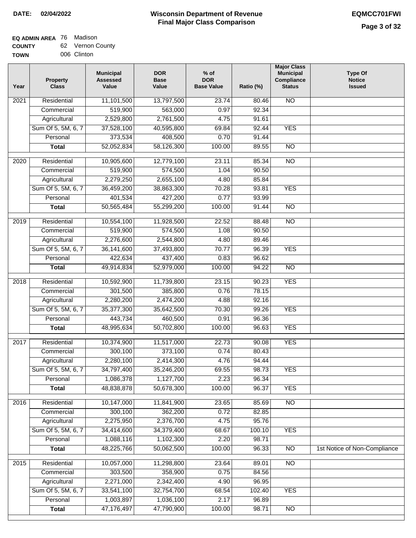#### **EQ ADMIN AREA** 76 Madison **COUNTY** 62 Vernon County

| TOWN | 006 Clinton |
|------|-------------|
|      |             |

 $\overline{\phantom{0}}$ 

| Year | <b>Property</b><br><b>Class</b> | <b>Municipal</b><br><b>Assessed</b><br>Value | <b>DOR</b><br><b>Base</b><br>Value | $%$ of<br><b>DOR</b><br><b>Base Value</b> | Ratio (%) | <b>Major Class</b><br><b>Municipal</b><br>Compliance<br><b>Status</b> | <b>Type Of</b><br><b>Notice</b><br><b>Issued</b> |
|------|---------------------------------|----------------------------------------------|------------------------------------|-------------------------------------------|-----------|-----------------------------------------------------------------------|--------------------------------------------------|
| 2021 | Residential                     | 11,101,500                                   | 13,797,500                         | 23.74                                     | 80.46     | $\overline{NO}$                                                       |                                                  |
|      | Commercial                      | 519,900                                      | 563,000                            | 0.97                                      | 92.34     |                                                                       |                                                  |
|      | Agricultural                    | 2,529,800                                    | 2,761,500                          | 4.75                                      | 91.61     |                                                                       |                                                  |
|      | Sum Of 5, 5M, 6, 7              | 37,528,100                                   | 40,595,800                         | 69.84                                     | 92.44     | <b>YES</b>                                                            |                                                  |
|      | Personal                        | 373,534                                      | 408,500                            | 0.70                                      | 91.44     |                                                                       |                                                  |
|      | <b>Total</b>                    | 52,052,834                                   | 58,126,300                         | 100.00                                    | 89.55     | $\overline{NO}$                                                       |                                                  |
| 2020 | Residential                     | 10,905,600                                   | 12,779,100                         | 23.11                                     | 85.34     | $\overline{NO}$                                                       |                                                  |
|      | Commercial                      | 519,900                                      | 574,500                            | 1.04                                      | 90.50     |                                                                       |                                                  |
|      | Agricultural                    | 2,279,250                                    | 2,655,100                          | 4.80                                      | 85.84     |                                                                       |                                                  |
|      | Sum Of 5, 5M, 6, 7              | 36,459,200                                   | 38,863,300                         | 70.28                                     | 93.81     | <b>YES</b>                                                            |                                                  |
|      | Personal                        | 401,534                                      | 427,200                            | 0.77                                      | 93.99     |                                                                       |                                                  |
|      | <b>Total</b>                    | 50,565,484                                   | 55,299,200                         | 100.00                                    | 91.44     | $\overline{NO}$                                                       |                                                  |
|      |                                 |                                              |                                    |                                           |           |                                                                       |                                                  |
| 2019 | Residential                     | 10,554,100                                   | 11,928,500                         | 22.52                                     | 88.48     | $\overline{NO}$                                                       |                                                  |
|      | Commercial                      | 519,900                                      | 574,500                            | 1.08                                      | 90.50     |                                                                       |                                                  |
|      | Agricultural                    | 2,276,600                                    | 2,544,800                          | 4.80                                      | 89.46     |                                                                       |                                                  |
|      | Sum Of 5, 5M, 6, 7              | 36,141,600                                   | 37,493,800                         | 70.77                                     | 96.39     | <b>YES</b>                                                            |                                                  |
|      | Personal                        | 422,634                                      | 437,400                            | 0.83                                      | 96.62     |                                                                       |                                                  |
|      | <b>Total</b>                    | 49,914,834                                   | 52,979,000                         | 100.00                                    | 94.22     | $\overline{NO}$                                                       |                                                  |
| 2018 | Residential                     | 10,592,900                                   | 11,739,800                         | 23.15                                     | 90.23     | <b>YES</b>                                                            |                                                  |
|      | Commercial                      | 301,500                                      | 385,800                            | 0.76                                      | 78.15     |                                                                       |                                                  |
|      | Agricultural                    | 2,280,200                                    | 2,474,200                          | 4.88                                      | 92.16     |                                                                       |                                                  |
|      | Sum Of 5, 5M, 6, 7              | 35,377,300                                   | 35,642,500                         | 70.30                                     | 99.26     | <b>YES</b>                                                            |                                                  |
|      | Personal                        | 443,734                                      | 460,500                            | 0.91                                      | 96.36     |                                                                       |                                                  |
|      | <b>Total</b>                    | 48,995,634                                   | 50,702,800                         | 100.00                                    | 96.63     | <b>YES</b>                                                            |                                                  |
| 2017 | Residential                     | 10,374,900                                   | 11,517,000                         | 22.73                                     | 90.08     | <b>YES</b>                                                            |                                                  |
|      | Commercial                      | 300,100                                      | 373,100                            | 0.74                                      | 80.43     |                                                                       |                                                  |
|      | Agricultural                    | 2,280,100                                    | 2,414,300                          | 4.76                                      | 94.44     |                                                                       |                                                  |
|      | Sum Of 5, 5M, 6, 7              | 34,797,400                                   | 35,246,200                         | 69.55                                     | 98.73     | <b>YES</b>                                                            |                                                  |
|      | Personal                        | 1,086,378                                    | 1,127,700                          | 2.23                                      | 96.34     |                                                                       |                                                  |
|      | <b>Total</b>                    | 48,838,878                                   | 50,678,300                         | 100.00                                    | 96.37     | <b>YES</b>                                                            |                                                  |
|      |                                 |                                              |                                    |                                           |           |                                                                       |                                                  |
| 2016 | Residential                     | 10,147,000                                   | 11,841,900                         | 23.65                                     | 85.69     | $\overline{NO}$                                                       |                                                  |
|      | Commercial                      | 300,100                                      | 362,200                            | 0.72                                      | 82.85     |                                                                       |                                                  |
|      | Agricultural                    | 2,275,950                                    | 2,376,700                          | 4.75                                      | 95.76     |                                                                       |                                                  |
|      | Sum Of 5, 5M, 6, 7              | 34,414,600                                   | 34,379,400                         | 68.67                                     | 100.10    | <b>YES</b>                                                            |                                                  |
|      | Personal                        | 1,088,116                                    | 1,102,300                          | 2.20                                      | 98.71     |                                                                       |                                                  |
|      | <b>Total</b>                    | 48,225,766                                   | 50,062,500                         | 100.00                                    | 96.33     | $\overline{NO}$                                                       | 1st Notice of Non-Compliance                     |
| 2015 | Residential                     | 10,057,000                                   | 11,298,800                         | 23.64                                     | 89.01     | <b>NO</b>                                                             |                                                  |
|      | Commercial                      | 303,500                                      | 358,900                            | 0.75                                      | 84.56     |                                                                       |                                                  |
|      | Agricultural                    | 2,271,000                                    | 2,342,400                          | 4.90                                      | 96.95     |                                                                       |                                                  |
|      | Sum Of 5, 5M, 6, 7              | 33,541,100                                   | 32,754,700                         | 68.54                                     | 102.40    | <b>YES</b>                                                            |                                                  |
|      | Personal                        | 1,003,897                                    | 1,036,100                          | 2.17                                      | 96.89     |                                                                       |                                                  |
|      | <b>Total</b>                    | 47,176,497                                   | 47,790,900                         | 100.00                                    | 98.71     | $\overline{NO}$                                                       |                                                  |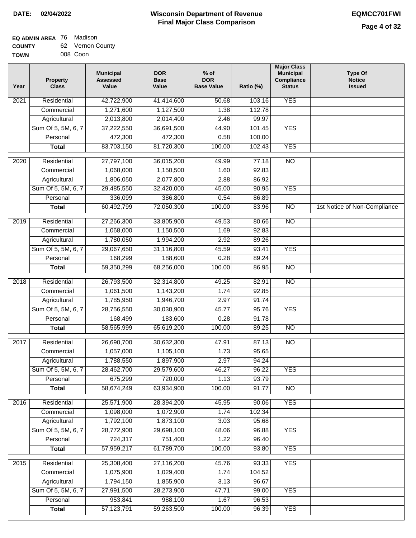| <b>TOWN</b> | 008 Coon |
|-------------|----------|
|             |          |

| Year              | <b>Property</b><br><b>Class</b> | <b>Municipal</b><br><b>Assessed</b><br>Value | <b>DOR</b><br><b>Base</b><br>Value | $%$ of<br><b>DOR</b><br><b>Base Value</b> | Ratio (%)      | <b>Major Class</b><br><b>Municipal</b><br>Compliance<br><b>Status</b> | <b>Type Of</b><br><b>Notice</b><br><b>Issued</b> |
|-------------------|---------------------------------|----------------------------------------------|------------------------------------|-------------------------------------------|----------------|-----------------------------------------------------------------------|--------------------------------------------------|
| $\overline{202}1$ | Residential                     | 42,722,900                                   | 41,414,600                         | $\frac{1}{50.68}$                         | 103.16         | <b>YES</b>                                                            |                                                  |
|                   | Commercial                      | 1,271,600                                    | 1,127,500                          | 1.38                                      | 112.78         |                                                                       |                                                  |
|                   | Agricultural                    | 2,013,800                                    | 2,014,400                          | 2.46                                      | 99.97          |                                                                       |                                                  |
|                   | Sum Of 5, 5M, 6, 7              | 37,222,550                                   | 36,691,500                         | 44.90                                     | 101.45         | <b>YES</b>                                                            |                                                  |
|                   | Personal                        | 472,300                                      | 472,300                            | 0.58                                      | 100.00         |                                                                       |                                                  |
|                   | <b>Total</b>                    | 83,703,150                                   | 81,720,300                         | 100.00                                    | 102.43         | <b>YES</b>                                                            |                                                  |
| 2020              | Residential                     | 27,797,100                                   | 36,015,200                         | 49.99                                     | 77.18          | $\overline{NO}$                                                       |                                                  |
|                   | Commercial                      | 1,068,000                                    | 1,150,500                          | 1.60                                      | 92.83          |                                                                       |                                                  |
|                   | Agricultural                    | 1,806,050                                    | 2,077,800                          | 2.88                                      | 86.92          |                                                                       |                                                  |
|                   | Sum Of 5, 5M, 6, 7              | 29,485,550                                   | 32,420,000                         | 45.00                                     | 90.95          | <b>YES</b>                                                            |                                                  |
|                   | Personal                        | 336,099                                      | 386,800                            | 0.54                                      | 86.89          |                                                                       |                                                  |
|                   | <b>Total</b>                    | 60,492,799                                   | 72,050,300                         | 100.00                                    | 83.96          | $\overline{NO}$                                                       | 1st Notice of Non-Compliance                     |
|                   |                                 |                                              |                                    |                                           |                |                                                                       |                                                  |
| 2019              | Residential                     | 27,266,300                                   | 33,805,900                         | 49.53                                     | 80.66          | $\overline{N}$                                                        |                                                  |
|                   | Commercial                      | 1,068,000                                    | 1,150,500                          | 1.69                                      | 92.83          |                                                                       |                                                  |
|                   | Agricultural                    | 1,780,050                                    | 1,994,200                          | 2.92<br>45.59                             | 89.26<br>93.41 | <b>YES</b>                                                            |                                                  |
|                   | Sum Of 5, 5M, 6, 7<br>Personal  | 29,067,650<br>168,299                        | 31,116,800<br>188,600              | 0.28                                      | 89.24          |                                                                       |                                                  |
|                   | <b>Total</b>                    | 59,350,299                                   | 68,256,000                         | 100.00                                    | 86.95          | $\overline{NO}$                                                       |                                                  |
|                   |                                 |                                              |                                    |                                           |                |                                                                       |                                                  |
| 2018              | Residential                     | 26,793,500                                   | 32,314,800                         | 49.25                                     | 82.91          | $\overline{NO}$                                                       |                                                  |
|                   | Commercial                      | 1,061,500                                    | 1,143,200                          | 1.74                                      | 92.85          |                                                                       |                                                  |
|                   | Agricultural                    | 1,785,950                                    | 1,946,700                          | 2.97                                      | 91.74          |                                                                       |                                                  |
|                   | Sum Of 5, 5M, 6, 7              | 28,756,550                                   | 30,030,900                         | 45.77                                     | 95.76          | <b>YES</b>                                                            |                                                  |
|                   | Personal                        | 168,499                                      | 183,600                            | 0.28                                      | 91.78          |                                                                       |                                                  |
|                   | <b>Total</b>                    | 58,565,999                                   | 65,619,200                         | 100.00                                    | 89.25          | <b>NO</b>                                                             |                                                  |
| $\overline{2017}$ | Residential                     | 26,690,700                                   | 30,632,300                         | 47.91                                     | 87.13          | $\overline{NO}$                                                       |                                                  |
|                   | Commercial                      | 1,057,000                                    | 1,105,100                          | 1.73                                      | 95.65          |                                                                       |                                                  |
|                   | Agricultural                    | 1,788,550                                    | 1,897,900                          | 2.97                                      | 94.24          |                                                                       |                                                  |
|                   | Sum Of 5, 5M, 6, 7              | 28,462,700                                   | 29,579,600                         | 46.27                                     | 96.22          | <b>YES</b>                                                            |                                                  |
|                   | Personal                        | 675,299                                      | 720,000                            | 1.13                                      | 93.79          |                                                                       |                                                  |
|                   | <b>Total</b>                    | 58,674,249                                   | 63,934,900                         | 100.00                                    | 91.77          | <b>NO</b>                                                             |                                                  |
| 2016              | Residential                     | 25,571,900                                   | 28,394,200                         | 45.95                                     | 90.06          | <b>YES</b>                                                            |                                                  |
|                   | Commercial                      | 1,098,000                                    | 1,072,900                          | 1.74                                      | 102.34         |                                                                       |                                                  |
|                   | Agricultural                    | 1,792,100                                    | 1,873,100                          | 3.03                                      | 95.68          |                                                                       |                                                  |
|                   | Sum Of 5, 5M, 6, 7              | 28,772,900                                   | 29,698,100                         | 48.06                                     | 96.88          | <b>YES</b>                                                            |                                                  |
|                   | Personal                        | 724,317                                      | 751,400                            | 1.22                                      | 96.40          |                                                                       |                                                  |
|                   | <b>Total</b>                    | 57,959,217                                   | 61,789,700                         | 100.00                                    | 93.80          | <b>YES</b>                                                            |                                                  |
|                   |                                 |                                              |                                    |                                           |                |                                                                       |                                                  |
| 2015              | Residential                     | 25,308,400                                   | 27,116,200                         | 45.76                                     | 93.33          | <b>YES</b>                                                            |                                                  |
|                   | Commercial                      | 1,075,900                                    | 1,029,400                          | 1.74                                      | 104.52         |                                                                       |                                                  |
|                   | Agricultural                    | 1,794,150                                    | 1,855,900                          | 3.13                                      | 96.67          |                                                                       |                                                  |
|                   | Sum Of 5, 5M, 6, 7              | 27,991,500                                   | 28,273,900                         | 47.71                                     | 99.00          | <b>YES</b>                                                            |                                                  |
|                   | Personal                        | 953,841                                      | 988,100                            | 1.67                                      | 96.53          |                                                                       |                                                  |
|                   | <b>Total</b>                    | 57, 123, 791                                 | 59,263,500                         | 100.00                                    | 96.39          | <b>YES</b>                                                            |                                                  |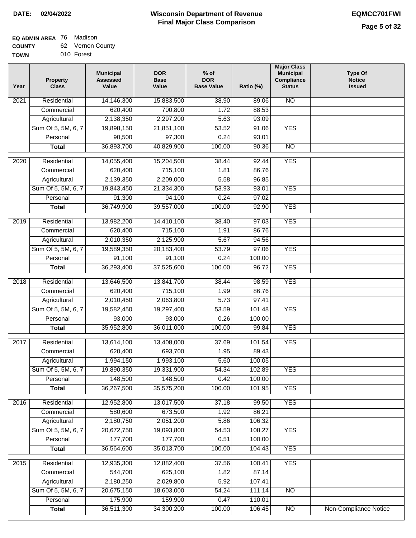### **EQ ADMIN AREA** 76 Madison

| <b>COUNTY</b> | 62 Vernon County |
|---------------|------------------|
| <b>TOWN</b>   | 010 Forest       |

| Year              | <b>Property</b><br><b>Class</b> | <b>Municipal</b><br><b>Assessed</b><br>Value | <b>DOR</b><br><b>Base</b><br>Value | $%$ of<br><b>DOR</b><br><b>Base Value</b> | Ratio (%) | <b>Major Class</b><br><b>Municipal</b><br>Compliance<br><b>Status</b> | <b>Type Of</b><br><b>Notice</b><br><b>Issued</b> |
|-------------------|---------------------------------|----------------------------------------------|------------------------------------|-------------------------------------------|-----------|-----------------------------------------------------------------------|--------------------------------------------------|
| 2021              | Residential                     | 14,146,300                                   | 15,883,500                         | 38.90                                     | 89.06     | $\overline{NO}$                                                       |                                                  |
|                   | Commercial                      | 620,400                                      | 700,800                            | 1.72                                      | 88.53     |                                                                       |                                                  |
|                   | Agricultural                    | 2,138,350                                    | 2,297,200                          | 5.63                                      | 93.09     |                                                                       |                                                  |
|                   | Sum Of 5, 5M, 6, 7              | 19,898,150                                   | 21,851,100                         | 53.52                                     | 91.06     | <b>YES</b>                                                            |                                                  |
|                   | Personal                        | 90,500                                       | 97,300                             | 0.24                                      | 93.01     |                                                                       |                                                  |
|                   | <b>Total</b>                    | 36,893,700                                   | 40,829,900                         | 100.00                                    | 90.36     | $\overline{NO}$                                                       |                                                  |
| 2020              | Residential                     | 14,055,400                                   | 15,204,500                         | 38.44                                     | 92.44     | <b>YES</b>                                                            |                                                  |
|                   | Commercial                      | 620,400                                      | 715,100                            | 1.81                                      | 86.76     |                                                                       |                                                  |
|                   | Agricultural                    | 2,139,350                                    | 2,209,000                          | 5.58                                      | 96.85     |                                                                       |                                                  |
|                   | Sum Of 5, 5M, 6, 7              | 19,843,450                                   | 21,334,300                         | 53.93                                     | 93.01     | <b>YES</b>                                                            |                                                  |
|                   | Personal                        | 91,300                                       | 94,100                             | 0.24                                      | 97.02     |                                                                       |                                                  |
|                   | <b>Total</b>                    | 36,749,900                                   | 39,557,000                         | 100.00                                    | 92.90     | <b>YES</b>                                                            |                                                  |
|                   |                                 |                                              |                                    |                                           |           |                                                                       |                                                  |
| 2019              | Residential                     | 13,982,200                                   | 14,410,100                         | 38.40                                     | 97.03     | <b>YES</b>                                                            |                                                  |
|                   | Commercial                      | 620,400                                      | 715,100                            | 1.91                                      | 86.76     |                                                                       |                                                  |
|                   | Agricultural                    | 2,010,350                                    | 2,125,900                          | 5.67                                      | 94.56     |                                                                       |                                                  |
|                   | Sum Of 5, 5M, 6, 7              | 19,589,350                                   | 20,183,400                         | 53.79                                     | 97.06     | <b>YES</b>                                                            |                                                  |
|                   | Personal                        | 91,100                                       | 91,100                             | 0.24                                      | 100.00    |                                                                       |                                                  |
|                   | <b>Total</b>                    | 36,293,400                                   | 37,525,600                         | 100.00                                    | 96.72     | <b>YES</b>                                                            |                                                  |
| $\overline{2018}$ | Residential                     | 13,646,500                                   | 13,841,700                         | 38.44                                     | 98.59     | <b>YES</b>                                                            |                                                  |
|                   | Commercial                      | 620,400                                      | 715,100                            | 1.99                                      | 86.76     |                                                                       |                                                  |
|                   | Agricultural                    | 2,010,450                                    | 2,063,800                          | 5.73                                      | 97.41     |                                                                       |                                                  |
|                   | Sum Of 5, 5M, 6, 7              | 19,582,450                                   | 19,297,400                         | 53.59                                     | 101.48    | <b>YES</b>                                                            |                                                  |
|                   | Personal                        | 93,000                                       | 93,000                             | 0.26                                      | 100.00    |                                                                       |                                                  |
|                   | <b>Total</b>                    | 35,952,800                                   | 36,011,000                         | 100.00                                    | 99.84     | <b>YES</b>                                                            |                                                  |
|                   |                                 |                                              |                                    |                                           |           |                                                                       |                                                  |
| $\overline{2017}$ | Residential                     | 13,614,100                                   | 13,408,000                         | 37.69                                     | 101.54    | <b>YES</b>                                                            |                                                  |
|                   | Commercial                      | 620,400                                      | 693,700                            | 1.95                                      | 89.43     |                                                                       |                                                  |
|                   | Agricultural                    | 1,994,150                                    | 1,993,100                          | 5.60                                      | 100.05    |                                                                       |                                                  |
|                   | Sum Of 5, 5M, 6, 7              | 19,890,350                                   | 19,331,900                         | 54.34                                     | 102.89    | <b>YES</b>                                                            |                                                  |
|                   | Personal                        | 148,500                                      | 148,500                            | 0.42                                      | 100.00    |                                                                       |                                                  |
|                   | <b>Total</b>                    | 36,267,500                                   | 35,575,200                         | 100.00                                    | 101.95    | <b>YES</b>                                                            |                                                  |
| $\overline{2016}$ | Residential                     | 12,952,800                                   | 13,017,500                         | 37.18                                     | 99.50     | <b>YES</b>                                                            |                                                  |
|                   | Commercial                      | 580,600                                      | 673,500                            | 1.92                                      | 86.21     |                                                                       |                                                  |
|                   | Agricultural                    | 2,180,750                                    | 2,051,200                          | 5.86                                      | 106.32    |                                                                       |                                                  |
|                   | Sum Of 5, 5M, 6, 7              | 20,672,750                                   | 19,093,800                         | 54.53                                     | 108.27    | <b>YES</b>                                                            |                                                  |
|                   | Personal                        | 177,700                                      | 177,700                            | 0.51                                      | 100.00    |                                                                       |                                                  |
|                   | <b>Total</b>                    | 36,564,600                                   | 35,013,700                         | 100.00                                    | 104.43    | <b>YES</b>                                                            |                                                  |
| $\overline{2015}$ | Residential                     | 12,935,300                                   | 12,882,400                         | 37.56                                     | 100.41    | <b>YES</b>                                                            |                                                  |
|                   | Commercial                      | 544,700                                      | 625,100                            | 1.82                                      | 87.14     |                                                                       |                                                  |
|                   | Agricultural                    | 2,180,250                                    | 2,029,800                          | 5.92                                      | 107.41    |                                                                       |                                                  |
|                   | Sum Of 5, 5M, 6, 7              | 20,675,150                                   | 18,603,000                         | 54.24                                     | 111.14    | $\overline{NO}$                                                       |                                                  |
|                   | Personal                        | 175,900                                      | 159,900                            | 0.47                                      | 110.01    |                                                                       |                                                  |
|                   | <b>Total</b>                    | 36,511,300                                   | 34,300,200                         | 100.00                                    | 106.45    | $\overline{NO}$                                                       | Non-Compliance Notice                            |
|                   |                                 |                                              |                                    |                                           |           |                                                                       |                                                  |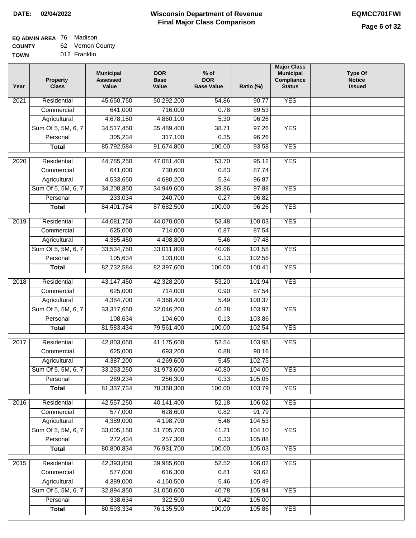### **EQ ADMIN AREA** 76 Madison

**COUNTY** 62 Vernon County

**TOWN** 012 Franklin

| Year              | <b>Property</b><br><b>Class</b> | <b>Municipal</b><br><b>Assessed</b><br>Value | <b>DOR</b><br><b>Base</b><br>Value | $%$ of<br><b>DOR</b><br><b>Base Value</b> | Ratio (%)       | <b>Major Class</b><br><b>Municipal</b><br>Compliance<br><b>Status</b> | <b>Type Of</b><br><b>Notice</b><br><b>Issued</b> |
|-------------------|---------------------------------|----------------------------------------------|------------------------------------|-------------------------------------------|-----------------|-----------------------------------------------------------------------|--------------------------------------------------|
| $\overline{202}1$ | Residential                     | 45,650,750                                   | 50,292,200                         | 54.86                                     | 90.77           | <b>YES</b>                                                            |                                                  |
|                   | Commercial                      | 641,000                                      | 716,000                            | 0.78                                      | 89.53           |                                                                       |                                                  |
|                   | Agricultural                    | 4,678,150                                    | 4,860,100                          | 5.30                                      | 96.26           |                                                                       |                                                  |
|                   | Sum Of 5, 5M, 6, 7              | 34,517,450                                   | 35,489,400                         | 38.71                                     | 97.26           | <b>YES</b>                                                            |                                                  |
|                   | Personal                        | 305,234                                      | 317,100                            | 0.35                                      | 96.26           |                                                                       |                                                  |
|                   | <b>Total</b>                    | 85,792,584                                   | 91,674,800                         | 100.00                                    | 93.58           | <b>YES</b>                                                            |                                                  |
| $\overline{2020}$ | Residential                     | 44,785,250                                   | 47,081,400                         | 53.70                                     | 95.12           | <b>YES</b>                                                            |                                                  |
|                   | Commercial                      | 641,000                                      | 730,600                            | 0.83                                      | 87.74           |                                                                       |                                                  |
|                   | Agricultural                    | 4,533,650                                    | 4,680,200                          | 5.34                                      | 96.87           |                                                                       |                                                  |
|                   | Sum Of 5, 5M, 6, 7              | 34,208,850                                   | 34,949,600                         | 39.86                                     | 97.88           | <b>YES</b>                                                            |                                                  |
|                   | Personal                        | 233,034                                      | 240,700                            | 0.27                                      | 96.82           |                                                                       |                                                  |
|                   | <b>Total</b>                    | 84,401,784                                   | 87,682,500                         | 100.00                                    | 96.26           | <b>YES</b>                                                            |                                                  |
| 2019              | Residential                     | 44,081,750                                   | 44,070,000                         | 53.48                                     | 100.03          | <b>YES</b>                                                            |                                                  |
|                   | Commercial                      | 625,000                                      | 714,000                            | 0.87                                      | 87.54           |                                                                       |                                                  |
|                   | Agricultural                    | 4,385,450                                    | 4,498,800                          | 5.46                                      | 97.48           |                                                                       |                                                  |
|                   | Sum Of 5, 5M, 6, 7              | 33,534,750                                   | 33,011,800                         | 40.06                                     | 101.58          | <b>YES</b>                                                            |                                                  |
|                   | Personal                        | 105,634                                      | 103,000                            | 0.13                                      | 102.56          |                                                                       |                                                  |
|                   | <b>Total</b>                    | 82,732,584                                   | 82,397,600                         | 100.00                                    | 100.41          | <b>YES</b>                                                            |                                                  |
|                   |                                 |                                              |                                    |                                           |                 |                                                                       |                                                  |
| 2018              | Residential<br>Commercial       | 43, 147, 450<br>625,000                      | 42,328,200<br>714,000              | 53.20<br>0.90                             | 101.94<br>87.54 | <b>YES</b>                                                            |                                                  |
|                   | Agricultural                    | 4,384,700                                    | 4,368,400                          | 5.49                                      | 100.37          |                                                                       |                                                  |
|                   | Sum Of 5, 5M, 6, 7              | 33,317,650                                   | 32,046,200                         | 40.28                                     | 103.97          | <b>YES</b>                                                            |                                                  |
|                   | Personal                        | 108,634                                      | 104,600                            | 0.13                                      | 103.86          |                                                                       |                                                  |
|                   | <b>Total</b>                    | 81,583,434                                   | 79,561,400                         | 100.00                                    | 102.54          | <b>YES</b>                                                            |                                                  |
|                   |                                 |                                              |                                    |                                           |                 |                                                                       |                                                  |
| 2017              | Residential                     | 42,803,050                                   | 41,175,600                         | 52.54                                     | 103.95          | <b>YES</b>                                                            |                                                  |
|                   | Commercial                      | 625,000                                      | 693,200                            | 0.88                                      | 90.16           |                                                                       |                                                  |
|                   | Agricultural                    | 4,387,200                                    | 4,269,600                          | 5.45                                      | 102.75          |                                                                       |                                                  |
|                   | Sum Of 5, 5M, 6, 7              | 33,253,250                                   | 31,973,600                         | 40.80                                     | 104.00          | <b>YES</b>                                                            |                                                  |
|                   | Personal                        | 269,234                                      | 256,300                            | 0.33                                      | 105.05          |                                                                       |                                                  |
|                   | <b>Total</b>                    | 81,337,734                                   | 78,368,300                         | 100.00                                    | 103.79          | <b>YES</b>                                                            |                                                  |
| 2016              | Residential                     | 42,557,250                                   | 40,141,400                         | 52.18                                     | 106.02          | <b>YES</b>                                                            |                                                  |
|                   | Commercial                      | 577,000                                      | 628,600                            | 0.82                                      | 91.79           |                                                                       |                                                  |
|                   | Agricultural                    | 4,389,000                                    | 4,198,700                          | 5.46                                      | 104.53          |                                                                       |                                                  |
|                   | Sum Of 5, 5M, 6, 7              | 33,005,150                                   | 31,705,700                         | 41.21                                     | 104.10          | <b>YES</b>                                                            |                                                  |
|                   | Personal                        | 272,434                                      | 257,300                            | 0.33                                      | 105.88          |                                                                       |                                                  |
|                   | <b>Total</b>                    | 80,800,834                                   | 76,931,700                         | 100.00                                    | 105.03          | <b>YES</b>                                                            |                                                  |
| 2015              | Residential                     | 42,393,850                                   | 39,985,600                         | 52.52                                     | 106.02          | <b>YES</b>                                                            |                                                  |
|                   | Commercial                      | 577,000                                      | 616,300                            | 0.81                                      | 93.62           |                                                                       |                                                  |
|                   | Agricultural                    | 4,389,000                                    | 4,160,500                          | 5.46                                      | 105.49          |                                                                       |                                                  |
|                   | Sum Of 5, 5M, 6, 7              | 32,894,850                                   | 31,050,600                         | 40.78                                     | 105.94          | <b>YES</b>                                                            |                                                  |
|                   | Personal                        | 338,634                                      | 322,500                            | 0.42                                      | 105.00          |                                                                       |                                                  |
|                   | <b>Total</b>                    | 80,593,334                                   | 76,135,500                         | 100.00                                    | 105.86          | <b>YES</b>                                                            |                                                  |
|                   |                                 |                                              |                                    |                                           |                 |                                                                       |                                                  |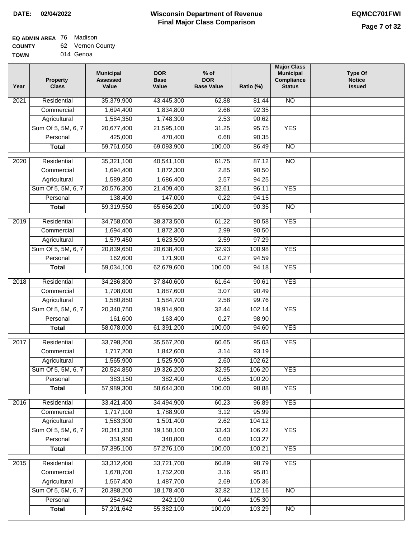### **EQ ADMIN AREA** 76 Madison

| <b>COUNTY</b> | 62 Vernon County |
|---------------|------------------|
| <b>TOWN</b>   | 014 Genoa        |

| Year              | <b>Property</b><br><b>Class</b> | <b>Municipal</b><br><b>Assessed</b><br>Value | <b>DOR</b><br><b>Base</b><br>Value | $%$ of<br><b>DOR</b><br><b>Base Value</b> | Ratio (%) | <b>Major Class</b><br><b>Municipal</b><br>Compliance<br><b>Status</b> | <b>Type Of</b><br><b>Notice</b><br><b>Issued</b> |
|-------------------|---------------------------------|----------------------------------------------|------------------------------------|-------------------------------------------|-----------|-----------------------------------------------------------------------|--------------------------------------------------|
| 2021              | Residential                     | 35,379,900                                   | 43,445,300                         | 62.88                                     | 81.44     | N <sub>O</sub>                                                        |                                                  |
|                   | Commercial                      | 1,694,400                                    | 1,834,800                          | 2.66                                      | 92.35     |                                                                       |                                                  |
|                   | Agricultural                    | 1,584,350                                    | 1,748,300                          | 2.53                                      | 90.62     |                                                                       |                                                  |
|                   | Sum Of 5, 5M, 6, 7              | 20,677,400                                   | 21,595,100                         | 31.25                                     | 95.75     | <b>YES</b>                                                            |                                                  |
|                   | Personal                        | 425,000                                      | 470,400                            | 0.68                                      | 90.35     |                                                                       |                                                  |
|                   | <b>Total</b>                    | 59,761,050                                   | 69,093,900                         | 100.00                                    | 86.49     | <b>NO</b>                                                             |                                                  |
|                   |                                 |                                              |                                    |                                           |           |                                                                       |                                                  |
| $\overline{2020}$ | Residential                     | 35,321,100                                   | 40,541,100                         | 61.75                                     | 87.12     | $\overline{NO}$                                                       |                                                  |
|                   | Commercial                      | 1,694,400                                    | 1,872,300                          | 2.85                                      | 90.50     |                                                                       |                                                  |
|                   | Agricultural                    | 1,589,350                                    | 1,686,400                          | 2.57                                      | 94.25     |                                                                       |                                                  |
|                   | Sum Of 5, 5M, 6, 7              | 20,576,300                                   | 21,409,400                         | 32.61                                     | 96.11     | <b>YES</b>                                                            |                                                  |
|                   | Personal                        | 138,400                                      | 147,000                            | 0.22                                      | 94.15     |                                                                       |                                                  |
|                   | <b>Total</b>                    | 59,319,550                                   | 65,656,200                         | 100.00                                    | 90.35     | <b>NO</b>                                                             |                                                  |
| $\frac{1}{2019}$  | Residential                     | 34,758,000                                   | 38,373,500                         | 61.22                                     | 90.58     | <b>YES</b>                                                            |                                                  |
|                   | Commercial                      | 1,694,400                                    | 1,872,300                          | 2.99                                      | 90.50     |                                                                       |                                                  |
|                   | Agricultural                    | 1,579,450                                    | 1,623,500                          | 2.59                                      | 97.29     |                                                                       |                                                  |
|                   | Sum Of 5, 5M, 6, 7              | 20,839,650                                   | 20,638,400                         | 32.93                                     | 100.98    | <b>YES</b>                                                            |                                                  |
|                   | Personal                        | 162,600                                      | 171,900                            | 0.27                                      | 94.59     |                                                                       |                                                  |
|                   | <b>Total</b>                    | 59,034,100                                   | 62,679,600                         | 100.00                                    | 94.18     | <b>YES</b>                                                            |                                                  |
| 2018              | Residential                     | 34,286,800                                   | 37,840,600                         | 61.64                                     | 90.61     | <b>YES</b>                                                            |                                                  |
|                   | Commercial                      | 1,708,000                                    | 1,887,600                          | 3.07                                      | 90.49     |                                                                       |                                                  |
|                   | Agricultural                    | 1,580,850                                    | 1,584,700                          | 2.58                                      | 99.76     |                                                                       |                                                  |
|                   | Sum Of 5, 5M, 6, 7              | 20,340,750                                   | 19,914,900                         | 32.44                                     | 102.14    | <b>YES</b>                                                            |                                                  |
|                   | Personal                        | 161,600                                      | 163,400                            | 0.27                                      | 98.90     |                                                                       |                                                  |
|                   | <b>Total</b>                    | 58,078,000                                   | 61,391,200                         | 100.00                                    | 94.60     | <b>YES</b>                                                            |                                                  |
| 2017              | Residential                     | 33,798,200                                   | 35,567,200                         | 60.65                                     | 95.03     | <b>YES</b>                                                            |                                                  |
|                   | Commercial                      | 1,717,200                                    | 1,842,600                          | 3.14                                      | 93.19     |                                                                       |                                                  |
|                   | Agricultural                    | 1,565,900                                    | 1,525,900                          | 2.60                                      | 102.62    |                                                                       |                                                  |
|                   | Sum Of 5, 5M, 6, 7              | 20,524,850                                   | 19,326,200                         | 32.95                                     | 106.20    | <b>YES</b>                                                            |                                                  |
|                   | Personal                        | 383,150                                      | 382,400                            | 0.65                                      | 100.20    |                                                                       |                                                  |
|                   | <b>Total</b>                    | 57,989,300                                   | 58,644,300                         | 100.00                                    | 98.88     | <b>YES</b>                                                            |                                                  |
|                   |                                 |                                              |                                    |                                           |           |                                                                       |                                                  |
| 2016              | Residential                     | 33,421,400                                   | 34,494,900                         | 60.23                                     | 96.89     | <b>YES</b>                                                            |                                                  |
|                   | Commercial                      | 1,717,100                                    | 1,788,900                          | 3.12                                      | 95.99     |                                                                       |                                                  |
|                   | Agricultural                    | 1,563,300                                    | 1,501,400                          | 2.62                                      | 104.12    |                                                                       |                                                  |
|                   | Sum Of 5, 5M, 6, 7              | 20,341,350                                   | 19,150,100                         | 33.43                                     | 106.22    | <b>YES</b>                                                            |                                                  |
|                   | Personal                        | 351,950                                      | 340,800                            | 0.60                                      | 103.27    |                                                                       |                                                  |
|                   | <b>Total</b>                    | 57,395,100                                   | 57,276,100                         | 100.00                                    | 100.21    | <b>YES</b>                                                            |                                                  |
| 2015              | Residential                     | 33,312,400                                   | 33,721,700                         | 60.89                                     | 98.79     | <b>YES</b>                                                            |                                                  |
|                   | Commercial                      | 1,678,700                                    | 1,752,200                          | 3.16                                      | 95.81     |                                                                       |                                                  |
|                   | Agricultural                    | 1,567,400                                    | 1,487,700                          | 2.69                                      | 105.36    |                                                                       |                                                  |
|                   | Sum Of 5, 5M, 6, 7              | 20,388,200                                   | 18,178,400                         | 32.82                                     | 112.16    | $\overline{NO}$                                                       |                                                  |
|                   | Personal                        | 254,942                                      | 242,100                            | 0.44                                      | 105.30    |                                                                       |                                                  |
|                   | <b>Total</b>                    | 57,201,642                                   | 55,382,100                         | 100.00                                    | 103.29    | N <sub>O</sub>                                                        |                                                  |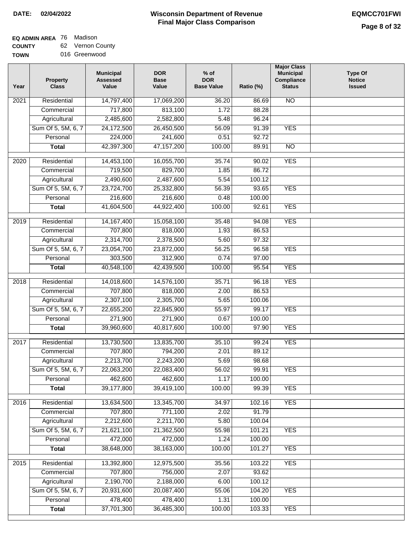### **EQ ADMIN AREA** 76 Madison

**COUNTY TOWN** 62 Vernon County 016 Greenwood

| Year              | <b>Property</b><br><b>Class</b> | <b>Municipal</b><br><b>Assessed</b><br>Value | <b>DOR</b><br><b>Base</b><br>Value | $%$ of<br><b>DOR</b><br><b>Base Value</b> | Ratio (%) | <b>Major Class</b><br><b>Municipal</b><br><b>Compliance</b><br><b>Status</b> | <b>Type Of</b><br><b>Notice</b><br><b>Issued</b> |
|-------------------|---------------------------------|----------------------------------------------|------------------------------------|-------------------------------------------|-----------|------------------------------------------------------------------------------|--------------------------------------------------|
| $\overline{202}1$ | Residential                     | 14,797,400                                   | 17,069,200                         | 36.20                                     | 86.69     | N <sub>O</sub>                                                               |                                                  |
|                   | Commercial                      | 717,800                                      | 813,100                            | 1.72                                      | 88.28     |                                                                              |                                                  |
|                   | Agricultural                    | 2,485,600                                    | 2,582,800                          | 5.48                                      | 96.24     |                                                                              |                                                  |
|                   | Sum Of 5, 5M, 6, 7              | 24,172,500                                   | 26,450,500                         | 56.09                                     | 91.39     | <b>YES</b>                                                                   |                                                  |
|                   | Personal                        | 224,000                                      | 241,600                            | 0.51                                      | 92.72     |                                                                              |                                                  |
|                   | <b>Total</b>                    | 42,397,300                                   | 47, 157, 200                       | 100.00                                    | 89.91     | <b>NO</b>                                                                    |                                                  |
| 2020              | Residential                     | 14,453,100                                   | 16,055,700                         | 35.74                                     | 90.02     | <b>YES</b>                                                                   |                                                  |
|                   | Commercial                      | 719,500                                      | 829,700                            | 1.85                                      | 86.72     |                                                                              |                                                  |
|                   | Agricultural                    | 2,490,600                                    | 2,487,600                          | 5.54                                      | 100.12    |                                                                              |                                                  |
|                   | Sum Of 5, 5M, 6, 7              | 23,724,700                                   | 25,332,800                         | 56.39                                     | 93.65     | <b>YES</b>                                                                   |                                                  |
|                   | Personal                        | 216,600                                      | 216,600                            | 0.48                                      | 100.00    |                                                                              |                                                  |
|                   | <b>Total</b>                    | 41,604,500                                   | 44,922,400                         | 100.00                                    | 92.61     | <b>YES</b>                                                                   |                                                  |
| 2019              | Residential                     | 14, 167, 400                                 | 15,058,100                         | 35.48                                     | 94.08     | <b>YES</b>                                                                   |                                                  |
|                   | Commercial                      | 707,800                                      | 818,000                            | 1.93                                      | 86.53     |                                                                              |                                                  |
|                   | Agricultural                    | 2,314,700                                    | 2,378,500                          | 5.60                                      | 97.32     |                                                                              |                                                  |
|                   | Sum Of 5, 5M, 6, 7              | 23,054,700                                   | 23,872,000                         | 56.25                                     | 96.58     | <b>YES</b>                                                                   |                                                  |
|                   | Personal                        | 303,500                                      | 312,900                            | 0.74                                      | 97.00     |                                                                              |                                                  |
|                   | <b>Total</b>                    | 40,548,100                                   | 42,439,500                         | 100.00                                    | 95.54     | <b>YES</b>                                                                   |                                                  |
| 2018              | Residential                     | 14,018,600                                   | 14,576,100                         | 35.71                                     | 96.18     | <b>YES</b>                                                                   |                                                  |
|                   | Commercial                      | 707,800                                      | 818,000                            | 2.00                                      | 86.53     |                                                                              |                                                  |
|                   | Agricultural                    | 2,307,100                                    | 2,305,700                          | 5.65                                      | 100.06    |                                                                              |                                                  |
|                   | Sum Of 5, 5M, 6, 7              | 22,655,200                                   | 22,845,900                         | 55.97                                     | 99.17     | <b>YES</b>                                                                   |                                                  |
|                   | Personal                        | 271,900                                      | 271,900                            | 0.67                                      | 100.00    |                                                                              |                                                  |
|                   | <b>Total</b>                    | 39,960,600                                   | 40,817,600                         | 100.00                                    | 97.90     | <b>YES</b>                                                                   |                                                  |
| $\overline{2017}$ | Residential                     | 13,730,500                                   | 13,835,700                         | 35.10                                     | 99.24     | <b>YES</b>                                                                   |                                                  |
|                   | Commercial                      | 707,800                                      | 794,200                            | 2.01                                      | 89.12     |                                                                              |                                                  |
|                   | Agricultural                    | 2,213,700                                    | 2,243,200                          | 5.69                                      | 98.68     |                                                                              |                                                  |
|                   | Sum Of 5, 5M, 6, 7              | 22,063,200                                   | 22,083,400                         | 56.02                                     | 99.91     | <b>YES</b>                                                                   |                                                  |
|                   | Personal                        | 462,600                                      | 462,600                            | 1.17                                      | 100.00    |                                                                              |                                                  |
|                   | <b>Total</b>                    | 39,177,800                                   | 39,419,100                         | 100.00                                    | 99.39     | <b>YES</b>                                                                   |                                                  |
| 2016              | Residential                     | 13,634,500                                   | 13,345,700                         | 34.97                                     | 102.16    | <b>YES</b>                                                                   |                                                  |
|                   | Commercial                      | 707,800                                      | 771,100                            | 2.02                                      | 91.79     |                                                                              |                                                  |
|                   | Agricultural                    | 2,212,600                                    | 2,211,700                          | 5.80                                      | 100.04    |                                                                              |                                                  |
|                   | Sum Of 5, 5M, 6, 7              | 21,621,100                                   | 21,362,500                         | 55.98                                     | 101.21    | <b>YES</b>                                                                   |                                                  |
|                   | Personal                        | 472,000                                      | 472,000                            | 1.24                                      | 100.00    |                                                                              |                                                  |
|                   | <b>Total</b>                    | 38,648,000                                   | 38,163,000                         | 100.00                                    | 101.27    | <b>YES</b>                                                                   |                                                  |
| 2015              | Residential                     | 13,392,800                                   | 12,975,500                         | 35.56                                     | 103.22    | <b>YES</b>                                                                   |                                                  |
|                   | Commercial                      | 707,800                                      | 756,000                            | 2.07                                      | 93.62     |                                                                              |                                                  |
|                   | Agricultural                    | 2,190,700                                    | 2,188,000                          | 6.00                                      | 100.12    |                                                                              |                                                  |
|                   | Sum Of 5, 5M, 6, 7              | 20,931,600                                   | 20,087,400                         | 55.06                                     | 104.20    | <b>YES</b>                                                                   |                                                  |
|                   | Personal                        | 478,400                                      | 478,400                            | 1.31                                      | 100.00    |                                                                              |                                                  |
|                   | <b>Total</b>                    | 37,701,300                                   | 36,485,300                         | 100.00                                    | 103.33    | <b>YES</b>                                                                   |                                                  |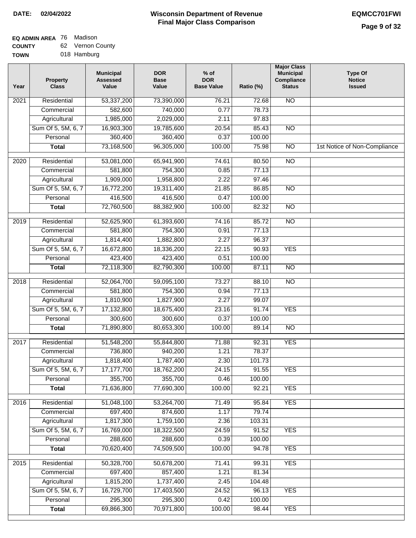### **EQ ADMIN AREA** 76 Madison

**COUNTY TOWN** 62 Vernon County

|  | 018 Hamburg |
|--|-------------|
|  |             |

| Year              | <b>Property</b><br><b>Class</b> | <b>Municipal</b><br><b>Assessed</b><br>Value | <b>DOR</b><br><b>Base</b><br>Value | $%$ of<br><b>DOR</b><br><b>Base Value</b> | Ratio (%) | <b>Major Class</b><br><b>Municipal</b><br>Compliance<br><b>Status</b> | <b>Type Of</b><br><b>Notice</b><br><b>Issued</b> |
|-------------------|---------------------------------|----------------------------------------------|------------------------------------|-------------------------------------------|-----------|-----------------------------------------------------------------------|--------------------------------------------------|
| $\overline{202}1$ | Residential                     | 53,337,200                                   | 73,390,000                         | 76.21                                     | 72.68     | N <sub>O</sub>                                                        |                                                  |
|                   | Commercial                      | 582,600                                      | 740,000                            | 0.77                                      | 78.73     |                                                                       |                                                  |
|                   | Agricultural                    | 1,985,000                                    | 2,029,000                          | 2.11                                      | 97.83     |                                                                       |                                                  |
|                   | Sum Of 5, 5M, 6, 7              | 16,903,300                                   | 19,785,600                         | 20.54                                     | 85.43     | $\overline{NO}$                                                       |                                                  |
|                   | Personal                        | 360,400                                      | 360,400                            | 0.37                                      | 100.00    |                                                                       |                                                  |
|                   | <b>Total</b>                    | 73,168,500                                   | 96,305,000                         | 100.00                                    | 75.98     | $\overline{NO}$                                                       | 1st Notice of Non-Compliance                     |
| $\overline{2020}$ | Residential                     | 53,081,000                                   | 65,941,900                         | 74.61                                     | 80.50     | $\overline{NO}$                                                       |                                                  |
|                   | Commercial                      | 581,800                                      | 754,300                            | 0.85                                      | 77.13     |                                                                       |                                                  |
|                   | Agricultural                    | 1,909,000                                    | 1,958,800                          | 2.22                                      | 97.46     |                                                                       |                                                  |
|                   | Sum Of 5, 5M, 6, 7              | 16,772,200                                   | 19,311,400                         | 21.85                                     | 86.85     | $\overline{NO}$                                                       |                                                  |
|                   | Personal                        | 416,500                                      | 416,500                            | 0.47                                      | 100.00    |                                                                       |                                                  |
|                   | <b>Total</b>                    | 72,760,500                                   | 88,382,900                         | 100.00                                    | 82.32     | $\overline{NO}$                                                       |                                                  |
| 2019              | Residential                     | 52,625,900                                   | 61,393,600                         | 74.16                                     | 85.72     | $\overline{NO}$                                                       |                                                  |
|                   | Commercial                      | 581,800                                      | 754,300                            | 0.91                                      | 77.13     |                                                                       |                                                  |
|                   | Agricultural                    | 1,814,400                                    | 1,882,800                          | 2.27                                      | 96.37     |                                                                       |                                                  |
|                   | Sum Of 5, 5M, 6, 7              | 16,672,800                                   | 18,336,200                         | 22.15                                     | 90.93     | <b>YES</b>                                                            |                                                  |
|                   | Personal                        | 423,400                                      | 423,400                            | 0.51                                      | 100.00    |                                                                       |                                                  |
|                   | <b>Total</b>                    | 72,118,300                                   | 82,790,300                         | 100.00                                    | 87.11     | $\overline{NO}$                                                       |                                                  |
| 2018              | Residential                     | 52,064,700                                   | 59,095,100                         | 73.27                                     | 88.10     | N <sub>O</sub>                                                        |                                                  |
|                   | Commercial                      | 581,800                                      | 754,300                            | 0.94                                      | 77.13     |                                                                       |                                                  |
|                   | Agricultural                    | 1,810,900                                    | 1,827,900                          | 2.27                                      | 99.07     |                                                                       |                                                  |
|                   | Sum Of 5, 5M, 6, 7              | 17,132,800                                   | 18,675,400                         | 23.16                                     | 91.74     | <b>YES</b>                                                            |                                                  |
|                   | Personal                        | 300,600                                      | 300,600                            | 0.37                                      | 100.00    |                                                                       |                                                  |
|                   | <b>Total</b>                    | 71,890,800                                   | 80,653,300                         | 100.00                                    | 89.14     | <b>NO</b>                                                             |                                                  |
| $\overline{2017}$ | Residential                     | 51,548,200                                   | 55,844,800                         | 71.88                                     | 92.31     | <b>YES</b>                                                            |                                                  |
|                   | Commercial                      | 736,800                                      | 940,200                            | 1.21                                      | 78.37     |                                                                       |                                                  |
|                   | Agricultural                    | 1,818,400                                    | 1,787,400                          | 2.30                                      | 101.73    |                                                                       |                                                  |
|                   | Sum Of 5, 5M, 6, 7              | 17,177,700                                   | 18,762,200                         | 24.15                                     | 91.55     | <b>YES</b>                                                            |                                                  |
|                   | Personal                        | 355,700                                      | 355,700                            | 0.46                                      | 100.00    |                                                                       |                                                  |
|                   | <b>Total</b>                    | 71,636,800                                   | 77,690,300                         | 100.00                                    | 92.21     | <b>YES</b>                                                            |                                                  |
| 2016              | Residential                     | 51,048,100                                   | 53,264,700                         | 71.49                                     | 95.84     | <b>YES</b>                                                            |                                                  |
|                   | Commercial                      | 697,400                                      | 874,600                            | 1.17                                      | 79.74     |                                                                       |                                                  |
|                   | Agricultural                    | 1,817,300                                    | 1,759,100                          | 2.36                                      | 103.31    |                                                                       |                                                  |
|                   | Sum Of 5, 5M, 6, 7              | 16,769,000                                   | 18,322,500                         | 24.59                                     | 91.52     | <b>YES</b>                                                            |                                                  |
|                   | Personal                        | 288,600                                      | 288,600                            | 0.39                                      | 100.00    |                                                                       |                                                  |
|                   | <b>Total</b>                    | 70,620,400                                   | 74,509,500                         | 100.00                                    | 94.78     | <b>YES</b>                                                            |                                                  |
| 2015              | Residential                     | 50,328,700                                   | 50,678,200                         | 71.41                                     | 99.31     | <b>YES</b>                                                            |                                                  |
|                   | Commercial                      | 697,400                                      | 857,400                            | 1.21                                      | 81.34     |                                                                       |                                                  |
|                   | Agricultural                    | 1,815,200                                    | 1,737,400                          | 2.45                                      | 104.48    |                                                                       |                                                  |
|                   | Sum Of 5, 5M, 6, 7              | 16,729,700                                   | 17,403,500                         | 24.52                                     | 96.13     | <b>YES</b>                                                            |                                                  |
|                   | Personal                        | 295,300                                      | 295,300                            | 0.42                                      | 100.00    |                                                                       |                                                  |
|                   | <b>Total</b>                    | 69,866,300                                   | 70,971,800                         | 100.00                                    | 98.44     | <b>YES</b>                                                            |                                                  |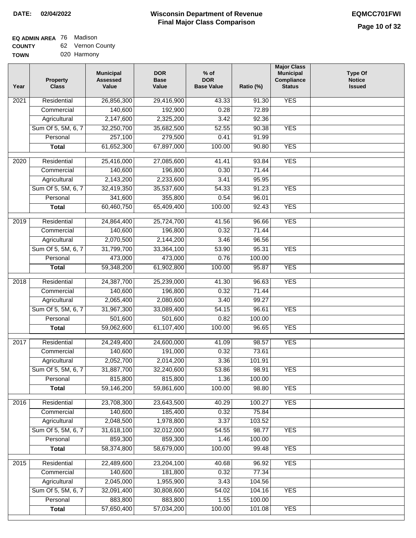### **Wisconsin Department of Revenue DATE: 02/04/2022 EQMCC701FWI Final Major Class Comparison**

**Major Class**

#### **EQ ADMIN AREA** Madison

Sum Of 5, 5M, 6, 7 **Personal Total**

 32,091,400 883,800 57,650,400

 30,808,600 883,800 57,034,200

 54.02 1.55 100.00  104.16 100.00 101.08

YES

YES

**COUNTY TOWN** 62 Vernon County 020 Harmony

| Year              | Property<br><b>Class</b> | <b>Municipal</b><br><b>Assessed</b><br>Value | <b>DOR</b><br><b>Base</b><br>Value | $%$ of<br><b>DOR</b><br><b>Base Value</b> | Ratio (%)          | major Glass<br><b>Municipal</b><br>Compliance<br><b>Status</b> | <b>Type Of</b><br><b>Notice</b><br><b>Issued</b> |
|-------------------|--------------------------|----------------------------------------------|------------------------------------|-------------------------------------------|--------------------|----------------------------------------------------------------|--------------------------------------------------|
| $\overline{2021}$ | Residential              | 26,856,300                                   | 29,416,900                         | 43.33                                     | 91.30              | <b>YES</b>                                                     |                                                  |
|                   | Commercial               | 140,600                                      | 192,900                            | 0.28                                      | 72.89              |                                                                |                                                  |
|                   | Agricultural             | 2,147,600                                    | 2,325,200                          | 3.42                                      | 92.36              |                                                                |                                                  |
|                   | Sum Of 5, 5M, 6, 7       | 32,250,700                                   | 35,682,500                         | 52.55                                     | 90.38              | <b>YES</b>                                                     |                                                  |
|                   | Personal                 | 257,100                                      | 279,500                            | 0.41                                      | 91.99              |                                                                |                                                  |
|                   | <b>Total</b>             | 61,652,300                                   | 67,897,000                         | 100.00                                    | 90.80              | <b>YES</b>                                                     |                                                  |
| 2020              | Residential              | 25,416,000                                   | 27,085,600                         | 41.41                                     | 93.84              | <b>YES</b>                                                     |                                                  |
|                   | Commercial               | 140,600                                      | 196,800                            | 0.30                                      | 71.44              |                                                                |                                                  |
|                   | Agricultural             | 2,143,200                                    | 2,233,600                          | 3.41                                      | 95.95              |                                                                |                                                  |
|                   | Sum Of 5, 5M, 6, 7       | 32,419,350                                   | 35,537,600                         | 54.33                                     | 91.23              | <b>YES</b>                                                     |                                                  |
|                   | Personal                 | 341,600                                      | 355,800                            | 0.54                                      | 96.01              |                                                                |                                                  |
|                   | <b>Total</b>             | 60,460,750                                   | 65,409,400                         | 100.00                                    | 92.43              | <b>YES</b>                                                     |                                                  |
| 2019              | Residential              | 24,864,400                                   | 25,724,700                         | 41.56                                     | 96.66              | <b>YES</b>                                                     |                                                  |
|                   | Commercial               | 140,600                                      | 196,800                            | 0.32                                      | 71.44              |                                                                |                                                  |
|                   | Agricultural             | 2,070,500                                    | 2,144,200                          | 3.46                                      | 96.56              |                                                                |                                                  |
|                   | Sum Of 5, 5M, 6, 7       | 31,799,700                                   | 33,364,100                         | 53.90                                     | 95.31              | <b>YES</b>                                                     |                                                  |
|                   | Personal                 | 473,000                                      | 473,000                            | 0.76                                      | 100.00             |                                                                |                                                  |
|                   | <b>Total</b>             | 59,348,200                                   | 61,902,800                         | 100.00                                    | 95.87              | <b>YES</b>                                                     |                                                  |
| 2018              | Residential              | 24,387,700                                   | 25,239,000                         | 41.30                                     | 96.63              | <b>YES</b>                                                     |                                                  |
|                   | Commercial               | 140,600                                      | 196,800                            | 0.32                                      | 71.44              |                                                                |                                                  |
|                   | Agricultural             | 2,065,400                                    | 2,080,600                          | 3.40                                      | 99.27              |                                                                |                                                  |
|                   | Sum Of 5, 5M, 6, 7       | 31,967,300                                   | 33,089,400                         | 54.15                                     | 96.61              | <b>YES</b>                                                     |                                                  |
|                   | Personal                 | 501,600                                      | 501,600                            | 0.82                                      | 100.00             |                                                                |                                                  |
|                   | <b>Total</b>             | 59,062,600                                   | 61,107,400                         | 100.00                                    | $\overline{96.65}$ | <b>YES</b>                                                     |                                                  |
| 2017              | Residential              | 24,249,400                                   | 24,600,000                         | 41.09                                     | 98.57              | <b>YES</b>                                                     |                                                  |
|                   | Commercial               | 140,600                                      | 191,000                            | 0.32                                      | 73.61              |                                                                |                                                  |
|                   | Agricultural             | 2,052,700                                    | 2,014,200                          | 3.36                                      | 101.91             |                                                                |                                                  |
|                   | Sum Of 5, 5M, 6, 7       | 31,887,700                                   | 32,240,600                         | 53.86                                     | 98.91              | <b>YES</b>                                                     |                                                  |
|                   | Personal                 | 815,800                                      | 815,800                            | 1.36                                      | 100.00             |                                                                |                                                  |
|                   | <b>Total</b>             | 59,146,200                                   | 59,861,600                         | 100.00                                    | 98.80              | <b>YES</b>                                                     |                                                  |
| 2016              | Residential              | 23,708,300                                   | 23,643,500                         | 40.29                                     | 100.27             | <b>YES</b>                                                     |                                                  |
|                   | Commercial               | 140,600                                      | 185,400                            | 0.32                                      | 75.84              |                                                                |                                                  |
|                   | Agricultural             | 2,048,500                                    | 1,978,800                          | 3.37                                      | 103.52             |                                                                |                                                  |
|                   | Sum Of 5, 5M, 6, 7       | 31,618,100                                   | 32,012,000                         | 54.55                                     | 98.77              | <b>YES</b>                                                     |                                                  |
|                   | Personal                 | 859,300                                      | 859,300                            | 1.46                                      | 100.00             |                                                                |                                                  |
|                   | <b>Total</b>             | 58,374,800                                   | 58,679,000                         | 100.00                                    | 99.48              | <b>YES</b>                                                     |                                                  |
| 2015              | Residential              | 22,489,600                                   | 23,204,100                         | 40.68                                     | 96.92              | <b>YES</b>                                                     |                                                  |
|                   | Commercial               | 140,600                                      | 181,800                            | 0.32                                      | 77.34              |                                                                |                                                  |
|                   | Agricultural             | 2,045,000                                    | 1,955,900                          | 3.43                                      | 104.56             |                                                                |                                                  |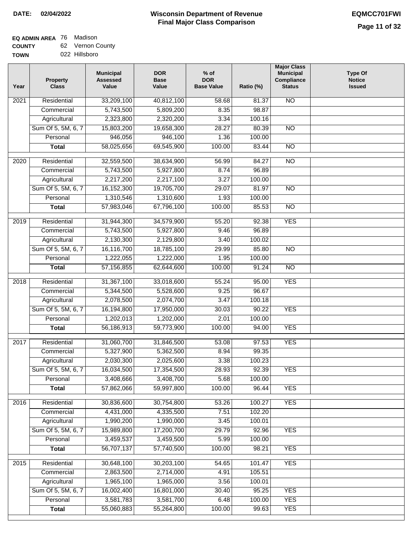# **EQ ADMIN AREA** 76 Madison

**COUNTY TOWN** 62 Vernon County 022 Hillsboro

| Year | <b>Property</b><br><b>Class</b>    | <b>Municipal</b><br><b>Assessed</b><br>Value | <b>DOR</b><br><b>Base</b><br>Value | $%$ of<br><b>DOR</b><br><b>Base Value</b> | Ratio (%)       | <b>Major Class</b><br><b>Municipal</b><br>Compliance<br><b>Status</b> | <b>Type Of</b><br><b>Notice</b><br><b>Issued</b> |
|------|------------------------------------|----------------------------------------------|------------------------------------|-------------------------------------------|-----------------|-----------------------------------------------------------------------|--------------------------------------------------|
| 2021 | Residential                        | 33,209,100                                   | 40,812,100                         | 58.68                                     | 81.37           | <b>NO</b>                                                             |                                                  |
|      | Commercial                         | 5,743,500                                    | 5,809,200                          | 8.35                                      | 98.87           |                                                                       |                                                  |
|      | Agricultural                       | 2,323,800                                    | 2,320,200                          | 3.34                                      | 100.16          |                                                                       |                                                  |
|      | Sum Of 5, 5M, 6, 7                 | 15,803,200                                   | 19,658,300                         | 28.27                                     | 80.39           | $\overline{NO}$                                                       |                                                  |
|      | Personal                           | 946,056                                      | 946,100                            | 1.36                                      | 100.00          |                                                                       |                                                  |
|      | <b>Total</b>                       | 58,025,656                                   | 69,545,900                         | 100.00                                    | 83.44           | $\overline{NO}$                                                       |                                                  |
| 2020 | Residential                        | 32,559,500                                   | 38,634,900                         | 56.99                                     | 84.27           | $\overline{NO}$                                                       |                                                  |
|      | Commercial                         | 5,743,500                                    | 5,927,800                          | 8.74                                      | 96.89           |                                                                       |                                                  |
|      | Agricultural                       | 2,217,200                                    | 2,217,100                          | 3.27                                      | 100.00          |                                                                       |                                                  |
|      | Sum Of 5, 5M, 6, 7                 | 16,152,300                                   | 19,705,700                         | 29.07                                     | 81.97           | $\overline{NO}$                                                       |                                                  |
|      | Personal                           | 1,310,546                                    | 1,310,600                          | 1.93                                      | 100.00          |                                                                       |                                                  |
|      | <b>Total</b>                       | 57,983,046                                   | 67,796,100                         | 100.00                                    | 85.53           | <b>NO</b>                                                             |                                                  |
| 2019 | Residential                        | 31,944,300                                   | 34,579,900                         | 55.20                                     | 92.38           | <b>YES</b>                                                            |                                                  |
|      | Commercial                         | 5,743,500                                    | 5,927,800                          | 9.46                                      | 96.89           |                                                                       |                                                  |
|      | Agricultural                       | 2,130,300                                    | 2,129,800                          | 3.40                                      | 100.02          |                                                                       |                                                  |
|      | Sum Of 5, 5M, 6, 7                 | 16,116,700                                   | 18,785,100                         | 29.99                                     | 85.80           | $\overline{NO}$                                                       |                                                  |
|      | Personal                           | 1,222,055                                    | 1,222,000                          | 1.95                                      | 100.00          |                                                                       |                                                  |
|      | <b>Total</b>                       | 57, 156, 855                                 | 62,644,600                         | 100.00                                    | 91.24           | $\overline{NO}$                                                       |                                                  |
|      |                                    |                                              |                                    |                                           |                 |                                                                       |                                                  |
| 2018 | Residential                        | 31,367,100                                   | 33,018,600                         | 55.24                                     | 95.00           | <b>YES</b>                                                            |                                                  |
|      | Commercial                         | 5,344,500                                    | 5,528,600                          | 9.25                                      | 96.67           |                                                                       |                                                  |
|      | Agricultural<br>Sum Of 5, 5M, 6, 7 | 2,078,500<br>16,194,800                      | 2,074,700<br>17,950,000            | 3.47<br>30.03                             | 100.18<br>90.22 | <b>YES</b>                                                            |                                                  |
|      | Personal                           | 1,202,013                                    | 1,202,000                          | 2.01                                      | 100.00          |                                                                       |                                                  |
|      | <b>Total</b>                       | 56,186,913                                   | 59,773,900                         | 100.00                                    | 94.00           | <b>YES</b>                                                            |                                                  |
|      |                                    |                                              |                                    |                                           |                 |                                                                       |                                                  |
| 2017 | Residential                        | 31,060,700                                   | 31,846,500                         | 53.08                                     | 97.53           | <b>YES</b>                                                            |                                                  |
|      | Commercial                         | 5,327,900                                    | 5,362,500                          | 8.94                                      | 99.35           |                                                                       |                                                  |
|      | Agricultural                       | 2,030,300                                    | 2,025,600                          | 3.38                                      | 100.23          |                                                                       |                                                  |
|      | Sum Of 5, 5M, 6, 7                 | 16,034,500                                   | 17,354,500                         | 28.93                                     | 92.39           | <b>YES</b>                                                            |                                                  |
|      | Personal                           | 3,408,666                                    | 3,408,700                          | 5.68                                      | 100.00          |                                                                       |                                                  |
|      | <b>Total</b>                       | 57,862,066                                   | 59,997,800                         | 100.00                                    | 96.44           | <b>YES</b>                                                            |                                                  |
| 2016 | Residential                        | 30,836,600                                   | 30,754,800                         | 53.26                                     | 100.27          | <b>YES</b>                                                            |                                                  |
|      | Commercial                         | 4,431,000                                    | 4,335,500                          | 7.51                                      | 102.20          |                                                                       |                                                  |
|      | Agricultural                       | 1,990,200                                    | 1,990,000                          | 3.45                                      | 100.01          |                                                                       |                                                  |
|      | Sum Of 5, 5M, 6, 7                 | 15,989,800                                   | 17,200,700                         | 29.79                                     | 92.96           | <b>YES</b>                                                            |                                                  |
|      | Personal                           | 3,459,537                                    | 3,459,500                          | 5.99                                      | 100.00          |                                                                       |                                                  |
|      | <b>Total</b>                       | 56,707,137                                   | 57,740,500                         | 100.00                                    | 98.21           | <b>YES</b>                                                            |                                                  |
| 2015 | Residential                        | 30,648,100                                   | 30,203,100                         | 54.65                                     | 101.47          | <b>YES</b>                                                            |                                                  |
|      | Commercial                         | 2,863,500                                    | 2,714,000                          | 4.91                                      | 105.51          |                                                                       |                                                  |
|      | Agricultural                       | 1,965,100                                    | 1,965,000                          | 3.56                                      | 100.01          |                                                                       |                                                  |
|      | Sum Of 5, 5M, 6, 7                 | 16,002,400                                   | 16,801,000                         | 30.40                                     | 95.25           | <b>YES</b>                                                            |                                                  |
|      | Personal                           | 3,581,783                                    | 3,581,700                          | 6.48                                      | 100.00          | <b>YES</b>                                                            |                                                  |
|      | <b>Total</b>                       | 55,060,883                                   | 55,264,800                         | 100.00                                    | 99.63           | <b>YES</b>                                                            |                                                  |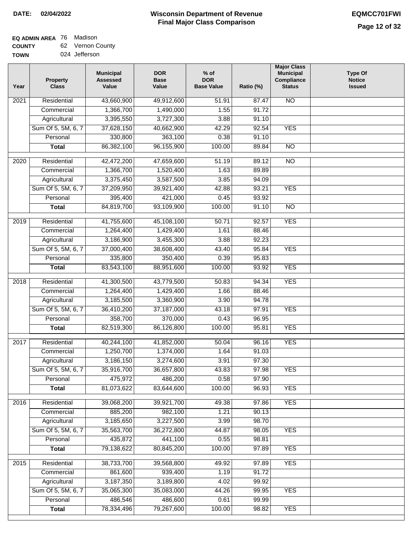#### **Wisconsin Department of Revenue Final Major Class Comparison DATE: 02/04/2022 EQMCC701FWI**

٦

## **EQ ADMIN AREA** 76 Madison

**COUNTY TOWN** 62 Vernon County

| 43,660,900<br><b>NO</b><br>Residential<br>49,912,600<br>51.91<br>87.47<br>2021<br>1,366,700<br>Commercial<br>1,490,000<br>1.55<br>91.72<br>3,395,550<br>3,727,300<br>3.88<br>91.10<br>Agricultural<br>42.29<br>Sum Of 5, 5M, 6, 7<br>37,628,150<br>40,662,900<br>92.54<br><b>YES</b><br>330,800<br>Personal<br>363,100<br>0.38<br>91.10<br>86,382,100<br>96,155,900<br>100.00<br>89.84<br>$\overline{NO}$<br><b>Total</b><br>$\overline{2020}$<br>Residential<br>42,472,200<br>47,659,600<br>51.19<br>89.12<br>$\overline{NO}$<br>Commercial<br>1,366,700<br>1,520,400<br>1.63<br>89.89<br>3,375,450<br>Agricultural<br>3,587,500<br>3.85<br>94.09<br>Sum Of 5, 5M, 6, 7<br>37,209,950<br>42.88<br>93.21<br><b>YES</b><br>39,921,400<br>395,400<br>Personal<br>421,000<br>0.45<br>93.92<br>84,819,700<br><b>Total</b><br>93,109,900<br>100.00<br>91.10<br><b>NO</b><br><b>YES</b><br>$\frac{1}{2019}$<br>Residential<br>41,755,600<br>45,108,100<br>92.57<br>50.71<br>Commercial<br>1,264,400<br>1,429,400<br>1.61<br>88.46<br>3,186,900<br>92.23<br>Agricultural<br>3,455,300<br>3.88<br>Sum Of 5, 5M, 6, 7<br>37,000,400<br>38,608,400<br><b>YES</b><br>43.40<br>95.84<br>350,400<br>0.39<br>Personal<br>335,800<br>95.83<br><b>YES</b><br>83,543,100<br>88,951,600<br>100.00<br>93.92<br><b>Total</b><br><b>YES</b><br>2018<br>Residential<br>41,300,500<br>43,779,500<br>50.83<br>94.34<br>Commercial<br>1,264,400<br>1,429,400<br>1.66<br>88.46<br>3,185,500<br>3,360,900<br>3.90<br>94.78<br>Agricultural<br>Sum Of 5, 5M, 6, 7<br>36,410,200<br>43.18<br>97.91<br><b>YES</b><br>37,187,000<br>358,700<br>Personal<br>370,000<br>0.43<br>96.95<br><b>YES</b><br>82,519,300<br>86,126,800<br>100.00<br>95.81<br><b>Total</b><br><b>YES</b><br>Residential<br>40,244,100<br>50.04<br>96.16<br>2017<br>41,852,000<br>1,250,700<br>1,374,000<br>1.64<br>91.03<br>Commercial<br>3,186,150<br>97.30<br>3,274,600<br>3.91<br>Agricultural<br>Sum Of 5, 5M, 6, 7<br>35,916,700<br>36,657,800<br>43.83<br>97.98<br><b>YES</b><br>Personal<br>475,972<br>486,200<br>0.58<br>97.90<br>81,073,622<br>83,644,600<br>100.00<br><b>YES</b><br><b>Total</b><br>96.93<br><b>YES</b><br>2016<br>Residential<br>39,068,200<br>39,921,700<br>49.38<br>97.86<br>885,200<br>Commercial<br>982,100<br>1.21<br>90.13<br>3,185,650<br>3.99<br>98.70<br>Agricultural<br>3,227,500<br>Sum Of 5, 5M, 6, 7<br>35,563,700<br>36,272,800<br>44.87<br>98.05<br><b>YES</b><br>435,872<br>Personal<br>441,100<br>0.55<br>98.81<br>79,138,622<br>80,845,200<br>100.00<br><b>YES</b><br><b>Total</b><br>97.89<br>38,733,700<br>39,568,800<br><b>YES</b><br>2015<br>Residential<br>49.92<br>97.89<br>861,600<br>939,400<br>91.72<br>Commercial<br>1.19<br>3,187,350<br>3,189,800<br>Agricultural<br>4.02<br>99.92<br>Sum Of 5, 5M, 6, 7<br>35,065,300<br>44.26<br>99.95<br>35,083,000<br><b>YES</b><br>486,546<br>486,600<br>0.61<br>Personal<br>99.99<br>78,334,496<br>79,267,600<br>100.00<br><b>YES</b><br>98.82<br><b>Total</b> | Year | <b>Property</b><br><b>Class</b> | <b>Municipal</b><br><b>Assessed</b><br>Value | <b>DOR</b><br><b>Base</b><br>Value | $%$ of<br><b>DOR</b><br><b>Base Value</b> | Ratio (%) | <b>Major Class</b><br><b>Municipal</b><br>Compliance<br><b>Status</b> | <b>Type Of</b><br><b>Notice</b><br><b>Issued</b> |
|------------------------------------------------------------------------------------------------------------------------------------------------------------------------------------------------------------------------------------------------------------------------------------------------------------------------------------------------------------------------------------------------------------------------------------------------------------------------------------------------------------------------------------------------------------------------------------------------------------------------------------------------------------------------------------------------------------------------------------------------------------------------------------------------------------------------------------------------------------------------------------------------------------------------------------------------------------------------------------------------------------------------------------------------------------------------------------------------------------------------------------------------------------------------------------------------------------------------------------------------------------------------------------------------------------------------------------------------------------------------------------------------------------------------------------------------------------------------------------------------------------------------------------------------------------------------------------------------------------------------------------------------------------------------------------------------------------------------------------------------------------------------------------------------------------------------------------------------------------------------------------------------------------------------------------------------------------------------------------------------------------------------------------------------------------------------------------------------------------------------------------------------------------------------------------------------------------------------------------------------------------------------------------------------------------------------------------------------------------------------------------------------------------------------------------------------------------------------------------------------------------------------------------------------------------------------------------------------------------------------------------------------------------------------------------------------------------------------------------------------------------------------------------------------------------------------------------------------------------------------------------------------------------------------------------------------------------------------------------------------------|------|---------------------------------|----------------------------------------------|------------------------------------|-------------------------------------------|-----------|-----------------------------------------------------------------------|--------------------------------------------------|
|                                                                                                                                                                                                                                                                                                                                                                                                                                                                                                                                                                                                                                                                                                                                                                                                                                                                                                                                                                                                                                                                                                                                                                                                                                                                                                                                                                                                                                                                                                                                                                                                                                                                                                                                                                                                                                                                                                                                                                                                                                                                                                                                                                                                                                                                                                                                                                                                                                                                                                                                                                                                                                                                                                                                                                                                                                                                                                                                                                                                      |      |                                 |                                              |                                    |                                           |           |                                                                       |                                                  |
|                                                                                                                                                                                                                                                                                                                                                                                                                                                                                                                                                                                                                                                                                                                                                                                                                                                                                                                                                                                                                                                                                                                                                                                                                                                                                                                                                                                                                                                                                                                                                                                                                                                                                                                                                                                                                                                                                                                                                                                                                                                                                                                                                                                                                                                                                                                                                                                                                                                                                                                                                                                                                                                                                                                                                                                                                                                                                                                                                                                                      |      |                                 |                                              |                                    |                                           |           |                                                                       |                                                  |
|                                                                                                                                                                                                                                                                                                                                                                                                                                                                                                                                                                                                                                                                                                                                                                                                                                                                                                                                                                                                                                                                                                                                                                                                                                                                                                                                                                                                                                                                                                                                                                                                                                                                                                                                                                                                                                                                                                                                                                                                                                                                                                                                                                                                                                                                                                                                                                                                                                                                                                                                                                                                                                                                                                                                                                                                                                                                                                                                                                                                      |      |                                 |                                              |                                    |                                           |           |                                                                       |                                                  |
|                                                                                                                                                                                                                                                                                                                                                                                                                                                                                                                                                                                                                                                                                                                                                                                                                                                                                                                                                                                                                                                                                                                                                                                                                                                                                                                                                                                                                                                                                                                                                                                                                                                                                                                                                                                                                                                                                                                                                                                                                                                                                                                                                                                                                                                                                                                                                                                                                                                                                                                                                                                                                                                                                                                                                                                                                                                                                                                                                                                                      |      |                                 |                                              |                                    |                                           |           |                                                                       |                                                  |
|                                                                                                                                                                                                                                                                                                                                                                                                                                                                                                                                                                                                                                                                                                                                                                                                                                                                                                                                                                                                                                                                                                                                                                                                                                                                                                                                                                                                                                                                                                                                                                                                                                                                                                                                                                                                                                                                                                                                                                                                                                                                                                                                                                                                                                                                                                                                                                                                                                                                                                                                                                                                                                                                                                                                                                                                                                                                                                                                                                                                      |      |                                 |                                              |                                    |                                           |           |                                                                       |                                                  |
|                                                                                                                                                                                                                                                                                                                                                                                                                                                                                                                                                                                                                                                                                                                                                                                                                                                                                                                                                                                                                                                                                                                                                                                                                                                                                                                                                                                                                                                                                                                                                                                                                                                                                                                                                                                                                                                                                                                                                                                                                                                                                                                                                                                                                                                                                                                                                                                                                                                                                                                                                                                                                                                                                                                                                                                                                                                                                                                                                                                                      |      |                                 |                                              |                                    |                                           |           |                                                                       |                                                  |
|                                                                                                                                                                                                                                                                                                                                                                                                                                                                                                                                                                                                                                                                                                                                                                                                                                                                                                                                                                                                                                                                                                                                                                                                                                                                                                                                                                                                                                                                                                                                                                                                                                                                                                                                                                                                                                                                                                                                                                                                                                                                                                                                                                                                                                                                                                                                                                                                                                                                                                                                                                                                                                                                                                                                                                                                                                                                                                                                                                                                      |      |                                 |                                              |                                    |                                           |           |                                                                       |                                                  |
|                                                                                                                                                                                                                                                                                                                                                                                                                                                                                                                                                                                                                                                                                                                                                                                                                                                                                                                                                                                                                                                                                                                                                                                                                                                                                                                                                                                                                                                                                                                                                                                                                                                                                                                                                                                                                                                                                                                                                                                                                                                                                                                                                                                                                                                                                                                                                                                                                                                                                                                                                                                                                                                                                                                                                                                                                                                                                                                                                                                                      |      |                                 |                                              |                                    |                                           |           |                                                                       |                                                  |
|                                                                                                                                                                                                                                                                                                                                                                                                                                                                                                                                                                                                                                                                                                                                                                                                                                                                                                                                                                                                                                                                                                                                                                                                                                                                                                                                                                                                                                                                                                                                                                                                                                                                                                                                                                                                                                                                                                                                                                                                                                                                                                                                                                                                                                                                                                                                                                                                                                                                                                                                                                                                                                                                                                                                                                                                                                                                                                                                                                                                      |      |                                 |                                              |                                    |                                           |           |                                                                       |                                                  |
|                                                                                                                                                                                                                                                                                                                                                                                                                                                                                                                                                                                                                                                                                                                                                                                                                                                                                                                                                                                                                                                                                                                                                                                                                                                                                                                                                                                                                                                                                                                                                                                                                                                                                                                                                                                                                                                                                                                                                                                                                                                                                                                                                                                                                                                                                                                                                                                                                                                                                                                                                                                                                                                                                                                                                                                                                                                                                                                                                                                                      |      |                                 |                                              |                                    |                                           |           |                                                                       |                                                  |
|                                                                                                                                                                                                                                                                                                                                                                                                                                                                                                                                                                                                                                                                                                                                                                                                                                                                                                                                                                                                                                                                                                                                                                                                                                                                                                                                                                                                                                                                                                                                                                                                                                                                                                                                                                                                                                                                                                                                                                                                                                                                                                                                                                                                                                                                                                                                                                                                                                                                                                                                                                                                                                                                                                                                                                                                                                                                                                                                                                                                      |      |                                 |                                              |                                    |                                           |           |                                                                       |                                                  |
|                                                                                                                                                                                                                                                                                                                                                                                                                                                                                                                                                                                                                                                                                                                                                                                                                                                                                                                                                                                                                                                                                                                                                                                                                                                                                                                                                                                                                                                                                                                                                                                                                                                                                                                                                                                                                                                                                                                                                                                                                                                                                                                                                                                                                                                                                                                                                                                                                                                                                                                                                                                                                                                                                                                                                                                                                                                                                                                                                                                                      |      |                                 |                                              |                                    |                                           |           |                                                                       |                                                  |
|                                                                                                                                                                                                                                                                                                                                                                                                                                                                                                                                                                                                                                                                                                                                                                                                                                                                                                                                                                                                                                                                                                                                                                                                                                                                                                                                                                                                                                                                                                                                                                                                                                                                                                                                                                                                                                                                                                                                                                                                                                                                                                                                                                                                                                                                                                                                                                                                                                                                                                                                                                                                                                                                                                                                                                                                                                                                                                                                                                                                      |      |                                 |                                              |                                    |                                           |           |                                                                       |                                                  |
|                                                                                                                                                                                                                                                                                                                                                                                                                                                                                                                                                                                                                                                                                                                                                                                                                                                                                                                                                                                                                                                                                                                                                                                                                                                                                                                                                                                                                                                                                                                                                                                                                                                                                                                                                                                                                                                                                                                                                                                                                                                                                                                                                                                                                                                                                                                                                                                                                                                                                                                                                                                                                                                                                                                                                                                                                                                                                                                                                                                                      |      |                                 |                                              |                                    |                                           |           |                                                                       |                                                  |
|                                                                                                                                                                                                                                                                                                                                                                                                                                                                                                                                                                                                                                                                                                                                                                                                                                                                                                                                                                                                                                                                                                                                                                                                                                                                                                                                                                                                                                                                                                                                                                                                                                                                                                                                                                                                                                                                                                                                                                                                                                                                                                                                                                                                                                                                                                                                                                                                                                                                                                                                                                                                                                                                                                                                                                                                                                                                                                                                                                                                      |      |                                 |                                              |                                    |                                           |           |                                                                       |                                                  |
|                                                                                                                                                                                                                                                                                                                                                                                                                                                                                                                                                                                                                                                                                                                                                                                                                                                                                                                                                                                                                                                                                                                                                                                                                                                                                                                                                                                                                                                                                                                                                                                                                                                                                                                                                                                                                                                                                                                                                                                                                                                                                                                                                                                                                                                                                                                                                                                                                                                                                                                                                                                                                                                                                                                                                                                                                                                                                                                                                                                                      |      |                                 |                                              |                                    |                                           |           |                                                                       |                                                  |
|                                                                                                                                                                                                                                                                                                                                                                                                                                                                                                                                                                                                                                                                                                                                                                                                                                                                                                                                                                                                                                                                                                                                                                                                                                                                                                                                                                                                                                                                                                                                                                                                                                                                                                                                                                                                                                                                                                                                                                                                                                                                                                                                                                                                                                                                                                                                                                                                                                                                                                                                                                                                                                                                                                                                                                                                                                                                                                                                                                                                      |      |                                 |                                              |                                    |                                           |           |                                                                       |                                                  |
|                                                                                                                                                                                                                                                                                                                                                                                                                                                                                                                                                                                                                                                                                                                                                                                                                                                                                                                                                                                                                                                                                                                                                                                                                                                                                                                                                                                                                                                                                                                                                                                                                                                                                                                                                                                                                                                                                                                                                                                                                                                                                                                                                                                                                                                                                                                                                                                                                                                                                                                                                                                                                                                                                                                                                                                                                                                                                                                                                                                                      |      |                                 |                                              |                                    |                                           |           |                                                                       |                                                  |
|                                                                                                                                                                                                                                                                                                                                                                                                                                                                                                                                                                                                                                                                                                                                                                                                                                                                                                                                                                                                                                                                                                                                                                                                                                                                                                                                                                                                                                                                                                                                                                                                                                                                                                                                                                                                                                                                                                                                                                                                                                                                                                                                                                                                                                                                                                                                                                                                                                                                                                                                                                                                                                                                                                                                                                                                                                                                                                                                                                                                      |      |                                 |                                              |                                    |                                           |           |                                                                       |                                                  |
|                                                                                                                                                                                                                                                                                                                                                                                                                                                                                                                                                                                                                                                                                                                                                                                                                                                                                                                                                                                                                                                                                                                                                                                                                                                                                                                                                                                                                                                                                                                                                                                                                                                                                                                                                                                                                                                                                                                                                                                                                                                                                                                                                                                                                                                                                                                                                                                                                                                                                                                                                                                                                                                                                                                                                                                                                                                                                                                                                                                                      |      |                                 |                                              |                                    |                                           |           |                                                                       |                                                  |
|                                                                                                                                                                                                                                                                                                                                                                                                                                                                                                                                                                                                                                                                                                                                                                                                                                                                                                                                                                                                                                                                                                                                                                                                                                                                                                                                                                                                                                                                                                                                                                                                                                                                                                                                                                                                                                                                                                                                                                                                                                                                                                                                                                                                                                                                                                                                                                                                                                                                                                                                                                                                                                                                                                                                                                                                                                                                                                                                                                                                      |      |                                 |                                              |                                    |                                           |           |                                                                       |                                                  |
|                                                                                                                                                                                                                                                                                                                                                                                                                                                                                                                                                                                                                                                                                                                                                                                                                                                                                                                                                                                                                                                                                                                                                                                                                                                                                                                                                                                                                                                                                                                                                                                                                                                                                                                                                                                                                                                                                                                                                                                                                                                                                                                                                                                                                                                                                                                                                                                                                                                                                                                                                                                                                                                                                                                                                                                                                                                                                                                                                                                                      |      |                                 |                                              |                                    |                                           |           |                                                                       |                                                  |
|                                                                                                                                                                                                                                                                                                                                                                                                                                                                                                                                                                                                                                                                                                                                                                                                                                                                                                                                                                                                                                                                                                                                                                                                                                                                                                                                                                                                                                                                                                                                                                                                                                                                                                                                                                                                                                                                                                                                                                                                                                                                                                                                                                                                                                                                                                                                                                                                                                                                                                                                                                                                                                                                                                                                                                                                                                                                                                                                                                                                      |      |                                 |                                              |                                    |                                           |           |                                                                       |                                                  |
|                                                                                                                                                                                                                                                                                                                                                                                                                                                                                                                                                                                                                                                                                                                                                                                                                                                                                                                                                                                                                                                                                                                                                                                                                                                                                                                                                                                                                                                                                                                                                                                                                                                                                                                                                                                                                                                                                                                                                                                                                                                                                                                                                                                                                                                                                                                                                                                                                                                                                                                                                                                                                                                                                                                                                                                                                                                                                                                                                                                                      |      |                                 |                                              |                                    |                                           |           |                                                                       |                                                  |
|                                                                                                                                                                                                                                                                                                                                                                                                                                                                                                                                                                                                                                                                                                                                                                                                                                                                                                                                                                                                                                                                                                                                                                                                                                                                                                                                                                                                                                                                                                                                                                                                                                                                                                                                                                                                                                                                                                                                                                                                                                                                                                                                                                                                                                                                                                                                                                                                                                                                                                                                                                                                                                                                                                                                                                                                                                                                                                                                                                                                      |      |                                 |                                              |                                    |                                           |           |                                                                       |                                                  |
|                                                                                                                                                                                                                                                                                                                                                                                                                                                                                                                                                                                                                                                                                                                                                                                                                                                                                                                                                                                                                                                                                                                                                                                                                                                                                                                                                                                                                                                                                                                                                                                                                                                                                                                                                                                                                                                                                                                                                                                                                                                                                                                                                                                                                                                                                                                                                                                                                                                                                                                                                                                                                                                                                                                                                                                                                                                                                                                                                                                                      |      |                                 |                                              |                                    |                                           |           |                                                                       |                                                  |
|                                                                                                                                                                                                                                                                                                                                                                                                                                                                                                                                                                                                                                                                                                                                                                                                                                                                                                                                                                                                                                                                                                                                                                                                                                                                                                                                                                                                                                                                                                                                                                                                                                                                                                                                                                                                                                                                                                                                                                                                                                                                                                                                                                                                                                                                                                                                                                                                                                                                                                                                                                                                                                                                                                                                                                                                                                                                                                                                                                                                      |      |                                 |                                              |                                    |                                           |           |                                                                       |                                                  |
|                                                                                                                                                                                                                                                                                                                                                                                                                                                                                                                                                                                                                                                                                                                                                                                                                                                                                                                                                                                                                                                                                                                                                                                                                                                                                                                                                                                                                                                                                                                                                                                                                                                                                                                                                                                                                                                                                                                                                                                                                                                                                                                                                                                                                                                                                                                                                                                                                                                                                                                                                                                                                                                                                                                                                                                                                                                                                                                                                                                                      |      |                                 |                                              |                                    |                                           |           |                                                                       |                                                  |
|                                                                                                                                                                                                                                                                                                                                                                                                                                                                                                                                                                                                                                                                                                                                                                                                                                                                                                                                                                                                                                                                                                                                                                                                                                                                                                                                                                                                                                                                                                                                                                                                                                                                                                                                                                                                                                                                                                                                                                                                                                                                                                                                                                                                                                                                                                                                                                                                                                                                                                                                                                                                                                                                                                                                                                                                                                                                                                                                                                                                      |      |                                 |                                              |                                    |                                           |           |                                                                       |                                                  |
|                                                                                                                                                                                                                                                                                                                                                                                                                                                                                                                                                                                                                                                                                                                                                                                                                                                                                                                                                                                                                                                                                                                                                                                                                                                                                                                                                                                                                                                                                                                                                                                                                                                                                                                                                                                                                                                                                                                                                                                                                                                                                                                                                                                                                                                                                                                                                                                                                                                                                                                                                                                                                                                                                                                                                                                                                                                                                                                                                                                                      |      |                                 |                                              |                                    |                                           |           |                                                                       |                                                  |
|                                                                                                                                                                                                                                                                                                                                                                                                                                                                                                                                                                                                                                                                                                                                                                                                                                                                                                                                                                                                                                                                                                                                                                                                                                                                                                                                                                                                                                                                                                                                                                                                                                                                                                                                                                                                                                                                                                                                                                                                                                                                                                                                                                                                                                                                                                                                                                                                                                                                                                                                                                                                                                                                                                                                                                                                                                                                                                                                                                                                      |      |                                 |                                              |                                    |                                           |           |                                                                       |                                                  |
|                                                                                                                                                                                                                                                                                                                                                                                                                                                                                                                                                                                                                                                                                                                                                                                                                                                                                                                                                                                                                                                                                                                                                                                                                                                                                                                                                                                                                                                                                                                                                                                                                                                                                                                                                                                                                                                                                                                                                                                                                                                                                                                                                                                                                                                                                                                                                                                                                                                                                                                                                                                                                                                                                                                                                                                                                                                                                                                                                                                                      |      |                                 |                                              |                                    |                                           |           |                                                                       |                                                  |
|                                                                                                                                                                                                                                                                                                                                                                                                                                                                                                                                                                                                                                                                                                                                                                                                                                                                                                                                                                                                                                                                                                                                                                                                                                                                                                                                                                                                                                                                                                                                                                                                                                                                                                                                                                                                                                                                                                                                                                                                                                                                                                                                                                                                                                                                                                                                                                                                                                                                                                                                                                                                                                                                                                                                                                                                                                                                                                                                                                                                      |      |                                 |                                              |                                    |                                           |           |                                                                       |                                                  |
|                                                                                                                                                                                                                                                                                                                                                                                                                                                                                                                                                                                                                                                                                                                                                                                                                                                                                                                                                                                                                                                                                                                                                                                                                                                                                                                                                                                                                                                                                                                                                                                                                                                                                                                                                                                                                                                                                                                                                                                                                                                                                                                                                                                                                                                                                                                                                                                                                                                                                                                                                                                                                                                                                                                                                                                                                                                                                                                                                                                                      |      |                                 |                                              |                                    |                                           |           |                                                                       |                                                  |
|                                                                                                                                                                                                                                                                                                                                                                                                                                                                                                                                                                                                                                                                                                                                                                                                                                                                                                                                                                                                                                                                                                                                                                                                                                                                                                                                                                                                                                                                                                                                                                                                                                                                                                                                                                                                                                                                                                                                                                                                                                                                                                                                                                                                                                                                                                                                                                                                                                                                                                                                                                                                                                                                                                                                                                                                                                                                                                                                                                                                      |      |                                 |                                              |                                    |                                           |           |                                                                       |                                                  |
|                                                                                                                                                                                                                                                                                                                                                                                                                                                                                                                                                                                                                                                                                                                                                                                                                                                                                                                                                                                                                                                                                                                                                                                                                                                                                                                                                                                                                                                                                                                                                                                                                                                                                                                                                                                                                                                                                                                                                                                                                                                                                                                                                                                                                                                                                                                                                                                                                                                                                                                                                                                                                                                                                                                                                                                                                                                                                                                                                                                                      |      |                                 |                                              |                                    |                                           |           |                                                                       |                                                  |
|                                                                                                                                                                                                                                                                                                                                                                                                                                                                                                                                                                                                                                                                                                                                                                                                                                                                                                                                                                                                                                                                                                                                                                                                                                                                                                                                                                                                                                                                                                                                                                                                                                                                                                                                                                                                                                                                                                                                                                                                                                                                                                                                                                                                                                                                                                                                                                                                                                                                                                                                                                                                                                                                                                                                                                                                                                                                                                                                                                                                      |      |                                 |                                              |                                    |                                           |           |                                                                       |                                                  |
|                                                                                                                                                                                                                                                                                                                                                                                                                                                                                                                                                                                                                                                                                                                                                                                                                                                                                                                                                                                                                                                                                                                                                                                                                                                                                                                                                                                                                                                                                                                                                                                                                                                                                                                                                                                                                                                                                                                                                                                                                                                                                                                                                                                                                                                                                                                                                                                                                                                                                                                                                                                                                                                                                                                                                                                                                                                                                                                                                                                                      |      |                                 |                                              |                                    |                                           |           |                                                                       |                                                  |
|                                                                                                                                                                                                                                                                                                                                                                                                                                                                                                                                                                                                                                                                                                                                                                                                                                                                                                                                                                                                                                                                                                                                                                                                                                                                                                                                                                                                                                                                                                                                                                                                                                                                                                                                                                                                                                                                                                                                                                                                                                                                                                                                                                                                                                                                                                                                                                                                                                                                                                                                                                                                                                                                                                                                                                                                                                                                                                                                                                                                      |      |                                 |                                              |                                    |                                           |           |                                                                       |                                                  |
|                                                                                                                                                                                                                                                                                                                                                                                                                                                                                                                                                                                                                                                                                                                                                                                                                                                                                                                                                                                                                                                                                                                                                                                                                                                                                                                                                                                                                                                                                                                                                                                                                                                                                                                                                                                                                                                                                                                                                                                                                                                                                                                                                                                                                                                                                                                                                                                                                                                                                                                                                                                                                                                                                                                                                                                                                                                                                                                                                                                                      |      |                                 |                                              |                                    |                                           |           |                                                                       |                                                  |
|                                                                                                                                                                                                                                                                                                                                                                                                                                                                                                                                                                                                                                                                                                                                                                                                                                                                                                                                                                                                                                                                                                                                                                                                                                                                                                                                                                                                                                                                                                                                                                                                                                                                                                                                                                                                                                                                                                                                                                                                                                                                                                                                                                                                                                                                                                                                                                                                                                                                                                                                                                                                                                                                                                                                                                                                                                                                                                                                                                                                      |      |                                 |                                              |                                    |                                           |           |                                                                       |                                                  |
|                                                                                                                                                                                                                                                                                                                                                                                                                                                                                                                                                                                                                                                                                                                                                                                                                                                                                                                                                                                                                                                                                                                                                                                                                                                                                                                                                                                                                                                                                                                                                                                                                                                                                                                                                                                                                                                                                                                                                                                                                                                                                                                                                                                                                                                                                                                                                                                                                                                                                                                                                                                                                                                                                                                                                                                                                                                                                                                                                                                                      |      |                                 |                                              |                                    |                                           |           |                                                                       |                                                  |
|                                                                                                                                                                                                                                                                                                                                                                                                                                                                                                                                                                                                                                                                                                                                                                                                                                                                                                                                                                                                                                                                                                                                                                                                                                                                                                                                                                                                                                                                                                                                                                                                                                                                                                                                                                                                                                                                                                                                                                                                                                                                                                                                                                                                                                                                                                                                                                                                                                                                                                                                                                                                                                                                                                                                                                                                                                                                                                                                                                                                      |      |                                 |                                              |                                    |                                           |           |                                                                       |                                                  |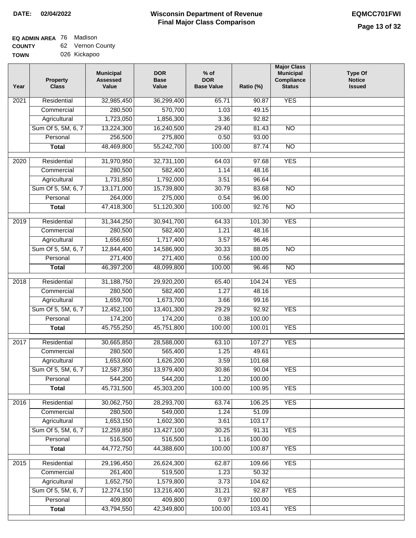#### **Wisconsin Department of Revenue Final Major Class Comparison DATE: 02/04/2022 EQMCC701FWI**

### **EQ ADMIN AREA** 76 Madison **COUNTY**

| <b>COUNTY</b> | 62 Vernon County |
|---------------|------------------|
| <b>TOWN</b>   | 026 Kickapoo     |

| <b>YES</b><br>Residential<br>32,985,450<br>36,299,400<br>65.71<br>90.87<br>2021<br>280,500<br>570,700<br>Commercial<br>1.03<br>49.15<br>1,723,050<br>1,856,300<br>3.36<br>92.82<br>Agricultural<br>Sum Of 5, 5M, 6, 7<br>13,224,300<br>16,240,500<br>29.40<br>81.43<br>$\overline{NO}$<br>256,500<br>275,800<br>0.50<br>93.00<br>Personal<br>48,469,800<br>55,242,700<br>100.00<br>87.74<br>$\overline{NO}$<br><b>Total</b><br><b>YES</b><br>Residential<br>32,731,100<br>64.03<br>97.68<br>2020<br>31,970,950<br>Commercial<br>280,500<br>582,400<br>1.14<br>48.16<br>1,731,850<br>1,792,000<br>3.51<br>96.64<br>Agricultural<br>Sum Of 5, 5M, 6, 7<br>13,171,000<br>15,739,800<br>30.79<br>83.68<br>$\overline{NO}$<br>264,000<br>275,000<br>0.54<br>96.00<br>Personal<br><b>Total</b><br>47,418,300<br>51,120,300<br>100.00<br>92.76<br><b>NO</b><br><b>YES</b><br>2019<br>Residential<br>31,344,250<br>30,941,700<br>101.30<br>64.33<br>280,500<br>582,400<br>1.21<br>Commercial<br>48.16<br>1,656,650<br>1,717,400<br>3.57<br>Agricultural<br>96.46<br>Sum Of 5, 5M, 6, 7<br>12,844,400<br>14,586,900<br>30.33<br>88.05<br>$\overline{NO}$<br>271,400<br>0.56<br>Personal<br>271,400<br>100.00<br>46,397,200<br>48,099,800<br>100.00<br>96.46<br>$\overline{NO}$<br><b>Total</b><br><b>YES</b><br>Residential<br>31,188,750<br>29,920,200<br>65.40<br>104.24<br>2018<br>1.27<br>Commercial<br>280,500<br>582,400<br>48.16<br>1,659,700<br>1,673,700<br>99.16<br>Agricultural<br>3.66<br>Sum Of 5, 5M, 6, 7<br>29.29<br><b>YES</b><br>12,452,100<br>13,401,300<br>92.92<br>174,200<br>174,200<br>0.38<br>100.00<br>Personal<br><b>YES</b><br>45,755,250<br>45,751,800<br>100.00<br>100.01<br><b>Total</b><br><b>YES</b><br>2017<br>Residential<br>30,665,850<br>107.27<br>28,588,000<br>63.10<br>280,500<br>565,400<br>1.25<br>49.61<br>Commercial<br>1,653,600<br>1,626,200<br>3.59<br>101.68<br>Agricultural<br>Sum Of 5, 5M, 6, 7<br>12,587,350<br>13,979,400<br>30.86<br>90.04<br><b>YES</b><br>544,200<br>Personal<br>544,200<br>1.20<br>100.00<br>45,731,500<br>45,303,200<br>100.00<br><b>YES</b><br><b>Total</b><br>100.95<br>Residential<br>30,062,750<br>28,293,700<br>63.74<br>106.25<br><b>YES</b><br>2016<br>280,500<br>549,000<br>Commercial<br>1.24<br>51.09<br>1,653,150<br>1,602,300<br>103.17<br>Agricultural<br>3.61<br>Sum Of 5, 5M, 6, 7<br>12,259,850<br>13,427,100<br>30.25<br>91.31<br><b>YES</b><br>516,500<br>516,500<br>Personal<br>1.16<br>100.00<br>44,772,750<br>44,388,600<br>100.00<br>100.87<br><b>YES</b><br><b>Total</b><br>29,196,450<br>26,624,300<br><b>YES</b><br>2015<br>Residential<br>62.87<br>109.66<br>261,400<br>519,500<br>50.32<br>Commercial<br>1.23<br>1,652,750<br>1,579,800<br>104.62<br>Agricultural<br>3.73<br>Sum Of 5, 5M, 6, 7<br>12,274,150<br>13,216,400<br>92.87<br><b>YES</b><br>31.21<br>409,800<br>409,800<br>0.97<br>100.00<br>Personal<br>43,794,550<br>42,349,800<br>100.00<br><b>YES</b><br>103.41<br><b>Total</b> | Year | <b>Property</b><br><b>Class</b> | <b>Municipal</b><br><b>Assessed</b><br>Value | <b>DOR</b><br><b>Base</b><br>Value | $%$ of<br><b>DOR</b><br><b>Base Value</b> | Ratio (%) | <b>Major Class</b><br><b>Municipal</b><br>Compliance<br><b>Status</b> | <b>Type Of</b><br><b>Notice</b><br><b>Issued</b> |
|------------------------------------------------------------------------------------------------------------------------------------------------------------------------------------------------------------------------------------------------------------------------------------------------------------------------------------------------------------------------------------------------------------------------------------------------------------------------------------------------------------------------------------------------------------------------------------------------------------------------------------------------------------------------------------------------------------------------------------------------------------------------------------------------------------------------------------------------------------------------------------------------------------------------------------------------------------------------------------------------------------------------------------------------------------------------------------------------------------------------------------------------------------------------------------------------------------------------------------------------------------------------------------------------------------------------------------------------------------------------------------------------------------------------------------------------------------------------------------------------------------------------------------------------------------------------------------------------------------------------------------------------------------------------------------------------------------------------------------------------------------------------------------------------------------------------------------------------------------------------------------------------------------------------------------------------------------------------------------------------------------------------------------------------------------------------------------------------------------------------------------------------------------------------------------------------------------------------------------------------------------------------------------------------------------------------------------------------------------------------------------------------------------------------------------------------------------------------------------------------------------------------------------------------------------------------------------------------------------------------------------------------------------------------------------------------------------------------------------------------------------------------------------------------------------------------------------------------------------------------------------------------------------------------------------------------------------------------------------------|------|---------------------------------|----------------------------------------------|------------------------------------|-------------------------------------------|-----------|-----------------------------------------------------------------------|--------------------------------------------------|
|                                                                                                                                                                                                                                                                                                                                                                                                                                                                                                                                                                                                                                                                                                                                                                                                                                                                                                                                                                                                                                                                                                                                                                                                                                                                                                                                                                                                                                                                                                                                                                                                                                                                                                                                                                                                                                                                                                                                                                                                                                                                                                                                                                                                                                                                                                                                                                                                                                                                                                                                                                                                                                                                                                                                                                                                                                                                                                                                                                                          |      |                                 |                                              |                                    |                                           |           |                                                                       |                                                  |
|                                                                                                                                                                                                                                                                                                                                                                                                                                                                                                                                                                                                                                                                                                                                                                                                                                                                                                                                                                                                                                                                                                                                                                                                                                                                                                                                                                                                                                                                                                                                                                                                                                                                                                                                                                                                                                                                                                                                                                                                                                                                                                                                                                                                                                                                                                                                                                                                                                                                                                                                                                                                                                                                                                                                                                                                                                                                                                                                                                                          |      |                                 |                                              |                                    |                                           |           |                                                                       |                                                  |
|                                                                                                                                                                                                                                                                                                                                                                                                                                                                                                                                                                                                                                                                                                                                                                                                                                                                                                                                                                                                                                                                                                                                                                                                                                                                                                                                                                                                                                                                                                                                                                                                                                                                                                                                                                                                                                                                                                                                                                                                                                                                                                                                                                                                                                                                                                                                                                                                                                                                                                                                                                                                                                                                                                                                                                                                                                                                                                                                                                                          |      |                                 |                                              |                                    |                                           |           |                                                                       |                                                  |
|                                                                                                                                                                                                                                                                                                                                                                                                                                                                                                                                                                                                                                                                                                                                                                                                                                                                                                                                                                                                                                                                                                                                                                                                                                                                                                                                                                                                                                                                                                                                                                                                                                                                                                                                                                                                                                                                                                                                                                                                                                                                                                                                                                                                                                                                                                                                                                                                                                                                                                                                                                                                                                                                                                                                                                                                                                                                                                                                                                                          |      |                                 |                                              |                                    |                                           |           |                                                                       |                                                  |
|                                                                                                                                                                                                                                                                                                                                                                                                                                                                                                                                                                                                                                                                                                                                                                                                                                                                                                                                                                                                                                                                                                                                                                                                                                                                                                                                                                                                                                                                                                                                                                                                                                                                                                                                                                                                                                                                                                                                                                                                                                                                                                                                                                                                                                                                                                                                                                                                                                                                                                                                                                                                                                                                                                                                                                                                                                                                                                                                                                                          |      |                                 |                                              |                                    |                                           |           |                                                                       |                                                  |
|                                                                                                                                                                                                                                                                                                                                                                                                                                                                                                                                                                                                                                                                                                                                                                                                                                                                                                                                                                                                                                                                                                                                                                                                                                                                                                                                                                                                                                                                                                                                                                                                                                                                                                                                                                                                                                                                                                                                                                                                                                                                                                                                                                                                                                                                                                                                                                                                                                                                                                                                                                                                                                                                                                                                                                                                                                                                                                                                                                                          |      |                                 |                                              |                                    |                                           |           |                                                                       |                                                  |
|                                                                                                                                                                                                                                                                                                                                                                                                                                                                                                                                                                                                                                                                                                                                                                                                                                                                                                                                                                                                                                                                                                                                                                                                                                                                                                                                                                                                                                                                                                                                                                                                                                                                                                                                                                                                                                                                                                                                                                                                                                                                                                                                                                                                                                                                                                                                                                                                                                                                                                                                                                                                                                                                                                                                                                                                                                                                                                                                                                                          |      |                                 |                                              |                                    |                                           |           |                                                                       |                                                  |
|                                                                                                                                                                                                                                                                                                                                                                                                                                                                                                                                                                                                                                                                                                                                                                                                                                                                                                                                                                                                                                                                                                                                                                                                                                                                                                                                                                                                                                                                                                                                                                                                                                                                                                                                                                                                                                                                                                                                                                                                                                                                                                                                                                                                                                                                                                                                                                                                                                                                                                                                                                                                                                                                                                                                                                                                                                                                                                                                                                                          |      |                                 |                                              |                                    |                                           |           |                                                                       |                                                  |
|                                                                                                                                                                                                                                                                                                                                                                                                                                                                                                                                                                                                                                                                                                                                                                                                                                                                                                                                                                                                                                                                                                                                                                                                                                                                                                                                                                                                                                                                                                                                                                                                                                                                                                                                                                                                                                                                                                                                                                                                                                                                                                                                                                                                                                                                                                                                                                                                                                                                                                                                                                                                                                                                                                                                                                                                                                                                                                                                                                                          |      |                                 |                                              |                                    |                                           |           |                                                                       |                                                  |
|                                                                                                                                                                                                                                                                                                                                                                                                                                                                                                                                                                                                                                                                                                                                                                                                                                                                                                                                                                                                                                                                                                                                                                                                                                                                                                                                                                                                                                                                                                                                                                                                                                                                                                                                                                                                                                                                                                                                                                                                                                                                                                                                                                                                                                                                                                                                                                                                                                                                                                                                                                                                                                                                                                                                                                                                                                                                                                                                                                                          |      |                                 |                                              |                                    |                                           |           |                                                                       |                                                  |
|                                                                                                                                                                                                                                                                                                                                                                                                                                                                                                                                                                                                                                                                                                                                                                                                                                                                                                                                                                                                                                                                                                                                                                                                                                                                                                                                                                                                                                                                                                                                                                                                                                                                                                                                                                                                                                                                                                                                                                                                                                                                                                                                                                                                                                                                                                                                                                                                                                                                                                                                                                                                                                                                                                                                                                                                                                                                                                                                                                                          |      |                                 |                                              |                                    |                                           |           |                                                                       |                                                  |
|                                                                                                                                                                                                                                                                                                                                                                                                                                                                                                                                                                                                                                                                                                                                                                                                                                                                                                                                                                                                                                                                                                                                                                                                                                                                                                                                                                                                                                                                                                                                                                                                                                                                                                                                                                                                                                                                                                                                                                                                                                                                                                                                                                                                                                                                                                                                                                                                                                                                                                                                                                                                                                                                                                                                                                                                                                                                                                                                                                                          |      |                                 |                                              |                                    |                                           |           |                                                                       |                                                  |
|                                                                                                                                                                                                                                                                                                                                                                                                                                                                                                                                                                                                                                                                                                                                                                                                                                                                                                                                                                                                                                                                                                                                                                                                                                                                                                                                                                                                                                                                                                                                                                                                                                                                                                                                                                                                                                                                                                                                                                                                                                                                                                                                                                                                                                                                                                                                                                                                                                                                                                                                                                                                                                                                                                                                                                                                                                                                                                                                                                                          |      |                                 |                                              |                                    |                                           |           |                                                                       |                                                  |
|                                                                                                                                                                                                                                                                                                                                                                                                                                                                                                                                                                                                                                                                                                                                                                                                                                                                                                                                                                                                                                                                                                                                                                                                                                                                                                                                                                                                                                                                                                                                                                                                                                                                                                                                                                                                                                                                                                                                                                                                                                                                                                                                                                                                                                                                                                                                                                                                                                                                                                                                                                                                                                                                                                                                                                                                                                                                                                                                                                                          |      |                                 |                                              |                                    |                                           |           |                                                                       |                                                  |
|                                                                                                                                                                                                                                                                                                                                                                                                                                                                                                                                                                                                                                                                                                                                                                                                                                                                                                                                                                                                                                                                                                                                                                                                                                                                                                                                                                                                                                                                                                                                                                                                                                                                                                                                                                                                                                                                                                                                                                                                                                                                                                                                                                                                                                                                                                                                                                                                                                                                                                                                                                                                                                                                                                                                                                                                                                                                                                                                                                                          |      |                                 |                                              |                                    |                                           |           |                                                                       |                                                  |
|                                                                                                                                                                                                                                                                                                                                                                                                                                                                                                                                                                                                                                                                                                                                                                                                                                                                                                                                                                                                                                                                                                                                                                                                                                                                                                                                                                                                                                                                                                                                                                                                                                                                                                                                                                                                                                                                                                                                                                                                                                                                                                                                                                                                                                                                                                                                                                                                                                                                                                                                                                                                                                                                                                                                                                                                                                                                                                                                                                                          |      |                                 |                                              |                                    |                                           |           |                                                                       |                                                  |
|                                                                                                                                                                                                                                                                                                                                                                                                                                                                                                                                                                                                                                                                                                                                                                                                                                                                                                                                                                                                                                                                                                                                                                                                                                                                                                                                                                                                                                                                                                                                                                                                                                                                                                                                                                                                                                                                                                                                                                                                                                                                                                                                                                                                                                                                                                                                                                                                                                                                                                                                                                                                                                                                                                                                                                                                                                                                                                                                                                                          |      |                                 |                                              |                                    |                                           |           |                                                                       |                                                  |
|                                                                                                                                                                                                                                                                                                                                                                                                                                                                                                                                                                                                                                                                                                                                                                                                                                                                                                                                                                                                                                                                                                                                                                                                                                                                                                                                                                                                                                                                                                                                                                                                                                                                                                                                                                                                                                                                                                                                                                                                                                                                                                                                                                                                                                                                                                                                                                                                                                                                                                                                                                                                                                                                                                                                                                                                                                                                                                                                                                                          |      |                                 |                                              |                                    |                                           |           |                                                                       |                                                  |
|                                                                                                                                                                                                                                                                                                                                                                                                                                                                                                                                                                                                                                                                                                                                                                                                                                                                                                                                                                                                                                                                                                                                                                                                                                                                                                                                                                                                                                                                                                                                                                                                                                                                                                                                                                                                                                                                                                                                                                                                                                                                                                                                                                                                                                                                                                                                                                                                                                                                                                                                                                                                                                                                                                                                                                                                                                                                                                                                                                                          |      |                                 |                                              |                                    |                                           |           |                                                                       |                                                  |
|                                                                                                                                                                                                                                                                                                                                                                                                                                                                                                                                                                                                                                                                                                                                                                                                                                                                                                                                                                                                                                                                                                                                                                                                                                                                                                                                                                                                                                                                                                                                                                                                                                                                                                                                                                                                                                                                                                                                                                                                                                                                                                                                                                                                                                                                                                                                                                                                                                                                                                                                                                                                                                                                                                                                                                                                                                                                                                                                                                                          |      |                                 |                                              |                                    |                                           |           |                                                                       |                                                  |
|                                                                                                                                                                                                                                                                                                                                                                                                                                                                                                                                                                                                                                                                                                                                                                                                                                                                                                                                                                                                                                                                                                                                                                                                                                                                                                                                                                                                                                                                                                                                                                                                                                                                                                                                                                                                                                                                                                                                                                                                                                                                                                                                                                                                                                                                                                                                                                                                                                                                                                                                                                                                                                                                                                                                                                                                                                                                                                                                                                                          |      |                                 |                                              |                                    |                                           |           |                                                                       |                                                  |
|                                                                                                                                                                                                                                                                                                                                                                                                                                                                                                                                                                                                                                                                                                                                                                                                                                                                                                                                                                                                                                                                                                                                                                                                                                                                                                                                                                                                                                                                                                                                                                                                                                                                                                                                                                                                                                                                                                                                                                                                                                                                                                                                                                                                                                                                                                                                                                                                                                                                                                                                                                                                                                                                                                                                                                                                                                                                                                                                                                                          |      |                                 |                                              |                                    |                                           |           |                                                                       |                                                  |
|                                                                                                                                                                                                                                                                                                                                                                                                                                                                                                                                                                                                                                                                                                                                                                                                                                                                                                                                                                                                                                                                                                                                                                                                                                                                                                                                                                                                                                                                                                                                                                                                                                                                                                                                                                                                                                                                                                                                                                                                                                                                                                                                                                                                                                                                                                                                                                                                                                                                                                                                                                                                                                                                                                                                                                                                                                                                                                                                                                                          |      |                                 |                                              |                                    |                                           |           |                                                                       |                                                  |
|                                                                                                                                                                                                                                                                                                                                                                                                                                                                                                                                                                                                                                                                                                                                                                                                                                                                                                                                                                                                                                                                                                                                                                                                                                                                                                                                                                                                                                                                                                                                                                                                                                                                                                                                                                                                                                                                                                                                                                                                                                                                                                                                                                                                                                                                                                                                                                                                                                                                                                                                                                                                                                                                                                                                                                                                                                                                                                                                                                                          |      |                                 |                                              |                                    |                                           |           |                                                                       |                                                  |
|                                                                                                                                                                                                                                                                                                                                                                                                                                                                                                                                                                                                                                                                                                                                                                                                                                                                                                                                                                                                                                                                                                                                                                                                                                                                                                                                                                                                                                                                                                                                                                                                                                                                                                                                                                                                                                                                                                                                                                                                                                                                                                                                                                                                                                                                                                                                                                                                                                                                                                                                                                                                                                                                                                                                                                                                                                                                                                                                                                                          |      |                                 |                                              |                                    |                                           |           |                                                                       |                                                  |
|                                                                                                                                                                                                                                                                                                                                                                                                                                                                                                                                                                                                                                                                                                                                                                                                                                                                                                                                                                                                                                                                                                                                                                                                                                                                                                                                                                                                                                                                                                                                                                                                                                                                                                                                                                                                                                                                                                                                                                                                                                                                                                                                                                                                                                                                                                                                                                                                                                                                                                                                                                                                                                                                                                                                                                                                                                                                                                                                                                                          |      |                                 |                                              |                                    |                                           |           |                                                                       |                                                  |
|                                                                                                                                                                                                                                                                                                                                                                                                                                                                                                                                                                                                                                                                                                                                                                                                                                                                                                                                                                                                                                                                                                                                                                                                                                                                                                                                                                                                                                                                                                                                                                                                                                                                                                                                                                                                                                                                                                                                                                                                                                                                                                                                                                                                                                                                                                                                                                                                                                                                                                                                                                                                                                                                                                                                                                                                                                                                                                                                                                                          |      |                                 |                                              |                                    |                                           |           |                                                                       |                                                  |
|                                                                                                                                                                                                                                                                                                                                                                                                                                                                                                                                                                                                                                                                                                                                                                                                                                                                                                                                                                                                                                                                                                                                                                                                                                                                                                                                                                                                                                                                                                                                                                                                                                                                                                                                                                                                                                                                                                                                                                                                                                                                                                                                                                                                                                                                                                                                                                                                                                                                                                                                                                                                                                                                                                                                                                                                                                                                                                                                                                                          |      |                                 |                                              |                                    |                                           |           |                                                                       |                                                  |
|                                                                                                                                                                                                                                                                                                                                                                                                                                                                                                                                                                                                                                                                                                                                                                                                                                                                                                                                                                                                                                                                                                                                                                                                                                                                                                                                                                                                                                                                                                                                                                                                                                                                                                                                                                                                                                                                                                                                                                                                                                                                                                                                                                                                                                                                                                                                                                                                                                                                                                                                                                                                                                                                                                                                                                                                                                                                                                                                                                                          |      |                                 |                                              |                                    |                                           |           |                                                                       |                                                  |
|                                                                                                                                                                                                                                                                                                                                                                                                                                                                                                                                                                                                                                                                                                                                                                                                                                                                                                                                                                                                                                                                                                                                                                                                                                                                                                                                                                                                                                                                                                                                                                                                                                                                                                                                                                                                                                                                                                                                                                                                                                                                                                                                                                                                                                                                                                                                                                                                                                                                                                                                                                                                                                                                                                                                                                                                                                                                                                                                                                                          |      |                                 |                                              |                                    |                                           |           |                                                                       |                                                  |
|                                                                                                                                                                                                                                                                                                                                                                                                                                                                                                                                                                                                                                                                                                                                                                                                                                                                                                                                                                                                                                                                                                                                                                                                                                                                                                                                                                                                                                                                                                                                                                                                                                                                                                                                                                                                                                                                                                                                                                                                                                                                                                                                                                                                                                                                                                                                                                                                                                                                                                                                                                                                                                                                                                                                                                                                                                                                                                                                                                                          |      |                                 |                                              |                                    |                                           |           |                                                                       |                                                  |
|                                                                                                                                                                                                                                                                                                                                                                                                                                                                                                                                                                                                                                                                                                                                                                                                                                                                                                                                                                                                                                                                                                                                                                                                                                                                                                                                                                                                                                                                                                                                                                                                                                                                                                                                                                                                                                                                                                                                                                                                                                                                                                                                                                                                                                                                                                                                                                                                                                                                                                                                                                                                                                                                                                                                                                                                                                                                                                                                                                                          |      |                                 |                                              |                                    |                                           |           |                                                                       |                                                  |
|                                                                                                                                                                                                                                                                                                                                                                                                                                                                                                                                                                                                                                                                                                                                                                                                                                                                                                                                                                                                                                                                                                                                                                                                                                                                                                                                                                                                                                                                                                                                                                                                                                                                                                                                                                                                                                                                                                                                                                                                                                                                                                                                                                                                                                                                                                                                                                                                                                                                                                                                                                                                                                                                                                                                                                                                                                                                                                                                                                                          |      |                                 |                                              |                                    |                                           |           |                                                                       |                                                  |
|                                                                                                                                                                                                                                                                                                                                                                                                                                                                                                                                                                                                                                                                                                                                                                                                                                                                                                                                                                                                                                                                                                                                                                                                                                                                                                                                                                                                                                                                                                                                                                                                                                                                                                                                                                                                                                                                                                                                                                                                                                                                                                                                                                                                                                                                                                                                                                                                                                                                                                                                                                                                                                                                                                                                                                                                                                                                                                                                                                                          |      |                                 |                                              |                                    |                                           |           |                                                                       |                                                  |
|                                                                                                                                                                                                                                                                                                                                                                                                                                                                                                                                                                                                                                                                                                                                                                                                                                                                                                                                                                                                                                                                                                                                                                                                                                                                                                                                                                                                                                                                                                                                                                                                                                                                                                                                                                                                                                                                                                                                                                                                                                                                                                                                                                                                                                                                                                                                                                                                                                                                                                                                                                                                                                                                                                                                                                                                                                                                                                                                                                                          |      |                                 |                                              |                                    |                                           |           |                                                                       |                                                  |
|                                                                                                                                                                                                                                                                                                                                                                                                                                                                                                                                                                                                                                                                                                                                                                                                                                                                                                                                                                                                                                                                                                                                                                                                                                                                                                                                                                                                                                                                                                                                                                                                                                                                                                                                                                                                                                                                                                                                                                                                                                                                                                                                                                                                                                                                                                                                                                                                                                                                                                                                                                                                                                                                                                                                                                                                                                                                                                                                                                                          |      |                                 |                                              |                                    |                                           |           |                                                                       |                                                  |
|                                                                                                                                                                                                                                                                                                                                                                                                                                                                                                                                                                                                                                                                                                                                                                                                                                                                                                                                                                                                                                                                                                                                                                                                                                                                                                                                                                                                                                                                                                                                                                                                                                                                                                                                                                                                                                                                                                                                                                                                                                                                                                                                                                                                                                                                                                                                                                                                                                                                                                                                                                                                                                                                                                                                                                                                                                                                                                                                                                                          |      |                                 |                                              |                                    |                                           |           |                                                                       |                                                  |
|                                                                                                                                                                                                                                                                                                                                                                                                                                                                                                                                                                                                                                                                                                                                                                                                                                                                                                                                                                                                                                                                                                                                                                                                                                                                                                                                                                                                                                                                                                                                                                                                                                                                                                                                                                                                                                                                                                                                                                                                                                                                                                                                                                                                                                                                                                                                                                                                                                                                                                                                                                                                                                                                                                                                                                                                                                                                                                                                                                                          |      |                                 |                                              |                                    |                                           |           |                                                                       |                                                  |
|                                                                                                                                                                                                                                                                                                                                                                                                                                                                                                                                                                                                                                                                                                                                                                                                                                                                                                                                                                                                                                                                                                                                                                                                                                                                                                                                                                                                                                                                                                                                                                                                                                                                                                                                                                                                                                                                                                                                                                                                                                                                                                                                                                                                                                                                                                                                                                                                                                                                                                                                                                                                                                                                                                                                                                                                                                                                                                                                                                                          |      |                                 |                                              |                                    |                                           |           |                                                                       |                                                  |
|                                                                                                                                                                                                                                                                                                                                                                                                                                                                                                                                                                                                                                                                                                                                                                                                                                                                                                                                                                                                                                                                                                                                                                                                                                                                                                                                                                                                                                                                                                                                                                                                                                                                                                                                                                                                                                                                                                                                                                                                                                                                                                                                                                                                                                                                                                                                                                                                                                                                                                                                                                                                                                                                                                                                                                                                                                                                                                                                                                                          |      |                                 |                                              |                                    |                                           |           |                                                                       |                                                  |
|                                                                                                                                                                                                                                                                                                                                                                                                                                                                                                                                                                                                                                                                                                                                                                                                                                                                                                                                                                                                                                                                                                                                                                                                                                                                                                                                                                                                                                                                                                                                                                                                                                                                                                                                                                                                                                                                                                                                                                                                                                                                                                                                                                                                                                                                                                                                                                                                                                                                                                                                                                                                                                                                                                                                                                                                                                                                                                                                                                                          |      |                                 |                                              |                                    |                                           |           |                                                                       |                                                  |
|                                                                                                                                                                                                                                                                                                                                                                                                                                                                                                                                                                                                                                                                                                                                                                                                                                                                                                                                                                                                                                                                                                                                                                                                                                                                                                                                                                                                                                                                                                                                                                                                                                                                                                                                                                                                                                                                                                                                                                                                                                                                                                                                                                                                                                                                                                                                                                                                                                                                                                                                                                                                                                                                                                                                                                                                                                                                                                                                                                                          |      |                                 |                                              |                                    |                                           |           |                                                                       |                                                  |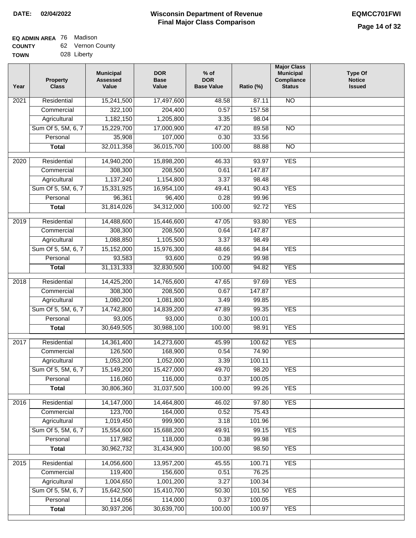| - - - - - - - |             |
|---------------|-------------|
| <b>TOWN</b>   | 028 Liberty |

| Residential<br>17,497,600<br>48.58<br>87.11<br>2021<br>322,100<br>0.57<br>157.58<br>204,400<br>Commercial<br>1,182,150<br>1,205,800<br>3.35<br>98.04<br>Agricultural<br>Sum Of 5, 5M, 6, 7<br>15,229,700<br>17,000,900<br>47.20<br>89.58<br>$\overline{NO}$<br>35,908<br>107,000<br>Personal<br>0.30<br>33.56<br>32,011,358<br>36,015,700<br>$\overline{NO}$<br>100.00<br>88.88<br><b>Total</b><br><b>YES</b><br>Residential<br>14,940,200<br>15,898,200<br>46.33<br>93.97<br>2020<br>308,300<br>208,500<br>0.61<br>147.87<br>Commercial<br>1,137,240<br>1,154,800<br>3.37<br>98.48<br>Agricultural<br><b>YES</b><br>Sum Of 5, 5M, 6, 7<br>16,954,100<br>49.41<br>90.43<br>15,331,925<br>0.28<br>Personal<br>96,361<br>96,400<br>99.96<br>31,814,026<br>34,312,000<br>100.00<br>92.72<br><b>YES</b><br><b>Total</b><br>Residential<br>14,488,600<br>15,446,600<br>47.05<br>93.80<br><b>YES</b><br>2019<br>308,300<br>208,500<br>Commercial<br>0.64<br>147.87<br>1,088,850<br>1,105,500<br>3.37<br>Agricultural<br>98.49<br>Sum Of 5, 5M, 6, 7<br>15,152,000<br>15,976,300<br>48.66<br>94.84<br><b>YES</b><br>0.29<br>Personal<br>93,583<br>93,600<br>99.98<br>31, 131, 333<br>32,830,500<br>100.00<br>94.82<br><b>YES</b><br><b>Total</b><br>$\overline{2018}$<br>Residential<br>14,425,200<br>14,765,600<br>97.69<br><b>YES</b><br>47.65<br>Commercial<br>308,300<br>208,500<br>0.67<br>147.87<br>1,080,200<br>1,081,800<br>3.49<br>99.85<br>Agricultural<br>Sum Of 5, 5M, 6, 7<br>99.35<br><b>YES</b><br>14,742,800<br>14,839,200<br>47.89<br>Personal<br>93,005<br>93,000<br>0.30<br>100.01<br>30,649,505<br><b>YES</b><br>30,988,100<br>100.00<br>98.91<br><b>Total</b><br><b>YES</b><br>2017<br>Residential<br>14,361,400<br>14,273,600<br>45.99<br>100.62<br>126,500<br>0.54<br>168,900<br>74.90<br>Commercial<br>1,053,200<br>3.39<br>1,052,000<br>100.11<br>Agricultural<br>Sum Of 5, 5M, 6, 7<br>15,149,200<br>15,427,000<br><b>YES</b><br>49.70<br>98.20<br>116,060<br>116,000<br>0.37<br>100.05<br>Personal<br>30,806,360<br>100.00<br><b>YES</b><br>31,037,500<br>99.26<br><b>Total</b><br><b>YES</b><br>Residential<br>14,147,000<br>14,464,800<br>46.02<br>97.80<br>2016<br>123,700<br>75.43<br>164,000<br>0.52<br>Commercial<br>1,019,450<br>999,900<br>Agricultural<br>3.18<br>101.96<br>Sum Of 5, 5M, 6, 7<br>15,554,600<br>15,688,200<br>49.91<br>99.15<br><b>YES</b><br>117,982<br>118,000<br>Personal<br>0.38<br>99.98<br>30,962,732<br>31,434,900<br>100.00<br>98.50<br><b>YES</b><br><b>Total</b><br>14,056,600<br>13,957,200<br><b>YES</b><br>2015<br>Residential<br>45.55<br>100.71<br>119,400<br>Commercial<br>156,600<br>0.51<br>76.25<br>1,004,650<br>1,001,200<br>Agricultural<br>3.27<br>100.34<br>Sum Of 5, 5M, 6, 7<br>15,642,500<br>15,410,700<br>50.30<br>101.50<br><b>YES</b><br>Personal<br>114,056<br>114,000<br>0.37<br>100.05<br>30,937,206<br>30,639,700<br>100.00<br><b>YES</b><br>100.97<br><b>Total</b> | Year | <b>Property</b><br><b>Class</b> | <b>Municipal</b><br><b>Assessed</b><br>Value | <b>DOR</b><br><b>Base</b><br>Value | $%$ of<br><b>DOR</b><br><b>Base Value</b> | Ratio (%) | <b>Major Class</b><br><b>Municipal</b><br>Compliance<br><b>Status</b> | <b>Type Of</b><br><b>Notice</b><br><b>Issued</b> |
|---------------------------------------------------------------------------------------------------------------------------------------------------------------------------------------------------------------------------------------------------------------------------------------------------------------------------------------------------------------------------------------------------------------------------------------------------------------------------------------------------------------------------------------------------------------------------------------------------------------------------------------------------------------------------------------------------------------------------------------------------------------------------------------------------------------------------------------------------------------------------------------------------------------------------------------------------------------------------------------------------------------------------------------------------------------------------------------------------------------------------------------------------------------------------------------------------------------------------------------------------------------------------------------------------------------------------------------------------------------------------------------------------------------------------------------------------------------------------------------------------------------------------------------------------------------------------------------------------------------------------------------------------------------------------------------------------------------------------------------------------------------------------------------------------------------------------------------------------------------------------------------------------------------------------------------------------------------------------------------------------------------------------------------------------------------------------------------------------------------------------------------------------------------------------------------------------------------------------------------------------------------------------------------------------------------------------------------------------------------------------------------------------------------------------------------------------------------------------------------------------------------------------------------------------------------------------------------------------------------------------------------------------------------------------------------------------------------------------------------------------------------------------------------------------------------------------------------------------------------------------------------------------------------------------------------------------|------|---------------------------------|----------------------------------------------|------------------------------------|-------------------------------------------|-----------|-----------------------------------------------------------------------|--------------------------------------------------|
|                                                                                                                                                                                                                                                                                                                                                                                                                                                                                                                                                                                                                                                                                                                                                                                                                                                                                                                                                                                                                                                                                                                                                                                                                                                                                                                                                                                                                                                                                                                                                                                                                                                                                                                                                                                                                                                                                                                                                                                                                                                                                                                                                                                                                                                                                                                                                                                                                                                                                                                                                                                                                                                                                                                                                                                                                                                                                                                                                   |      |                                 | 15,241,500                                   |                                    |                                           |           | N <sub>O</sub>                                                        |                                                  |
|                                                                                                                                                                                                                                                                                                                                                                                                                                                                                                                                                                                                                                                                                                                                                                                                                                                                                                                                                                                                                                                                                                                                                                                                                                                                                                                                                                                                                                                                                                                                                                                                                                                                                                                                                                                                                                                                                                                                                                                                                                                                                                                                                                                                                                                                                                                                                                                                                                                                                                                                                                                                                                                                                                                                                                                                                                                                                                                                                   |      |                                 |                                              |                                    |                                           |           |                                                                       |                                                  |
|                                                                                                                                                                                                                                                                                                                                                                                                                                                                                                                                                                                                                                                                                                                                                                                                                                                                                                                                                                                                                                                                                                                                                                                                                                                                                                                                                                                                                                                                                                                                                                                                                                                                                                                                                                                                                                                                                                                                                                                                                                                                                                                                                                                                                                                                                                                                                                                                                                                                                                                                                                                                                                                                                                                                                                                                                                                                                                                                                   |      |                                 |                                              |                                    |                                           |           |                                                                       |                                                  |
|                                                                                                                                                                                                                                                                                                                                                                                                                                                                                                                                                                                                                                                                                                                                                                                                                                                                                                                                                                                                                                                                                                                                                                                                                                                                                                                                                                                                                                                                                                                                                                                                                                                                                                                                                                                                                                                                                                                                                                                                                                                                                                                                                                                                                                                                                                                                                                                                                                                                                                                                                                                                                                                                                                                                                                                                                                                                                                                                                   |      |                                 |                                              |                                    |                                           |           |                                                                       |                                                  |
|                                                                                                                                                                                                                                                                                                                                                                                                                                                                                                                                                                                                                                                                                                                                                                                                                                                                                                                                                                                                                                                                                                                                                                                                                                                                                                                                                                                                                                                                                                                                                                                                                                                                                                                                                                                                                                                                                                                                                                                                                                                                                                                                                                                                                                                                                                                                                                                                                                                                                                                                                                                                                                                                                                                                                                                                                                                                                                                                                   |      |                                 |                                              |                                    |                                           |           |                                                                       |                                                  |
|                                                                                                                                                                                                                                                                                                                                                                                                                                                                                                                                                                                                                                                                                                                                                                                                                                                                                                                                                                                                                                                                                                                                                                                                                                                                                                                                                                                                                                                                                                                                                                                                                                                                                                                                                                                                                                                                                                                                                                                                                                                                                                                                                                                                                                                                                                                                                                                                                                                                                                                                                                                                                                                                                                                                                                                                                                                                                                                                                   |      |                                 |                                              |                                    |                                           |           |                                                                       |                                                  |
|                                                                                                                                                                                                                                                                                                                                                                                                                                                                                                                                                                                                                                                                                                                                                                                                                                                                                                                                                                                                                                                                                                                                                                                                                                                                                                                                                                                                                                                                                                                                                                                                                                                                                                                                                                                                                                                                                                                                                                                                                                                                                                                                                                                                                                                                                                                                                                                                                                                                                                                                                                                                                                                                                                                                                                                                                                                                                                                                                   |      |                                 |                                              |                                    |                                           |           |                                                                       |                                                  |
|                                                                                                                                                                                                                                                                                                                                                                                                                                                                                                                                                                                                                                                                                                                                                                                                                                                                                                                                                                                                                                                                                                                                                                                                                                                                                                                                                                                                                                                                                                                                                                                                                                                                                                                                                                                                                                                                                                                                                                                                                                                                                                                                                                                                                                                                                                                                                                                                                                                                                                                                                                                                                                                                                                                                                                                                                                                                                                                                                   |      |                                 |                                              |                                    |                                           |           |                                                                       |                                                  |
|                                                                                                                                                                                                                                                                                                                                                                                                                                                                                                                                                                                                                                                                                                                                                                                                                                                                                                                                                                                                                                                                                                                                                                                                                                                                                                                                                                                                                                                                                                                                                                                                                                                                                                                                                                                                                                                                                                                                                                                                                                                                                                                                                                                                                                                                                                                                                                                                                                                                                                                                                                                                                                                                                                                                                                                                                                                                                                                                                   |      |                                 |                                              |                                    |                                           |           |                                                                       |                                                  |
|                                                                                                                                                                                                                                                                                                                                                                                                                                                                                                                                                                                                                                                                                                                                                                                                                                                                                                                                                                                                                                                                                                                                                                                                                                                                                                                                                                                                                                                                                                                                                                                                                                                                                                                                                                                                                                                                                                                                                                                                                                                                                                                                                                                                                                                                                                                                                                                                                                                                                                                                                                                                                                                                                                                                                                                                                                                                                                                                                   |      |                                 |                                              |                                    |                                           |           |                                                                       |                                                  |
|                                                                                                                                                                                                                                                                                                                                                                                                                                                                                                                                                                                                                                                                                                                                                                                                                                                                                                                                                                                                                                                                                                                                                                                                                                                                                                                                                                                                                                                                                                                                                                                                                                                                                                                                                                                                                                                                                                                                                                                                                                                                                                                                                                                                                                                                                                                                                                                                                                                                                                                                                                                                                                                                                                                                                                                                                                                                                                                                                   |      |                                 |                                              |                                    |                                           |           |                                                                       |                                                  |
|                                                                                                                                                                                                                                                                                                                                                                                                                                                                                                                                                                                                                                                                                                                                                                                                                                                                                                                                                                                                                                                                                                                                                                                                                                                                                                                                                                                                                                                                                                                                                                                                                                                                                                                                                                                                                                                                                                                                                                                                                                                                                                                                                                                                                                                                                                                                                                                                                                                                                                                                                                                                                                                                                                                                                                                                                                                                                                                                                   |      |                                 |                                              |                                    |                                           |           |                                                                       |                                                  |
|                                                                                                                                                                                                                                                                                                                                                                                                                                                                                                                                                                                                                                                                                                                                                                                                                                                                                                                                                                                                                                                                                                                                                                                                                                                                                                                                                                                                                                                                                                                                                                                                                                                                                                                                                                                                                                                                                                                                                                                                                                                                                                                                                                                                                                                                                                                                                                                                                                                                                                                                                                                                                                                                                                                                                                                                                                                                                                                                                   |      |                                 |                                              |                                    |                                           |           |                                                                       |                                                  |
|                                                                                                                                                                                                                                                                                                                                                                                                                                                                                                                                                                                                                                                                                                                                                                                                                                                                                                                                                                                                                                                                                                                                                                                                                                                                                                                                                                                                                                                                                                                                                                                                                                                                                                                                                                                                                                                                                                                                                                                                                                                                                                                                                                                                                                                                                                                                                                                                                                                                                                                                                                                                                                                                                                                                                                                                                                                                                                                                                   |      |                                 |                                              |                                    |                                           |           |                                                                       |                                                  |
|                                                                                                                                                                                                                                                                                                                                                                                                                                                                                                                                                                                                                                                                                                                                                                                                                                                                                                                                                                                                                                                                                                                                                                                                                                                                                                                                                                                                                                                                                                                                                                                                                                                                                                                                                                                                                                                                                                                                                                                                                                                                                                                                                                                                                                                                                                                                                                                                                                                                                                                                                                                                                                                                                                                                                                                                                                                                                                                                                   |      |                                 |                                              |                                    |                                           |           |                                                                       |                                                  |
|                                                                                                                                                                                                                                                                                                                                                                                                                                                                                                                                                                                                                                                                                                                                                                                                                                                                                                                                                                                                                                                                                                                                                                                                                                                                                                                                                                                                                                                                                                                                                                                                                                                                                                                                                                                                                                                                                                                                                                                                                                                                                                                                                                                                                                                                                                                                                                                                                                                                                                                                                                                                                                                                                                                                                                                                                                                                                                                                                   |      |                                 |                                              |                                    |                                           |           |                                                                       |                                                  |
|                                                                                                                                                                                                                                                                                                                                                                                                                                                                                                                                                                                                                                                                                                                                                                                                                                                                                                                                                                                                                                                                                                                                                                                                                                                                                                                                                                                                                                                                                                                                                                                                                                                                                                                                                                                                                                                                                                                                                                                                                                                                                                                                                                                                                                                                                                                                                                                                                                                                                                                                                                                                                                                                                                                                                                                                                                                                                                                                                   |      |                                 |                                              |                                    |                                           |           |                                                                       |                                                  |
|                                                                                                                                                                                                                                                                                                                                                                                                                                                                                                                                                                                                                                                                                                                                                                                                                                                                                                                                                                                                                                                                                                                                                                                                                                                                                                                                                                                                                                                                                                                                                                                                                                                                                                                                                                                                                                                                                                                                                                                                                                                                                                                                                                                                                                                                                                                                                                                                                                                                                                                                                                                                                                                                                                                                                                                                                                                                                                                                                   |      |                                 |                                              |                                    |                                           |           |                                                                       |                                                  |
|                                                                                                                                                                                                                                                                                                                                                                                                                                                                                                                                                                                                                                                                                                                                                                                                                                                                                                                                                                                                                                                                                                                                                                                                                                                                                                                                                                                                                                                                                                                                                                                                                                                                                                                                                                                                                                                                                                                                                                                                                                                                                                                                                                                                                                                                                                                                                                                                                                                                                                                                                                                                                                                                                                                                                                                                                                                                                                                                                   |      |                                 |                                              |                                    |                                           |           |                                                                       |                                                  |
|                                                                                                                                                                                                                                                                                                                                                                                                                                                                                                                                                                                                                                                                                                                                                                                                                                                                                                                                                                                                                                                                                                                                                                                                                                                                                                                                                                                                                                                                                                                                                                                                                                                                                                                                                                                                                                                                                                                                                                                                                                                                                                                                                                                                                                                                                                                                                                                                                                                                                                                                                                                                                                                                                                                                                                                                                                                                                                                                                   |      |                                 |                                              |                                    |                                           |           |                                                                       |                                                  |
|                                                                                                                                                                                                                                                                                                                                                                                                                                                                                                                                                                                                                                                                                                                                                                                                                                                                                                                                                                                                                                                                                                                                                                                                                                                                                                                                                                                                                                                                                                                                                                                                                                                                                                                                                                                                                                                                                                                                                                                                                                                                                                                                                                                                                                                                                                                                                                                                                                                                                                                                                                                                                                                                                                                                                                                                                                                                                                                                                   |      |                                 |                                              |                                    |                                           |           |                                                                       |                                                  |
|                                                                                                                                                                                                                                                                                                                                                                                                                                                                                                                                                                                                                                                                                                                                                                                                                                                                                                                                                                                                                                                                                                                                                                                                                                                                                                                                                                                                                                                                                                                                                                                                                                                                                                                                                                                                                                                                                                                                                                                                                                                                                                                                                                                                                                                                                                                                                                                                                                                                                                                                                                                                                                                                                                                                                                                                                                                                                                                                                   |      |                                 |                                              |                                    |                                           |           |                                                                       |                                                  |
|                                                                                                                                                                                                                                                                                                                                                                                                                                                                                                                                                                                                                                                                                                                                                                                                                                                                                                                                                                                                                                                                                                                                                                                                                                                                                                                                                                                                                                                                                                                                                                                                                                                                                                                                                                                                                                                                                                                                                                                                                                                                                                                                                                                                                                                                                                                                                                                                                                                                                                                                                                                                                                                                                                                                                                                                                                                                                                                                                   |      |                                 |                                              |                                    |                                           |           |                                                                       |                                                  |
|                                                                                                                                                                                                                                                                                                                                                                                                                                                                                                                                                                                                                                                                                                                                                                                                                                                                                                                                                                                                                                                                                                                                                                                                                                                                                                                                                                                                                                                                                                                                                                                                                                                                                                                                                                                                                                                                                                                                                                                                                                                                                                                                                                                                                                                                                                                                                                                                                                                                                                                                                                                                                                                                                                                                                                                                                                                                                                                                                   |      |                                 |                                              |                                    |                                           |           |                                                                       |                                                  |
|                                                                                                                                                                                                                                                                                                                                                                                                                                                                                                                                                                                                                                                                                                                                                                                                                                                                                                                                                                                                                                                                                                                                                                                                                                                                                                                                                                                                                                                                                                                                                                                                                                                                                                                                                                                                                                                                                                                                                                                                                                                                                                                                                                                                                                                                                                                                                                                                                                                                                                                                                                                                                                                                                                                                                                                                                                                                                                                                                   |      |                                 |                                              |                                    |                                           |           |                                                                       |                                                  |
|                                                                                                                                                                                                                                                                                                                                                                                                                                                                                                                                                                                                                                                                                                                                                                                                                                                                                                                                                                                                                                                                                                                                                                                                                                                                                                                                                                                                                                                                                                                                                                                                                                                                                                                                                                                                                                                                                                                                                                                                                                                                                                                                                                                                                                                                                                                                                                                                                                                                                                                                                                                                                                                                                                                                                                                                                                                                                                                                                   |      |                                 |                                              |                                    |                                           |           |                                                                       |                                                  |
|                                                                                                                                                                                                                                                                                                                                                                                                                                                                                                                                                                                                                                                                                                                                                                                                                                                                                                                                                                                                                                                                                                                                                                                                                                                                                                                                                                                                                                                                                                                                                                                                                                                                                                                                                                                                                                                                                                                                                                                                                                                                                                                                                                                                                                                                                                                                                                                                                                                                                                                                                                                                                                                                                                                                                                                                                                                                                                                                                   |      |                                 |                                              |                                    |                                           |           |                                                                       |                                                  |
|                                                                                                                                                                                                                                                                                                                                                                                                                                                                                                                                                                                                                                                                                                                                                                                                                                                                                                                                                                                                                                                                                                                                                                                                                                                                                                                                                                                                                                                                                                                                                                                                                                                                                                                                                                                                                                                                                                                                                                                                                                                                                                                                                                                                                                                                                                                                                                                                                                                                                                                                                                                                                                                                                                                                                                                                                                                                                                                                                   |      |                                 |                                              |                                    |                                           |           |                                                                       |                                                  |
|                                                                                                                                                                                                                                                                                                                                                                                                                                                                                                                                                                                                                                                                                                                                                                                                                                                                                                                                                                                                                                                                                                                                                                                                                                                                                                                                                                                                                                                                                                                                                                                                                                                                                                                                                                                                                                                                                                                                                                                                                                                                                                                                                                                                                                                                                                                                                                                                                                                                                                                                                                                                                                                                                                                                                                                                                                                                                                                                                   |      |                                 |                                              |                                    |                                           |           |                                                                       |                                                  |
|                                                                                                                                                                                                                                                                                                                                                                                                                                                                                                                                                                                                                                                                                                                                                                                                                                                                                                                                                                                                                                                                                                                                                                                                                                                                                                                                                                                                                                                                                                                                                                                                                                                                                                                                                                                                                                                                                                                                                                                                                                                                                                                                                                                                                                                                                                                                                                                                                                                                                                                                                                                                                                                                                                                                                                                                                                                                                                                                                   |      |                                 |                                              |                                    |                                           |           |                                                                       |                                                  |
|                                                                                                                                                                                                                                                                                                                                                                                                                                                                                                                                                                                                                                                                                                                                                                                                                                                                                                                                                                                                                                                                                                                                                                                                                                                                                                                                                                                                                                                                                                                                                                                                                                                                                                                                                                                                                                                                                                                                                                                                                                                                                                                                                                                                                                                                                                                                                                                                                                                                                                                                                                                                                                                                                                                                                                                                                                                                                                                                                   |      |                                 |                                              |                                    |                                           |           |                                                                       |                                                  |
|                                                                                                                                                                                                                                                                                                                                                                                                                                                                                                                                                                                                                                                                                                                                                                                                                                                                                                                                                                                                                                                                                                                                                                                                                                                                                                                                                                                                                                                                                                                                                                                                                                                                                                                                                                                                                                                                                                                                                                                                                                                                                                                                                                                                                                                                                                                                                                                                                                                                                                                                                                                                                                                                                                                                                                                                                                                                                                                                                   |      |                                 |                                              |                                    |                                           |           |                                                                       |                                                  |
|                                                                                                                                                                                                                                                                                                                                                                                                                                                                                                                                                                                                                                                                                                                                                                                                                                                                                                                                                                                                                                                                                                                                                                                                                                                                                                                                                                                                                                                                                                                                                                                                                                                                                                                                                                                                                                                                                                                                                                                                                                                                                                                                                                                                                                                                                                                                                                                                                                                                                                                                                                                                                                                                                                                                                                                                                                                                                                                                                   |      |                                 |                                              |                                    |                                           |           |                                                                       |                                                  |
|                                                                                                                                                                                                                                                                                                                                                                                                                                                                                                                                                                                                                                                                                                                                                                                                                                                                                                                                                                                                                                                                                                                                                                                                                                                                                                                                                                                                                                                                                                                                                                                                                                                                                                                                                                                                                                                                                                                                                                                                                                                                                                                                                                                                                                                                                                                                                                                                                                                                                                                                                                                                                                                                                                                                                                                                                                                                                                                                                   |      |                                 |                                              |                                    |                                           |           |                                                                       |                                                  |
|                                                                                                                                                                                                                                                                                                                                                                                                                                                                                                                                                                                                                                                                                                                                                                                                                                                                                                                                                                                                                                                                                                                                                                                                                                                                                                                                                                                                                                                                                                                                                                                                                                                                                                                                                                                                                                                                                                                                                                                                                                                                                                                                                                                                                                                                                                                                                                                                                                                                                                                                                                                                                                                                                                                                                                                                                                                                                                                                                   |      |                                 |                                              |                                    |                                           |           |                                                                       |                                                  |
|                                                                                                                                                                                                                                                                                                                                                                                                                                                                                                                                                                                                                                                                                                                                                                                                                                                                                                                                                                                                                                                                                                                                                                                                                                                                                                                                                                                                                                                                                                                                                                                                                                                                                                                                                                                                                                                                                                                                                                                                                                                                                                                                                                                                                                                                                                                                                                                                                                                                                                                                                                                                                                                                                                                                                                                                                                                                                                                                                   |      |                                 |                                              |                                    |                                           |           |                                                                       |                                                  |
|                                                                                                                                                                                                                                                                                                                                                                                                                                                                                                                                                                                                                                                                                                                                                                                                                                                                                                                                                                                                                                                                                                                                                                                                                                                                                                                                                                                                                                                                                                                                                                                                                                                                                                                                                                                                                                                                                                                                                                                                                                                                                                                                                                                                                                                                                                                                                                                                                                                                                                                                                                                                                                                                                                                                                                                                                                                                                                                                                   |      |                                 |                                              |                                    |                                           |           |                                                                       |                                                  |
|                                                                                                                                                                                                                                                                                                                                                                                                                                                                                                                                                                                                                                                                                                                                                                                                                                                                                                                                                                                                                                                                                                                                                                                                                                                                                                                                                                                                                                                                                                                                                                                                                                                                                                                                                                                                                                                                                                                                                                                                                                                                                                                                                                                                                                                                                                                                                                                                                                                                                                                                                                                                                                                                                                                                                                                                                                                                                                                                                   |      |                                 |                                              |                                    |                                           |           |                                                                       |                                                  |
|                                                                                                                                                                                                                                                                                                                                                                                                                                                                                                                                                                                                                                                                                                                                                                                                                                                                                                                                                                                                                                                                                                                                                                                                                                                                                                                                                                                                                                                                                                                                                                                                                                                                                                                                                                                                                                                                                                                                                                                                                                                                                                                                                                                                                                                                                                                                                                                                                                                                                                                                                                                                                                                                                                                                                                                                                                                                                                                                                   |      |                                 |                                              |                                    |                                           |           |                                                                       |                                                  |
|                                                                                                                                                                                                                                                                                                                                                                                                                                                                                                                                                                                                                                                                                                                                                                                                                                                                                                                                                                                                                                                                                                                                                                                                                                                                                                                                                                                                                                                                                                                                                                                                                                                                                                                                                                                                                                                                                                                                                                                                                                                                                                                                                                                                                                                                                                                                                                                                                                                                                                                                                                                                                                                                                                                                                                                                                                                                                                                                                   |      |                                 |                                              |                                    |                                           |           |                                                                       |                                                  |
|                                                                                                                                                                                                                                                                                                                                                                                                                                                                                                                                                                                                                                                                                                                                                                                                                                                                                                                                                                                                                                                                                                                                                                                                                                                                                                                                                                                                                                                                                                                                                                                                                                                                                                                                                                                                                                                                                                                                                                                                                                                                                                                                                                                                                                                                                                                                                                                                                                                                                                                                                                                                                                                                                                                                                                                                                                                                                                                                                   |      |                                 |                                              |                                    |                                           |           |                                                                       |                                                  |
|                                                                                                                                                                                                                                                                                                                                                                                                                                                                                                                                                                                                                                                                                                                                                                                                                                                                                                                                                                                                                                                                                                                                                                                                                                                                                                                                                                                                                                                                                                                                                                                                                                                                                                                                                                                                                                                                                                                                                                                                                                                                                                                                                                                                                                                                                                                                                                                                                                                                                                                                                                                                                                                                                                                                                                                                                                                                                                                                                   |      |                                 |                                              |                                    |                                           |           |                                                                       |                                                  |
|                                                                                                                                                                                                                                                                                                                                                                                                                                                                                                                                                                                                                                                                                                                                                                                                                                                                                                                                                                                                                                                                                                                                                                                                                                                                                                                                                                                                                                                                                                                                                                                                                                                                                                                                                                                                                                                                                                                                                                                                                                                                                                                                                                                                                                                                                                                                                                                                                                                                                                                                                                                                                                                                                                                                                                                                                                                                                                                                                   |      |                                 |                                              |                                    |                                           |           |                                                                       |                                                  |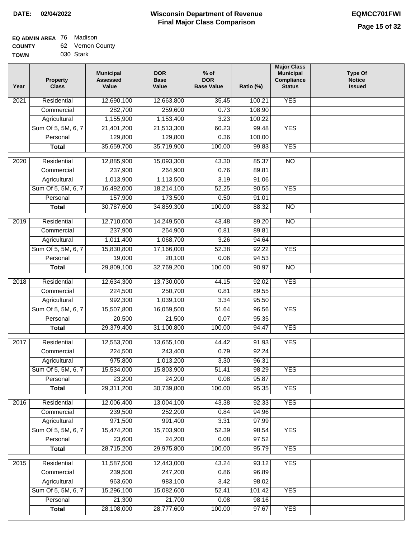| TOWN | 030 Stark |
|------|-----------|
|      |           |

| Year              | <b>Property</b><br><b>Class</b> | <b>Municipal</b><br><b>Assessed</b><br>Value | <b>DOR</b><br><b>Base</b><br>Value | % of<br><b>DOR</b><br><b>Base Value</b> | Ratio (%)      | <b>Major Class</b><br><b>Municipal</b><br>Compliance<br><b>Status</b> | <b>Type Of</b><br><b>Notice</b><br><b>Issued</b> |
|-------------------|---------------------------------|----------------------------------------------|------------------------------------|-----------------------------------------|----------------|-----------------------------------------------------------------------|--------------------------------------------------|
| $\overline{202}1$ | Residential                     | 12,690,100                                   | 12,663,800                         | 35.45                                   | 100.21         | <b>YES</b>                                                            |                                                  |
|                   | Commercial                      | 282,700                                      | 259,600                            | 0.73                                    | 108.90         |                                                                       |                                                  |
|                   | Agricultural                    | 1,155,900                                    | 1,153,400                          | 3.23                                    | 100.22         |                                                                       |                                                  |
|                   | Sum Of 5, 5M, 6, 7              | 21,401,200                                   | 21,513,300                         | 60.23                                   | 99.48          | <b>YES</b>                                                            |                                                  |
|                   | Personal                        | 129,800                                      | 129,800                            | 0.36                                    | 100.00         |                                                                       |                                                  |
|                   | <b>Total</b>                    | 35,659,700                                   | 35,719,900                         | 100.00                                  | 99.83          | <b>YES</b>                                                            |                                                  |
| $\overline{2020}$ | Residential                     | 12,885,900                                   | 15,093,300                         | 43.30                                   | 85.37          | $\overline{NO}$                                                       |                                                  |
|                   | Commercial                      | 237,900                                      | 264,900                            | 0.76                                    | 89.81          |                                                                       |                                                  |
|                   | Agricultural                    | 1,013,900                                    | 1,113,500                          | 3.19                                    | 91.06          |                                                                       |                                                  |
|                   | Sum Of 5, 5M, 6, 7              | 16,492,000                                   | 18,214,100                         | 52.25                                   | 90.55          | <b>YES</b>                                                            |                                                  |
|                   | Personal                        | 157,900                                      | 173,500                            | 0.50                                    | 91.01          |                                                                       |                                                  |
|                   | <b>Total</b>                    | 30,787,600                                   | 34,859,300                         | 100.00                                  | 88.32          | $\overline{NO}$                                                       |                                                  |
| $\frac{2019}{ }$  | Residential                     | 12,710,000                                   | 14,249,500                         | 43.48                                   | 89.20          | $\overline{3}$                                                        |                                                  |
|                   | Commercial                      | 237,900                                      | 264,900                            | 0.81                                    | 89.81          |                                                                       |                                                  |
|                   | Agricultural                    | 1,011,400                                    | 1,068,700                          | 3.26                                    | 94.64          |                                                                       |                                                  |
|                   | Sum Of 5, 5M, 6, 7              | 15,830,800                                   | 17,166,000                         | 52.38                                   | 92.22          | <b>YES</b>                                                            |                                                  |
|                   | Personal                        | 19,000                                       | 20,100                             | 0.06                                    | 94.53          |                                                                       |                                                  |
|                   | <b>Total</b>                    | 29,809,100                                   | 32,769,200                         | 100.00                                  | 90.97          | $\overline{NO}$                                                       |                                                  |
| 2018              | Residential                     | 12,634,300                                   | 13,730,000                         | 44.15                                   | 92.02          | <b>YES</b>                                                            |                                                  |
|                   | Commercial                      | 224,500                                      | 250,700                            | 0.81                                    | 89.55          |                                                                       |                                                  |
|                   | Agricultural                    | 992,300                                      | 1,039,100                          | 3.34                                    | 95.50          |                                                                       |                                                  |
|                   | Sum Of 5, 5M, 6, 7              | 15,507,800                                   | 16,059,500                         | 51.64                                   | 96.56          | <b>YES</b>                                                            |                                                  |
|                   | Personal                        | 20,500                                       | 21,500                             | 0.07                                    | 95.35          |                                                                       |                                                  |
|                   | <b>Total</b>                    | 29,379,400                                   | 31,100,800                         | 100.00                                  | 94.47          | <b>YES</b>                                                            |                                                  |
| $\overline{2017}$ | Residential                     | 12,553,700                                   | 13,655,100                         | 44.42                                   | 91.93          | <b>YES</b>                                                            |                                                  |
|                   | Commercial                      | 224,500                                      | 243,400                            | 0.79                                    | 92.24          |                                                                       |                                                  |
|                   | Agricultural                    | 975,800                                      | 1,013,200                          | 3.30                                    | 96.31          |                                                                       |                                                  |
|                   | Sum Of 5, 5M, 6, 7              | 15,534,000                                   | 15,803,900                         | 51.41                                   | 98.29          | <b>YES</b>                                                            |                                                  |
|                   | Personal                        | 23,200                                       | 24,200                             | 0.08                                    | 95.87          |                                                                       |                                                  |
|                   | <b>Total</b>                    | 29,311,200                                   | 30,739,800                         | 100.00                                  | 95.35          | <b>YES</b>                                                            |                                                  |
|                   | Residential                     |                                              |                                    |                                         |                | <b>YES</b>                                                            |                                                  |
| 2016              | Commercial                      | 12,006,400<br>239,500                        | 13,004,100<br>252,200              | 43.38<br>0.84                           | 92.33<br>94.96 |                                                                       |                                                  |
|                   | Agricultural                    | 971,500                                      | 991,400                            | 3.31                                    | 97.99          |                                                                       |                                                  |
|                   | Sum Of 5, 5M, 6, 7              | 15,474,200                                   | 15,703,900                         | 52.39                                   | 98.54          | <b>YES</b>                                                            |                                                  |
|                   | Personal                        | 23,600                                       | 24,200                             | 0.08                                    | 97.52          |                                                                       |                                                  |
|                   | <b>Total</b>                    | 28,715,200                                   | 29,975,800                         | 100.00                                  | 95.79          | <b>YES</b>                                                            |                                                  |
|                   |                                 |                                              |                                    |                                         |                |                                                                       |                                                  |
| 2015              | Residential                     | 11,587,500                                   | 12,443,000                         | 43.24                                   | 93.12          | <b>YES</b>                                                            |                                                  |
|                   | Commercial<br>Agricultural      | 239,500<br>963,600                           | 247,200<br>983,100                 | 0.86<br>3.42                            | 96.89<br>98.02 |                                                                       |                                                  |
|                   | Sum Of 5, 5M, 6, 7              | 15,296,100                                   | 15,082,600                         | 52.41                                   | 101.42         | <b>YES</b>                                                            |                                                  |
|                   | Personal                        | 21,300                                       | 21,700                             | 0.08                                    | 98.16          |                                                                       |                                                  |
|                   | <b>Total</b>                    | 28,108,000                                   | 28,777,600                         | 100.00                                  | 97.67          | <b>YES</b>                                                            |                                                  |
|                   |                                 |                                              |                                    |                                         |                |                                                                       |                                                  |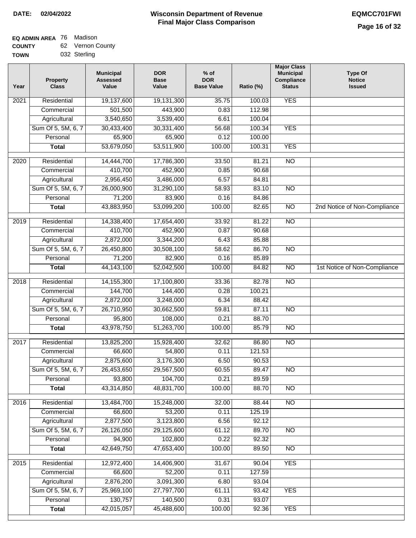| -------     |              |  |  |  |
|-------------|--------------|--|--|--|
| <b>TOWN</b> | 032 Sterling |  |  |  |

| 19,137,600<br><b>YES</b><br>Residential<br>19,131,300<br>35.75<br>100.03<br>2021<br>501,500<br>443,900<br>112.98<br>Commercial<br>0.83<br>3,540,650<br>3,539,400<br>100.04<br>Agricultural<br>6.61<br><b>YES</b><br>Sum Of 5, 5M, 6, 7<br>30,433,400<br>30,331,400<br>56.68<br>100.34<br>Personal<br>65,900<br>65,900<br>0.12<br>100.00<br>53,679,050<br>53,511,900<br>100.00<br><b>YES</b><br>100.31<br><b>Total</b><br>$\overline{NO}$<br>$\frac{1}{2020}$<br>Residential<br>14,444,700<br>17,786,300<br>33.50<br>81.21<br>Commercial<br>410,700<br>452,900<br>0.85<br>90.68<br>2,956,450<br>3,486,000<br>6.57<br>Agricultural<br>84.81<br>Sum Of 5, 5M, 6, 7<br>26,000,900<br>31,290,100<br>58.93<br>83.10<br><b>NO</b><br>71,200<br>83,900<br>Personal<br>0.16<br>84.86<br>100.00<br>$\overline{NO}$<br><b>Total</b><br>43,883,950<br>53,099,200<br>82.65<br>2nd Notice of Non-Compliance<br>$\overline{NO}$<br>$\frac{1}{2019}$<br>Residential<br>14,338,400<br>17,654,400<br>81.22<br>33.92<br>410,700<br>452,900<br>Commercial<br>0.87<br>90.68<br>2,872,000<br>3,344,200<br>85.88<br>Agricultural<br>6.43<br>Sum Of 5, 5M, 6, 7<br>30,508,100<br>$\overline{NO}$<br>26,450,800<br>58.62<br>86.70<br>0.16<br>Personal<br>71,200<br>82,900<br>85.89<br>1st Notice of Non-Compliance<br>44, 143, 100<br>52,042,500<br>100.00<br>84.82<br>N <sub>O</sub><br><b>Total</b><br>14,155,300<br>17,100,800<br>$\overline{NO}$<br>2018<br>Residential<br>33.36<br>82.78<br>0.28<br>Commercial<br>144,700<br>144,400<br>100.21<br>2,872,000<br>3,248,000<br>6.34<br>88.42<br>Agricultural<br>Sum Of 5, 5M, 6, 7<br>26,710,950<br>59.81<br>87.11<br><b>NO</b><br>30,662,500<br>95,800<br>108,000<br>0.21<br>88.70<br>Personal<br><b>NO</b><br>43,978,750<br>51,263,700<br>100.00<br>85.79<br><b>Total</b><br>$\overline{NO}$<br>Residential<br>32.62<br>86.80<br>2017<br>13,825,200<br>15,928,400<br>66,600<br>54,800<br>0.11<br>121.53<br>Commercial<br>2,875,600<br>3,176,300<br>6.50<br>90.53<br>Agricultural<br>Sum Of 5, 5M, 6, 7<br>26,453,650<br>29,567,500<br>60.55<br>89.47<br>$\overline{NO}$<br>Personal<br>93,800<br>104,700<br>0.21<br>89.59<br>43,314,850<br>48,831,700<br>NO<br>100.00<br>88.70<br><b>Total</b><br>2016<br>Residential<br>13,484,700<br>15,248,000<br>32.00<br>N <sub>O</sub><br>88.44<br>Commercial<br>66,600<br>53,200<br>0.11<br>125.19<br>2,877,500<br>3,123,800<br>6.56<br>92.12<br>Agricultural<br>Sum Of 5, 5M, 6, 7<br>26,126,050<br>29,125,600<br>61.12<br>89.70<br>N <sub>O</sub><br>102,800<br>Personal<br>94,900<br>0.22<br>92.32<br>42,649,750<br>47,653,400<br>100.00<br>89.50<br>$\overline{NO}$<br><b>Total</b><br>2015<br>12,972,400<br>14,406,900<br><b>YES</b><br>Residential<br>31.67<br>90.04<br>66,600<br>52,200<br>127.59<br>Commercial<br>0.11<br>2,876,200<br>3,091,300<br>Agricultural<br>6.80<br>93.04<br>Sum Of 5, 5M, 6, 7<br>25,969,100<br>27,797,700<br>93.42<br><b>YES</b><br>61.11<br>130,757<br>Personal<br>140,500<br>0.31<br>93.07<br>42,015,057<br>45,488,600<br>100.00<br><b>YES</b><br>92.36<br><b>Total</b> | Year | <b>Property</b><br><b>Class</b> | <b>Municipal</b><br><b>Assessed</b><br>Value | <b>DOR</b><br><b>Base</b><br>Value | $%$ of<br><b>DOR</b><br><b>Base Value</b> | Ratio (%) | <b>Major Class</b><br><b>Municipal</b><br>Compliance<br><b>Status</b> | <b>Type Of</b><br><b>Notice</b><br><b>Issued</b> |
|-------------------------------------------------------------------------------------------------------------------------------------------------------------------------------------------------------------------------------------------------------------------------------------------------------------------------------------------------------------------------------------------------------------------------------------------------------------------------------------------------------------------------------------------------------------------------------------------------------------------------------------------------------------------------------------------------------------------------------------------------------------------------------------------------------------------------------------------------------------------------------------------------------------------------------------------------------------------------------------------------------------------------------------------------------------------------------------------------------------------------------------------------------------------------------------------------------------------------------------------------------------------------------------------------------------------------------------------------------------------------------------------------------------------------------------------------------------------------------------------------------------------------------------------------------------------------------------------------------------------------------------------------------------------------------------------------------------------------------------------------------------------------------------------------------------------------------------------------------------------------------------------------------------------------------------------------------------------------------------------------------------------------------------------------------------------------------------------------------------------------------------------------------------------------------------------------------------------------------------------------------------------------------------------------------------------------------------------------------------------------------------------------------------------------------------------------------------------------------------------------------------------------------------------------------------------------------------------------------------------------------------------------------------------------------------------------------------------------------------------------------------------------------------------------------------------------------------------------------------------------------------------------------------------------------------------------------------------------------------------------------------------------------------------------------------------------------|------|---------------------------------|----------------------------------------------|------------------------------------|-------------------------------------------|-----------|-----------------------------------------------------------------------|--------------------------------------------------|
|                                                                                                                                                                                                                                                                                                                                                                                                                                                                                                                                                                                                                                                                                                                                                                                                                                                                                                                                                                                                                                                                                                                                                                                                                                                                                                                                                                                                                                                                                                                                                                                                                                                                                                                                                                                                                                                                                                                                                                                                                                                                                                                                                                                                                                                                                                                                                                                                                                                                                                                                                                                                                                                                                                                                                                                                                                                                                                                                                                                                                                                                               |      |                                 |                                              |                                    |                                           |           |                                                                       |                                                  |
|                                                                                                                                                                                                                                                                                                                                                                                                                                                                                                                                                                                                                                                                                                                                                                                                                                                                                                                                                                                                                                                                                                                                                                                                                                                                                                                                                                                                                                                                                                                                                                                                                                                                                                                                                                                                                                                                                                                                                                                                                                                                                                                                                                                                                                                                                                                                                                                                                                                                                                                                                                                                                                                                                                                                                                                                                                                                                                                                                                                                                                                                               |      |                                 |                                              |                                    |                                           |           |                                                                       |                                                  |
|                                                                                                                                                                                                                                                                                                                                                                                                                                                                                                                                                                                                                                                                                                                                                                                                                                                                                                                                                                                                                                                                                                                                                                                                                                                                                                                                                                                                                                                                                                                                                                                                                                                                                                                                                                                                                                                                                                                                                                                                                                                                                                                                                                                                                                                                                                                                                                                                                                                                                                                                                                                                                                                                                                                                                                                                                                                                                                                                                                                                                                                                               |      |                                 |                                              |                                    |                                           |           |                                                                       |                                                  |
|                                                                                                                                                                                                                                                                                                                                                                                                                                                                                                                                                                                                                                                                                                                                                                                                                                                                                                                                                                                                                                                                                                                                                                                                                                                                                                                                                                                                                                                                                                                                                                                                                                                                                                                                                                                                                                                                                                                                                                                                                                                                                                                                                                                                                                                                                                                                                                                                                                                                                                                                                                                                                                                                                                                                                                                                                                                                                                                                                                                                                                                                               |      |                                 |                                              |                                    |                                           |           |                                                                       |                                                  |
|                                                                                                                                                                                                                                                                                                                                                                                                                                                                                                                                                                                                                                                                                                                                                                                                                                                                                                                                                                                                                                                                                                                                                                                                                                                                                                                                                                                                                                                                                                                                                                                                                                                                                                                                                                                                                                                                                                                                                                                                                                                                                                                                                                                                                                                                                                                                                                                                                                                                                                                                                                                                                                                                                                                                                                                                                                                                                                                                                                                                                                                                               |      |                                 |                                              |                                    |                                           |           |                                                                       |                                                  |
|                                                                                                                                                                                                                                                                                                                                                                                                                                                                                                                                                                                                                                                                                                                                                                                                                                                                                                                                                                                                                                                                                                                                                                                                                                                                                                                                                                                                                                                                                                                                                                                                                                                                                                                                                                                                                                                                                                                                                                                                                                                                                                                                                                                                                                                                                                                                                                                                                                                                                                                                                                                                                                                                                                                                                                                                                                                                                                                                                                                                                                                                               |      |                                 |                                              |                                    |                                           |           |                                                                       |                                                  |
|                                                                                                                                                                                                                                                                                                                                                                                                                                                                                                                                                                                                                                                                                                                                                                                                                                                                                                                                                                                                                                                                                                                                                                                                                                                                                                                                                                                                                                                                                                                                                                                                                                                                                                                                                                                                                                                                                                                                                                                                                                                                                                                                                                                                                                                                                                                                                                                                                                                                                                                                                                                                                                                                                                                                                                                                                                                                                                                                                                                                                                                                               |      |                                 |                                              |                                    |                                           |           |                                                                       |                                                  |
|                                                                                                                                                                                                                                                                                                                                                                                                                                                                                                                                                                                                                                                                                                                                                                                                                                                                                                                                                                                                                                                                                                                                                                                                                                                                                                                                                                                                                                                                                                                                                                                                                                                                                                                                                                                                                                                                                                                                                                                                                                                                                                                                                                                                                                                                                                                                                                                                                                                                                                                                                                                                                                                                                                                                                                                                                                                                                                                                                                                                                                                                               |      |                                 |                                              |                                    |                                           |           |                                                                       |                                                  |
|                                                                                                                                                                                                                                                                                                                                                                                                                                                                                                                                                                                                                                                                                                                                                                                                                                                                                                                                                                                                                                                                                                                                                                                                                                                                                                                                                                                                                                                                                                                                                                                                                                                                                                                                                                                                                                                                                                                                                                                                                                                                                                                                                                                                                                                                                                                                                                                                                                                                                                                                                                                                                                                                                                                                                                                                                                                                                                                                                                                                                                                                               |      |                                 |                                              |                                    |                                           |           |                                                                       |                                                  |
|                                                                                                                                                                                                                                                                                                                                                                                                                                                                                                                                                                                                                                                                                                                                                                                                                                                                                                                                                                                                                                                                                                                                                                                                                                                                                                                                                                                                                                                                                                                                                                                                                                                                                                                                                                                                                                                                                                                                                                                                                                                                                                                                                                                                                                                                                                                                                                                                                                                                                                                                                                                                                                                                                                                                                                                                                                                                                                                                                                                                                                                                               |      |                                 |                                              |                                    |                                           |           |                                                                       |                                                  |
|                                                                                                                                                                                                                                                                                                                                                                                                                                                                                                                                                                                                                                                                                                                                                                                                                                                                                                                                                                                                                                                                                                                                                                                                                                                                                                                                                                                                                                                                                                                                                                                                                                                                                                                                                                                                                                                                                                                                                                                                                                                                                                                                                                                                                                                                                                                                                                                                                                                                                                                                                                                                                                                                                                                                                                                                                                                                                                                                                                                                                                                                               |      |                                 |                                              |                                    |                                           |           |                                                                       |                                                  |
|                                                                                                                                                                                                                                                                                                                                                                                                                                                                                                                                                                                                                                                                                                                                                                                                                                                                                                                                                                                                                                                                                                                                                                                                                                                                                                                                                                                                                                                                                                                                                                                                                                                                                                                                                                                                                                                                                                                                                                                                                                                                                                                                                                                                                                                                                                                                                                                                                                                                                                                                                                                                                                                                                                                                                                                                                                                                                                                                                                                                                                                                               |      |                                 |                                              |                                    |                                           |           |                                                                       |                                                  |
|                                                                                                                                                                                                                                                                                                                                                                                                                                                                                                                                                                                                                                                                                                                                                                                                                                                                                                                                                                                                                                                                                                                                                                                                                                                                                                                                                                                                                                                                                                                                                                                                                                                                                                                                                                                                                                                                                                                                                                                                                                                                                                                                                                                                                                                                                                                                                                                                                                                                                                                                                                                                                                                                                                                                                                                                                                                                                                                                                                                                                                                                               |      |                                 |                                              |                                    |                                           |           |                                                                       |                                                  |
|                                                                                                                                                                                                                                                                                                                                                                                                                                                                                                                                                                                                                                                                                                                                                                                                                                                                                                                                                                                                                                                                                                                                                                                                                                                                                                                                                                                                                                                                                                                                                                                                                                                                                                                                                                                                                                                                                                                                                                                                                                                                                                                                                                                                                                                                                                                                                                                                                                                                                                                                                                                                                                                                                                                                                                                                                                                                                                                                                                                                                                                                               |      |                                 |                                              |                                    |                                           |           |                                                                       |                                                  |
|                                                                                                                                                                                                                                                                                                                                                                                                                                                                                                                                                                                                                                                                                                                                                                                                                                                                                                                                                                                                                                                                                                                                                                                                                                                                                                                                                                                                                                                                                                                                                                                                                                                                                                                                                                                                                                                                                                                                                                                                                                                                                                                                                                                                                                                                                                                                                                                                                                                                                                                                                                                                                                                                                                                                                                                                                                                                                                                                                                                                                                                                               |      |                                 |                                              |                                    |                                           |           |                                                                       |                                                  |
|                                                                                                                                                                                                                                                                                                                                                                                                                                                                                                                                                                                                                                                                                                                                                                                                                                                                                                                                                                                                                                                                                                                                                                                                                                                                                                                                                                                                                                                                                                                                                                                                                                                                                                                                                                                                                                                                                                                                                                                                                                                                                                                                                                                                                                                                                                                                                                                                                                                                                                                                                                                                                                                                                                                                                                                                                                                                                                                                                                                                                                                                               |      |                                 |                                              |                                    |                                           |           |                                                                       |                                                  |
|                                                                                                                                                                                                                                                                                                                                                                                                                                                                                                                                                                                                                                                                                                                                                                                                                                                                                                                                                                                                                                                                                                                                                                                                                                                                                                                                                                                                                                                                                                                                                                                                                                                                                                                                                                                                                                                                                                                                                                                                                                                                                                                                                                                                                                                                                                                                                                                                                                                                                                                                                                                                                                                                                                                                                                                                                                                                                                                                                                                                                                                                               |      |                                 |                                              |                                    |                                           |           |                                                                       |                                                  |
|                                                                                                                                                                                                                                                                                                                                                                                                                                                                                                                                                                                                                                                                                                                                                                                                                                                                                                                                                                                                                                                                                                                                                                                                                                                                                                                                                                                                                                                                                                                                                                                                                                                                                                                                                                                                                                                                                                                                                                                                                                                                                                                                                                                                                                                                                                                                                                                                                                                                                                                                                                                                                                                                                                                                                                                                                                                                                                                                                                                                                                                                               |      |                                 |                                              |                                    |                                           |           |                                                                       |                                                  |
|                                                                                                                                                                                                                                                                                                                                                                                                                                                                                                                                                                                                                                                                                                                                                                                                                                                                                                                                                                                                                                                                                                                                                                                                                                                                                                                                                                                                                                                                                                                                                                                                                                                                                                                                                                                                                                                                                                                                                                                                                                                                                                                                                                                                                                                                                                                                                                                                                                                                                                                                                                                                                                                                                                                                                                                                                                                                                                                                                                                                                                                                               |      |                                 |                                              |                                    |                                           |           |                                                                       |                                                  |
|                                                                                                                                                                                                                                                                                                                                                                                                                                                                                                                                                                                                                                                                                                                                                                                                                                                                                                                                                                                                                                                                                                                                                                                                                                                                                                                                                                                                                                                                                                                                                                                                                                                                                                                                                                                                                                                                                                                                                                                                                                                                                                                                                                                                                                                                                                                                                                                                                                                                                                                                                                                                                                                                                                                                                                                                                                                                                                                                                                                                                                                                               |      |                                 |                                              |                                    |                                           |           |                                                                       |                                                  |
|                                                                                                                                                                                                                                                                                                                                                                                                                                                                                                                                                                                                                                                                                                                                                                                                                                                                                                                                                                                                                                                                                                                                                                                                                                                                                                                                                                                                                                                                                                                                                                                                                                                                                                                                                                                                                                                                                                                                                                                                                                                                                                                                                                                                                                                                                                                                                                                                                                                                                                                                                                                                                                                                                                                                                                                                                                                                                                                                                                                                                                                                               |      |                                 |                                              |                                    |                                           |           |                                                                       |                                                  |
|                                                                                                                                                                                                                                                                                                                                                                                                                                                                                                                                                                                                                                                                                                                                                                                                                                                                                                                                                                                                                                                                                                                                                                                                                                                                                                                                                                                                                                                                                                                                                                                                                                                                                                                                                                                                                                                                                                                                                                                                                                                                                                                                                                                                                                                                                                                                                                                                                                                                                                                                                                                                                                                                                                                                                                                                                                                                                                                                                                                                                                                                               |      |                                 |                                              |                                    |                                           |           |                                                                       |                                                  |
|                                                                                                                                                                                                                                                                                                                                                                                                                                                                                                                                                                                                                                                                                                                                                                                                                                                                                                                                                                                                                                                                                                                                                                                                                                                                                                                                                                                                                                                                                                                                                                                                                                                                                                                                                                                                                                                                                                                                                                                                                                                                                                                                                                                                                                                                                                                                                                                                                                                                                                                                                                                                                                                                                                                                                                                                                                                                                                                                                                                                                                                                               |      |                                 |                                              |                                    |                                           |           |                                                                       |                                                  |
|                                                                                                                                                                                                                                                                                                                                                                                                                                                                                                                                                                                                                                                                                                                                                                                                                                                                                                                                                                                                                                                                                                                                                                                                                                                                                                                                                                                                                                                                                                                                                                                                                                                                                                                                                                                                                                                                                                                                                                                                                                                                                                                                                                                                                                                                                                                                                                                                                                                                                                                                                                                                                                                                                                                                                                                                                                                                                                                                                                                                                                                                               |      |                                 |                                              |                                    |                                           |           |                                                                       |                                                  |
|                                                                                                                                                                                                                                                                                                                                                                                                                                                                                                                                                                                                                                                                                                                                                                                                                                                                                                                                                                                                                                                                                                                                                                                                                                                                                                                                                                                                                                                                                                                                                                                                                                                                                                                                                                                                                                                                                                                                                                                                                                                                                                                                                                                                                                                                                                                                                                                                                                                                                                                                                                                                                                                                                                                                                                                                                                                                                                                                                                                                                                                                               |      |                                 |                                              |                                    |                                           |           |                                                                       |                                                  |
|                                                                                                                                                                                                                                                                                                                                                                                                                                                                                                                                                                                                                                                                                                                                                                                                                                                                                                                                                                                                                                                                                                                                                                                                                                                                                                                                                                                                                                                                                                                                                                                                                                                                                                                                                                                                                                                                                                                                                                                                                                                                                                                                                                                                                                                                                                                                                                                                                                                                                                                                                                                                                                                                                                                                                                                                                                                                                                                                                                                                                                                                               |      |                                 |                                              |                                    |                                           |           |                                                                       |                                                  |
|                                                                                                                                                                                                                                                                                                                                                                                                                                                                                                                                                                                                                                                                                                                                                                                                                                                                                                                                                                                                                                                                                                                                                                                                                                                                                                                                                                                                                                                                                                                                                                                                                                                                                                                                                                                                                                                                                                                                                                                                                                                                                                                                                                                                                                                                                                                                                                                                                                                                                                                                                                                                                                                                                                                                                                                                                                                                                                                                                                                                                                                                               |      |                                 |                                              |                                    |                                           |           |                                                                       |                                                  |
|                                                                                                                                                                                                                                                                                                                                                                                                                                                                                                                                                                                                                                                                                                                                                                                                                                                                                                                                                                                                                                                                                                                                                                                                                                                                                                                                                                                                                                                                                                                                                                                                                                                                                                                                                                                                                                                                                                                                                                                                                                                                                                                                                                                                                                                                                                                                                                                                                                                                                                                                                                                                                                                                                                                                                                                                                                                                                                                                                                                                                                                                               |      |                                 |                                              |                                    |                                           |           |                                                                       |                                                  |
|                                                                                                                                                                                                                                                                                                                                                                                                                                                                                                                                                                                                                                                                                                                                                                                                                                                                                                                                                                                                                                                                                                                                                                                                                                                                                                                                                                                                                                                                                                                                                                                                                                                                                                                                                                                                                                                                                                                                                                                                                                                                                                                                                                                                                                                                                                                                                                                                                                                                                                                                                                                                                                                                                                                                                                                                                                                                                                                                                                                                                                                                               |      |                                 |                                              |                                    |                                           |           |                                                                       |                                                  |
|                                                                                                                                                                                                                                                                                                                                                                                                                                                                                                                                                                                                                                                                                                                                                                                                                                                                                                                                                                                                                                                                                                                                                                                                                                                                                                                                                                                                                                                                                                                                                                                                                                                                                                                                                                                                                                                                                                                                                                                                                                                                                                                                                                                                                                                                                                                                                                                                                                                                                                                                                                                                                                                                                                                                                                                                                                                                                                                                                                                                                                                                               |      |                                 |                                              |                                    |                                           |           |                                                                       |                                                  |
|                                                                                                                                                                                                                                                                                                                                                                                                                                                                                                                                                                                                                                                                                                                                                                                                                                                                                                                                                                                                                                                                                                                                                                                                                                                                                                                                                                                                                                                                                                                                                                                                                                                                                                                                                                                                                                                                                                                                                                                                                                                                                                                                                                                                                                                                                                                                                                                                                                                                                                                                                                                                                                                                                                                                                                                                                                                                                                                                                                                                                                                                               |      |                                 |                                              |                                    |                                           |           |                                                                       |                                                  |
|                                                                                                                                                                                                                                                                                                                                                                                                                                                                                                                                                                                                                                                                                                                                                                                                                                                                                                                                                                                                                                                                                                                                                                                                                                                                                                                                                                                                                                                                                                                                                                                                                                                                                                                                                                                                                                                                                                                                                                                                                                                                                                                                                                                                                                                                                                                                                                                                                                                                                                                                                                                                                                                                                                                                                                                                                                                                                                                                                                                                                                                                               |      |                                 |                                              |                                    |                                           |           |                                                                       |                                                  |
|                                                                                                                                                                                                                                                                                                                                                                                                                                                                                                                                                                                                                                                                                                                                                                                                                                                                                                                                                                                                                                                                                                                                                                                                                                                                                                                                                                                                                                                                                                                                                                                                                                                                                                                                                                                                                                                                                                                                                                                                                                                                                                                                                                                                                                                                                                                                                                                                                                                                                                                                                                                                                                                                                                                                                                                                                                                                                                                                                                                                                                                                               |      |                                 |                                              |                                    |                                           |           |                                                                       |                                                  |
|                                                                                                                                                                                                                                                                                                                                                                                                                                                                                                                                                                                                                                                                                                                                                                                                                                                                                                                                                                                                                                                                                                                                                                                                                                                                                                                                                                                                                                                                                                                                                                                                                                                                                                                                                                                                                                                                                                                                                                                                                                                                                                                                                                                                                                                                                                                                                                                                                                                                                                                                                                                                                                                                                                                                                                                                                                                                                                                                                                                                                                                                               |      |                                 |                                              |                                    |                                           |           |                                                                       |                                                  |
|                                                                                                                                                                                                                                                                                                                                                                                                                                                                                                                                                                                                                                                                                                                                                                                                                                                                                                                                                                                                                                                                                                                                                                                                                                                                                                                                                                                                                                                                                                                                                                                                                                                                                                                                                                                                                                                                                                                                                                                                                                                                                                                                                                                                                                                                                                                                                                                                                                                                                                                                                                                                                                                                                                                                                                                                                                                                                                                                                                                                                                                                               |      |                                 |                                              |                                    |                                           |           |                                                                       |                                                  |
|                                                                                                                                                                                                                                                                                                                                                                                                                                                                                                                                                                                                                                                                                                                                                                                                                                                                                                                                                                                                                                                                                                                                                                                                                                                                                                                                                                                                                                                                                                                                                                                                                                                                                                                                                                                                                                                                                                                                                                                                                                                                                                                                                                                                                                                                                                                                                                                                                                                                                                                                                                                                                                                                                                                                                                                                                                                                                                                                                                                                                                                                               |      |                                 |                                              |                                    |                                           |           |                                                                       |                                                  |
|                                                                                                                                                                                                                                                                                                                                                                                                                                                                                                                                                                                                                                                                                                                                                                                                                                                                                                                                                                                                                                                                                                                                                                                                                                                                                                                                                                                                                                                                                                                                                                                                                                                                                                                                                                                                                                                                                                                                                                                                                                                                                                                                                                                                                                                                                                                                                                                                                                                                                                                                                                                                                                                                                                                                                                                                                                                                                                                                                                                                                                                                               |      |                                 |                                              |                                    |                                           |           |                                                                       |                                                  |
|                                                                                                                                                                                                                                                                                                                                                                                                                                                                                                                                                                                                                                                                                                                                                                                                                                                                                                                                                                                                                                                                                                                                                                                                                                                                                                                                                                                                                                                                                                                                                                                                                                                                                                                                                                                                                                                                                                                                                                                                                                                                                                                                                                                                                                                                                                                                                                                                                                                                                                                                                                                                                                                                                                                                                                                                                                                                                                                                                                                                                                                                               |      |                                 |                                              |                                    |                                           |           |                                                                       |                                                  |
|                                                                                                                                                                                                                                                                                                                                                                                                                                                                                                                                                                                                                                                                                                                                                                                                                                                                                                                                                                                                                                                                                                                                                                                                                                                                                                                                                                                                                                                                                                                                                                                                                                                                                                                                                                                                                                                                                                                                                                                                                                                                                                                                                                                                                                                                                                                                                                                                                                                                                                                                                                                                                                                                                                                                                                                                                                                                                                                                                                                                                                                                               |      |                                 |                                              |                                    |                                           |           |                                                                       |                                                  |
|                                                                                                                                                                                                                                                                                                                                                                                                                                                                                                                                                                                                                                                                                                                                                                                                                                                                                                                                                                                                                                                                                                                                                                                                                                                                                                                                                                                                                                                                                                                                                                                                                                                                                                                                                                                                                                                                                                                                                                                                                                                                                                                                                                                                                                                                                                                                                                                                                                                                                                                                                                                                                                                                                                                                                                                                                                                                                                                                                                                                                                                                               |      |                                 |                                              |                                    |                                           |           |                                                                       |                                                  |
|                                                                                                                                                                                                                                                                                                                                                                                                                                                                                                                                                                                                                                                                                                                                                                                                                                                                                                                                                                                                                                                                                                                                                                                                                                                                                                                                                                                                                                                                                                                                                                                                                                                                                                                                                                                                                                                                                                                                                                                                                                                                                                                                                                                                                                                                                                                                                                                                                                                                                                                                                                                                                                                                                                                                                                                                                                                                                                                                                                                                                                                                               |      |                                 |                                              |                                    |                                           |           |                                                                       |                                                  |
|                                                                                                                                                                                                                                                                                                                                                                                                                                                                                                                                                                                                                                                                                                                                                                                                                                                                                                                                                                                                                                                                                                                                                                                                                                                                                                                                                                                                                                                                                                                                                                                                                                                                                                                                                                                                                                                                                                                                                                                                                                                                                                                                                                                                                                                                                                                                                                                                                                                                                                                                                                                                                                                                                                                                                                                                                                                                                                                                                                                                                                                                               |      |                                 |                                              |                                    |                                           |           |                                                                       |                                                  |
|                                                                                                                                                                                                                                                                                                                                                                                                                                                                                                                                                                                                                                                                                                                                                                                                                                                                                                                                                                                                                                                                                                                                                                                                                                                                                                                                                                                                                                                                                                                                                                                                                                                                                                                                                                                                                                                                                                                                                                                                                                                                                                                                                                                                                                                                                                                                                                                                                                                                                                                                                                                                                                                                                                                                                                                                                                                                                                                                                                                                                                                                               |      |                                 |                                              |                                    |                                           |           |                                                                       |                                                  |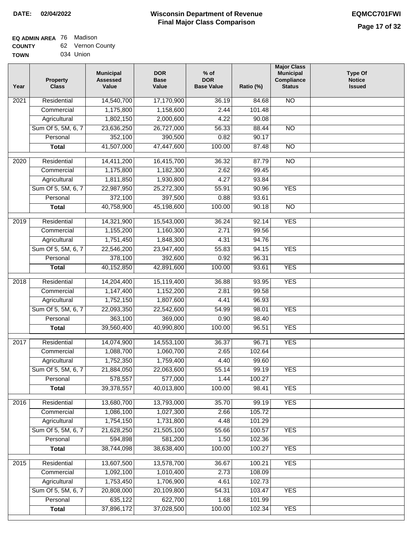#### **Wisconsin Department of Revenue Final Major Class Comparison DATE: 02/04/2022 EQMCC701FWI**

٦

#### **EQ ADMIN AREA** 76 Madison **COUNTY** 62 Vernon County

| <b>UUUNIT</b> | υz | <u>veinun Guu</u> |
|---------------|----|-------------------|
| <b>TOWN</b>   |    | 034 Union         |

| Year | Property<br><b>Class</b>       | <b>Municipal</b><br><b>Assessed</b><br>Value | <b>DOR</b><br><b>Base</b><br>Value | $%$ of<br><b>DOR</b><br><b>Base Value</b> | Ratio (%)       | <b>Major Class</b><br><b>Municipal</b><br>Compliance<br><b>Status</b> | <b>Type Of</b><br><b>Notice</b><br><b>Issued</b> |
|------|--------------------------------|----------------------------------------------|------------------------------------|-------------------------------------------|-----------------|-----------------------------------------------------------------------|--------------------------------------------------|
| 2021 | Residential                    | 14,540,700                                   | 17,170,900                         | 36.19                                     | 84.68           | $\overline{NO}$                                                       |                                                  |
|      | Commercial                     | 1,175,800                                    | 1,158,600                          | 2.44                                      | 101.48          |                                                                       |                                                  |
|      | Agricultural                   | 1,802,150                                    | 2,000,600                          | 4.22                                      | 90.08           |                                                                       |                                                  |
|      | Sum Of 5, 5M, 6, 7             | 23,636,250                                   | 26,727,000                         | 56.33                                     | 88.44           | $\overline{NO}$                                                       |                                                  |
|      | Personal                       | 352,100                                      | 390,500                            | 0.82                                      | 90.17           |                                                                       |                                                  |
|      | <b>Total</b>                   | 41,507,000                                   | 47,447,600                         | 100.00                                    | 87.48           | $\overline{NO}$                                                       |                                                  |
| 2020 | Residential                    | 14,411,200                                   | 16,415,700                         | 36.32                                     | 87.79           | $\overline{NO}$                                                       |                                                  |
|      | Commercial                     | 1,175,800                                    | 1,182,300                          | 2.62                                      | 99.45           |                                                                       |                                                  |
|      | Agricultural                   | 1,811,850                                    | 1,930,800                          | 4.27                                      | 93.84           |                                                                       |                                                  |
|      | Sum Of 5, 5M, 6, 7             | 22,987,950                                   | 25,272,300                         | 55.91                                     | 90.96           | <b>YES</b>                                                            |                                                  |
|      | Personal                       | 372,100                                      | 397,500                            | 0.88                                      | 93.61           |                                                                       |                                                  |
|      | <b>Total</b>                   | 40,758,900                                   | 45,198,600                         | 100.00                                    | 90.18           | $\overline{NO}$                                                       |                                                  |
|      |                                |                                              |                                    |                                           |                 | <b>YES</b>                                                            |                                                  |
| 2019 | Residential                    | 14,321,900                                   | 15,543,000                         | 36.24                                     | 92.14           |                                                                       |                                                  |
|      | Commercial                     | 1,155,200                                    | 1,160,300                          | 2.71                                      | 99.56           |                                                                       |                                                  |
|      | Agricultural                   | 1,751,450                                    | 1,848,300                          | 4.31<br>55.83                             | 94.76           |                                                                       |                                                  |
|      | Sum Of 5, 5M, 6, 7<br>Personal | 22,546,200                                   | 23,947,400                         |                                           | 94.15           | <b>YES</b>                                                            |                                                  |
|      |                                | 378,100                                      | 392,600                            | 0.92                                      | 96.31           | <b>YES</b>                                                            |                                                  |
|      | <b>Total</b>                   | 40,152,850                                   | 42,891,600                         | 100.00                                    | 93.61           |                                                                       |                                                  |
| 2018 | Residential                    | 14,204,400                                   | 15,119,400                         | 36.88                                     | 93.95           | <b>YES</b>                                                            |                                                  |
|      | Commercial                     | 1,147,400                                    | 1,152,200                          | 2.81                                      | 99.58           |                                                                       |                                                  |
|      | Agricultural                   | 1,752,150                                    | 1,807,600                          | 4.41                                      | 96.93           |                                                                       |                                                  |
|      | Sum Of 5, 5M, 6, 7             | 22,093,350                                   | 22,542,600                         | 54.99                                     | 98.01           | <b>YES</b>                                                            |                                                  |
|      | Personal                       | 363,100                                      | 369,000                            | 0.90                                      | 98.40           |                                                                       |                                                  |
|      | <b>Total</b>                   | 39,560,400                                   | 40,990,800                         | 100.00                                    | 96.51           | <b>YES</b>                                                            |                                                  |
| 2017 | Residential                    | 14,074,900                                   | 14,553,100                         | 36.37                                     | 96.71           | <b>YES</b>                                                            |                                                  |
|      | Commercial                     | 1,088,700                                    | 1,060,700                          | 2.65                                      | 102.64          |                                                                       |                                                  |
|      | Agricultural                   | 1,752,350                                    | 1,759,400                          | 4.40                                      | 99.60           |                                                                       |                                                  |
|      | Sum Of 5, 5M, 6, 7             | 21,884,050                                   | 22,063,600                         | 55.14                                     | 99.19           | <b>YES</b>                                                            |                                                  |
|      | Personal                       | 578,557                                      | 577,000                            | 1.44                                      | 100.27          |                                                                       |                                                  |
|      | <b>Total</b>                   | 39,378,557                                   | 40,013,800                         | 100.00                                    | 98.41           | <b>YES</b>                                                            |                                                  |
|      |                                |                                              |                                    |                                           |                 | <b>YES</b>                                                            |                                                  |
| 2016 | Residential<br>Commercial      | 13,680,700<br>1,086,100                      | 13,793,000<br>1,027,300            | 35.70<br>2.66                             | 99.19<br>105.72 |                                                                       |                                                  |
|      | Agricultural                   | 1,754,150                                    | 1,731,800                          | 4.48                                      | 101.29          |                                                                       |                                                  |
|      | Sum Of 5, 5M, 6, 7             | 21,628,250                                   | 21,505,100                         | 55.66                                     | 100.57          | <b>YES</b>                                                            |                                                  |
|      | Personal                       | 594,898                                      | 581,200                            | 1.50                                      | 102.36          |                                                                       |                                                  |
|      | <b>Total</b>                   | 38,744,098                                   | 38,638,400                         | 100.00                                    | 100.27          | <b>YES</b>                                                            |                                                  |
|      |                                |                                              |                                    |                                           |                 |                                                                       |                                                  |
| 2015 | Residential                    | 13,607,500                                   | 13,578,700                         | 36.67                                     | 100.21          | <b>YES</b>                                                            |                                                  |
|      | Commercial                     | 1,092,100                                    | 1,010,400                          | 2.73                                      | 108.09          |                                                                       |                                                  |
|      | Agricultural                   | 1,753,450                                    | 1,706,900                          | 4.61                                      | 102.73          |                                                                       |                                                  |
|      | Sum Of 5, 5M, 6, 7             | 20,808,000                                   | 20,109,800                         | 54.31                                     | 103.47          | <b>YES</b>                                                            |                                                  |
|      | Personal                       | 635,122                                      | 622,700                            | 1.68                                      | 101.99          |                                                                       |                                                  |
|      | <b>Total</b>                   | 37,896,172                                   | 37,028,500                         | 100.00                                    | 102.34          | <b>YES</b>                                                            |                                                  |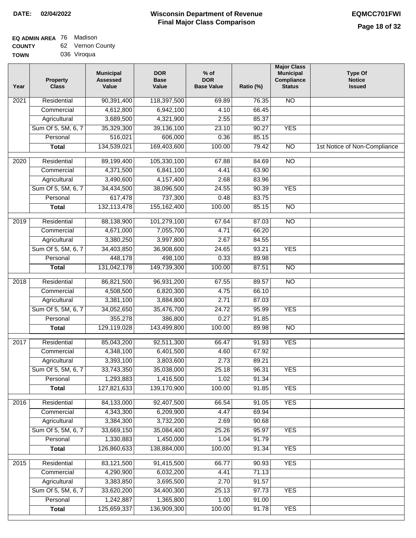$\Box$ 

#### **Wisconsin Department of Revenue Final Major Class Comparison DATE: 02/04/2022 EQMCC701FWI**

### **EQ ADMIN AREA** 76 Madison **COUNTY**

| <b>COUNTY</b> | 62 Vernon County |
|---------------|------------------|
| <b>TOWN</b>   | 036 Viroqua      |

| Year | <b>Property</b><br><b>Class</b> | <b>Municipal</b><br><b>Assessed</b><br>Value | <b>DOR</b><br><b>Base</b><br>Value | $%$ of<br><b>DOR</b><br><b>Base Value</b> | Ratio (%) | <b>Major Class</b><br><b>Municipal</b><br>Compliance<br><b>Status</b> | <b>Type Of</b><br><b>Notice</b><br><b>Issued</b> |
|------|---------------------------------|----------------------------------------------|------------------------------------|-------------------------------------------|-----------|-----------------------------------------------------------------------|--------------------------------------------------|
| 2021 | Residential                     | 90,391,400                                   | 118,397,500                        | 69.89                                     | 76.35     | <b>NO</b>                                                             |                                                  |
|      | Commercial                      | 4,612,800                                    | 6,942,100                          | 4.10                                      | 66.45     |                                                                       |                                                  |
|      | Agricultural                    | 3,689,500                                    | 4,321,900                          | 2.55                                      | 85.37     |                                                                       |                                                  |
|      | Sum Of 5, 5M, 6, 7              | 35,329,300                                   | 39,136,100                         | 23.10                                     | 90.27     | <b>YES</b>                                                            |                                                  |
|      | Personal                        | 516,021                                      | 606,000                            | 0.36                                      | 85.15     |                                                                       |                                                  |
|      | <b>Total</b>                    | 134,539,021                                  | 169,403,600                        | 100.00                                    | 79.42     | $\overline{NO}$                                                       | 1st Notice of Non-Compliance                     |
| 2020 | Residential                     | 89,199,400                                   | 105,330,100                        | 67.88                                     | 84.69     | $\overline{10}$                                                       |                                                  |
|      | Commercial                      | 4,371,500                                    | 6,841,100                          | 4.41                                      | 63.90     |                                                                       |                                                  |
|      | Agricultural                    | 3,490,600                                    | 4,157,400                          | 2.68                                      | 83.96     |                                                                       |                                                  |
|      | Sum Of 5, 5M, 6, 7              | 34,434,500                                   | 38,096,500                         | 24.55                                     | 90.39     | <b>YES</b>                                                            |                                                  |
|      | Personal                        | 617,478                                      | 737,300                            | 0.48                                      | 83.75     |                                                                       |                                                  |
|      | <b>Total</b>                    | 132, 113, 478                                | 155, 162, 400                      | 100.00                                    | 85.15     | $\overline{NO}$                                                       |                                                  |
|      |                                 |                                              |                                    |                                           |           |                                                                       |                                                  |
| 2019 | Residential                     | 88,138,900                                   | 101,279,100                        | 67.64                                     | 87.03     | <b>NO</b>                                                             |                                                  |
|      | Commercial                      | 4,671,000                                    | 7,055,700                          | 4.71                                      | 66.20     |                                                                       |                                                  |
|      | Agricultural                    | 3,380,250                                    | 3,997,800                          | 2.67                                      | 84.55     |                                                                       |                                                  |
|      | Sum Of 5, 5M, 6, 7              | 34,403,850                                   | 36,908,600                         | 24.65                                     | 93.21     | <b>YES</b>                                                            |                                                  |
|      | Personal                        | 448,178                                      | 498,100                            | 0.33                                      | 89.98     |                                                                       |                                                  |
|      | <b>Total</b>                    | 131,042,178                                  | 149,739,300                        | 100.00                                    | 87.51     | <b>NO</b>                                                             |                                                  |
| 2018 | Residential                     | 86,821,500                                   | 96,931,200                         | 67.55                                     | 89.57     | $\overline{NO}$                                                       |                                                  |
|      | Commercial                      | 4,508,500                                    | 6,820,300                          | 4.75                                      | 66.10     |                                                                       |                                                  |
|      | Agricultural                    | 3,381,100                                    | 3,884,800                          | 2.71                                      | 87.03     |                                                                       |                                                  |
|      | Sum Of 5, 5M, 6, 7              | 34,052,650                                   | 35,476,700                         | 24.72                                     | 95.99     | <b>YES</b>                                                            |                                                  |
|      | Personal                        | 355,278                                      | 386,800                            | 0.27                                      | 91.85     |                                                                       |                                                  |
|      | <b>Total</b>                    | 129,119,028                                  | 143,499,800                        | 100.00                                    | 89.98     | $\overline{NO}$                                                       |                                                  |
| 2017 | Residential                     | 85,043,200                                   | 92,511,300                         | 66.47                                     | 91.93     | <b>YES</b>                                                            |                                                  |
|      | Commercial                      | 4,348,100                                    | 6,401,500                          | 4.60                                      | 67.92     |                                                                       |                                                  |
|      | Agricultural                    | 3,393,100                                    | 3,803,600                          | 2.73                                      | 89.21     |                                                                       |                                                  |
|      | Sum Of 5, 5M, 6, 7              | 33,743,350                                   | 35,038,000                         | 25.18                                     | 96.31     | <b>YES</b>                                                            |                                                  |
|      | Personal                        | 1,293,883                                    | 1,416,500                          | 1.02                                      | 91.34     |                                                                       |                                                  |
|      | <b>Total</b>                    | 127,821,633                                  | 139,170,900                        | 100.00                                    | 91.85     | <b>YES</b>                                                            |                                                  |
| 2016 | Residential                     | 84,133,000                                   | 92,407,500                         | 66.54                                     | 91.05     | <b>YES</b>                                                            |                                                  |
|      | Commercial                      | 4,343,300                                    | 6,209,900                          | 4.47                                      | 69.94     |                                                                       |                                                  |
|      | Agricultural                    | 3,384,300                                    | 3,732,200                          | 2.69                                      | 90.68     |                                                                       |                                                  |
|      | Sum Of 5, 5M, 6, 7              | 33,669,150                                   | 35,084,400                         | 25.26                                     | 95.97     | <b>YES</b>                                                            |                                                  |
|      | Personal                        | 1,330,883                                    | 1,450,000                          | 1.04                                      | 91.79     |                                                                       |                                                  |
|      | <b>Total</b>                    | 126,860,633                                  | 138,884,000                        | 100.00                                    | 91.34     | <b>YES</b>                                                            |                                                  |
|      |                                 |                                              |                                    |                                           |           |                                                                       |                                                  |
| 2015 | Residential                     | 83,121,500                                   | 91,415,500                         | 66.77                                     | 90.93     | <b>YES</b>                                                            |                                                  |
|      | Commercial                      | 4,290,900                                    | 6,032,200                          | 4.41                                      | 71.13     |                                                                       |                                                  |
|      | Agricultural                    | 3,383,850                                    | 3,695,500                          | 2.70                                      | 91.57     |                                                                       |                                                  |
|      | Sum Of 5, 5M, 6, 7              | 33,620,200                                   | 34,400,300                         | 25.13                                     | 97.73     | <b>YES</b>                                                            |                                                  |
|      | Personal                        | 1,242,887                                    | 1,365,800                          | 1.00                                      | 91.00     |                                                                       |                                                  |
|      | <b>Total</b>                    | 125,659,337                                  | 136,909,300                        | 100.00                                    | 91.78     | <b>YES</b>                                                            |                                                  |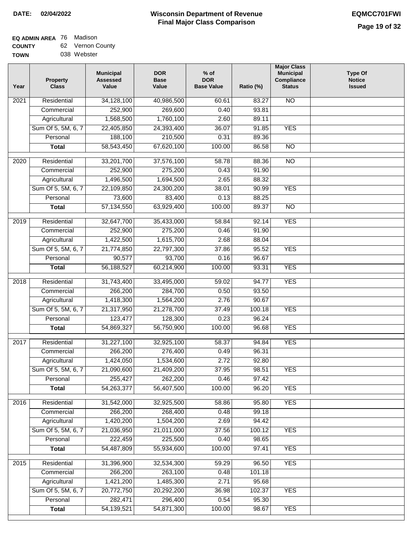#### **Wisconsin Department of Revenue Final Major Class Comparison DATE: 02/04/2022 EQMCC701FWI**

#### **EQ ADMIN AREA** 76 Madison **COUNTY** 62 Vernon County

| <b>UUUNII</b> | vuuvu vuu   |  |
|---------------|-------------|--|
| <b>TOWN</b>   | 038 Webster |  |

| <b>NO</b><br>Residential<br>34,128,100<br>40,986,500<br>83.27<br>2021<br>60.61<br>252,900<br>93.81<br>269,600<br>0.40<br>Commercial<br>1,568,500<br>1,760,100<br>2.60<br>89.11<br>Agricultural<br>Sum Of 5, 5M, 6, 7<br>22,405,850<br>24,393,400<br>36.07<br>91.85<br><b>YES</b> |  |
|----------------------------------------------------------------------------------------------------------------------------------------------------------------------------------------------------------------------------------------------------------------------------------|--|
|                                                                                                                                                                                                                                                                                  |  |
|                                                                                                                                                                                                                                                                                  |  |
|                                                                                                                                                                                                                                                                                  |  |
|                                                                                                                                                                                                                                                                                  |  |
| 188,100<br>Personal<br>210,500<br>0.31<br>89.36                                                                                                                                                                                                                                  |  |
| 58,543,450<br>67,620,100<br>100.00<br>$\overline{NO}$<br>86.58<br><b>Total</b>                                                                                                                                                                                                   |  |
| $\overline{2020}$<br>Residential<br>33,201,700<br>37,576,100<br>58.78<br>88.36<br>$\overline{10}$                                                                                                                                                                                |  |
| 275,200<br>Commercial<br>252,900<br>0.43<br>91.90                                                                                                                                                                                                                                |  |
| 1,496,500<br>88.32<br>1,694,500<br>2.65<br>Agricultural                                                                                                                                                                                                                          |  |
| Sum Of 5, 5M, 6, 7<br>22,109,850<br>38.01<br>90.99<br><b>YES</b><br>24,300,200                                                                                                                                                                                                   |  |
| 73,600<br>83,400<br>0.13<br>88.25<br>Personal                                                                                                                                                                                                                                    |  |
| <b>Total</b><br>57, 134, 550<br>63,929,400<br>100.00<br>89.37<br><b>NO</b>                                                                                                                                                                                                       |  |
|                                                                                                                                                                                                                                                                                  |  |
| <b>YES</b><br>2019<br>Residential<br>32,647,700<br>35,433,000<br>58.84<br>92.14                                                                                                                                                                                                  |  |
| 252,900<br>275,200<br>Commercial<br>0.46<br>91.90                                                                                                                                                                                                                                |  |
| 1,422,500<br>1,615,700<br>Agricultural<br>2.68<br>88.04                                                                                                                                                                                                                          |  |
| Sum Of 5, 5M, 6, 7<br>21,774,850<br>37.86<br><b>YES</b><br>22,797,300<br>95.52                                                                                                                                                                                                   |  |
| 0.16<br>Personal<br>90,577<br>93,700<br>96.67                                                                                                                                                                                                                                    |  |
| <b>YES</b><br>56,188,527<br>60,214,900<br>100.00<br>93.31<br><b>Total</b>                                                                                                                                                                                                        |  |
| 31,743,400<br><b>YES</b><br>2018<br>Residential<br>33,495,000<br>59.02<br>94.77                                                                                                                                                                                                  |  |
| Commercial<br>266,200<br>284,700<br>0.50<br>93.50                                                                                                                                                                                                                                |  |
| 1,418,300<br>1,564,200<br>2.76<br>90.67<br>Agricultural                                                                                                                                                                                                                          |  |
| Sum Of 5, 5M, 6, 7<br>21,317,950<br>37.49<br><b>YES</b><br>21,278,700<br>100.18                                                                                                                                                                                                  |  |
| 123,477<br>128,300<br>0.23<br>96.24<br>Personal                                                                                                                                                                                                                                  |  |
| <b>YES</b><br>54,869,327<br>56,750,900<br>100.00<br>96.68<br><b>Total</b>                                                                                                                                                                                                        |  |
| <b>YES</b><br>Residential<br>58.37<br>2017<br>31,227,100<br>32,925,100<br>94.84                                                                                                                                                                                                  |  |
| 266,200<br>276,400<br>0.49<br>96.31<br>Commercial                                                                                                                                                                                                                                |  |
| 1,424,050<br>1,534,600<br>2.72<br>92.80<br>Agricultural                                                                                                                                                                                                                          |  |
| Sum Of 5, 5M, 6, 7<br>21,090,600<br>21,409,200<br>37.95<br>98.51<br><b>YES</b>                                                                                                                                                                                                   |  |
| 255,427<br>Personal<br>262,200<br>0.46<br>97.42                                                                                                                                                                                                                                  |  |
| 54,263,377<br>56,407,500<br>100.00<br>96.20<br><b>YES</b><br><b>Total</b>                                                                                                                                                                                                        |  |
|                                                                                                                                                                                                                                                                                  |  |
| 2016<br>Residential<br>31,542,000<br>58.86<br>95.80<br><b>YES</b><br>32,925,500                                                                                                                                                                                                  |  |
| 99.18<br>Commercial<br>266,200<br>268,400<br>0.48                                                                                                                                                                                                                                |  |
| 1,420,200<br>1,504,200<br>2.69<br>94.42<br>Agricultural                                                                                                                                                                                                                          |  |
| Sum Of 5, 5M, 6, 7<br>21,036,950<br>21,011,000<br>37.56<br>100.12<br><b>YES</b>                                                                                                                                                                                                  |  |
| 222,459<br>Personal<br>225,500<br>0.40<br>98.65                                                                                                                                                                                                                                  |  |
| 54,487,809<br>55,934,600<br>100.00<br>97.41<br><b>YES</b><br><b>Total</b>                                                                                                                                                                                                        |  |
| 31,396,900<br>32,534,300<br><b>YES</b><br>2015<br>Residential<br>59.29<br>96.50                                                                                                                                                                                                  |  |
| 266,200<br>101.18<br>263,100<br>0.48<br>Commercial                                                                                                                                                                                                                               |  |
| 1,421,200<br>1,485,300<br>Agricultural<br>2.71<br>95.68                                                                                                                                                                                                                          |  |
| Sum Of 5, 5M, 6, 7<br>20,772,750<br>102.37<br><b>YES</b><br>20,292,200<br>36.98                                                                                                                                                                                                  |  |
| Personal<br>282,471<br>296,400<br>0.54<br>95.30                                                                                                                                                                                                                                  |  |
| 54,871,300<br>100.00<br><b>YES</b><br>54, 139, 521<br>98.67<br><b>Total</b>                                                                                                                                                                                                      |  |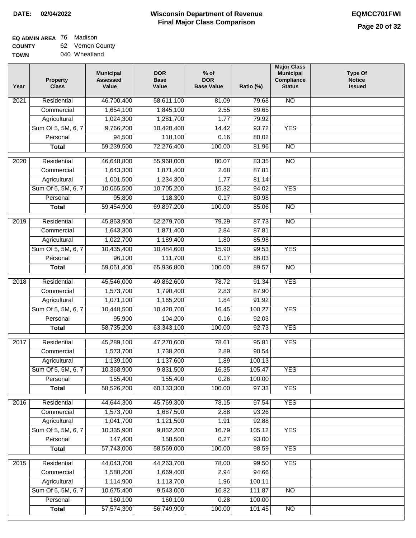# **EQ ADMIN AREA** 76 Madison

**COUNTY TOWN** 62 Vernon County

| ---- | .             |
|------|---------------|
|      | 040 Wheatland |

| Year             | <b>Property</b><br><b>Class</b> | <b>Municipal</b><br><b>Assessed</b><br>Value | <b>DOR</b><br><b>Base</b><br>Value | $%$ of<br><b>DOR</b><br><b>Base Value</b> | Ratio (%) | <b>Major Class</b><br><b>Municipal</b><br>Compliance<br><b>Status</b> | <b>Type Of</b><br><b>Notice</b><br><b>Issued</b> |
|------------------|---------------------------------|----------------------------------------------|------------------------------------|-------------------------------------------|-----------|-----------------------------------------------------------------------|--------------------------------------------------|
| 2021             | Residential                     | 46,700,400                                   | 58,611,100                         | 81.09                                     | 79.68     | <b>NO</b>                                                             |                                                  |
|                  | Commercial                      | 1,654,100                                    | 1,845,100                          | 2.55                                      | 89.65     |                                                                       |                                                  |
|                  | Agricultural                    | 1,024,300                                    | 1,281,700                          | 1.77                                      | 79.92     |                                                                       |                                                  |
|                  | Sum Of 5, 5M, 6, 7              | 9,766,200                                    | 10,420,400                         | 14.42                                     | 93.72     | <b>YES</b>                                                            |                                                  |
|                  | Personal                        | 94,500                                       | 118,100                            | 0.16                                      | 80.02     |                                                                       |                                                  |
|                  | <b>Total</b>                    | 59,239,500                                   | 72,276,400                         | 100.00                                    | 81.96     | $\overline{NO}$                                                       |                                                  |
| $\frac{1}{2020}$ | Residential                     | 46,648,800                                   | 55,968,000                         | 80.07                                     | 83.35     | $\overline{NO}$                                                       |                                                  |
|                  | Commercial                      | 1,643,300                                    | 1,871,400                          | 2.68                                      | 87.81     |                                                                       |                                                  |
|                  | Agricultural                    | 1,001,500                                    | 1,234,300                          | 1.77                                      | 81.14     |                                                                       |                                                  |
|                  | Sum Of 5, 5M, 6, 7              | 10,065,500                                   | 10,705,200                         | 15.32                                     | 94.02     | <b>YES</b>                                                            |                                                  |
|                  | Personal                        | 95,800                                       | 118,300                            | 0.17                                      | 80.98     |                                                                       |                                                  |
|                  | <b>Total</b>                    | 59,454,900                                   | 69,897,200                         | 100.00                                    | 85.06     | <b>NO</b>                                                             |                                                  |
|                  |                                 |                                              |                                    |                                           |           |                                                                       |                                                  |
| $\frac{2019}{ }$ | Residential                     | 45,863,900                                   | 52,279,700                         | 79.29                                     | 87.73     | $\overline{NO}$                                                       |                                                  |
|                  | Commercial                      | 1,643,300                                    | 1,871,400                          | 2.84                                      | 87.81     |                                                                       |                                                  |
|                  | Agricultural                    | 1,022,700                                    | 1,189,400                          | 1.80                                      | 85.98     |                                                                       |                                                  |
|                  | Sum Of 5, 5M, 6, 7              | 10,435,400                                   | 10,484,600                         | 15.90                                     | 99.53     | <b>YES</b>                                                            |                                                  |
|                  | Personal                        | 96,100                                       | 111,700                            | 0.17                                      | 86.03     |                                                                       |                                                  |
|                  | <b>Total</b>                    | 59,061,400                                   | 65,936,800                         | 100.00                                    | 89.57     | $\overline{NO}$                                                       |                                                  |
| 2018             | Residential                     | 45,546,000                                   | 49,862,600                         | 78.72                                     | 91.34     | <b>YES</b>                                                            |                                                  |
|                  | Commercial                      | 1,573,700                                    | 1,790,400                          | 2.83                                      | 87.90     |                                                                       |                                                  |
|                  | Agricultural                    | 1,071,100                                    | 1,165,200                          | 1.84                                      | 91.92     |                                                                       |                                                  |
|                  | Sum Of 5, 5M, 6, 7              | 10,448,500                                   | 10,420,700                         | 16.45                                     | 100.27    | <b>YES</b>                                                            |                                                  |
|                  | Personal                        | 95,900                                       | 104,200                            | 0.16                                      | 92.03     |                                                                       |                                                  |
|                  | <b>Total</b>                    | 58,735,200                                   | 63,343,100                         | 100.00                                    | 92.73     | <b>YES</b>                                                            |                                                  |
| 2017             | Residential                     | 45,289,100                                   | 47,270,600                         | 78.61                                     | 95.81     | <b>YES</b>                                                            |                                                  |
|                  | Commercial                      | 1,573,700                                    | 1,738,200                          | 2.89                                      | 90.54     |                                                                       |                                                  |
|                  | Agricultural                    | 1,139,100                                    | 1,137,600                          | 1.89                                      | 100.13    |                                                                       |                                                  |
|                  | Sum Of 5, 5M, 6, 7              | 10,368,900                                   | 9,831,500                          | 16.35                                     | 105.47    | <b>YES</b>                                                            |                                                  |
|                  | Personal                        | 155,400                                      | 155,400                            | 0.26                                      | 100.00    |                                                                       |                                                  |
|                  | <b>Total</b>                    | 58,526,200                                   | 60,133,300                         | 100.00                                    | 97.33     | <b>YES</b>                                                            |                                                  |
|                  |                                 |                                              |                                    |                                           |           |                                                                       |                                                  |
| 2016             | Residential                     | 44,644,300                                   | 45,769,300                         | 78.15                                     | 97.54     | <b>YES</b>                                                            |                                                  |
|                  | Commercial                      | 1,573,700                                    | 1,687,500                          | 2.88                                      | 93.26     |                                                                       |                                                  |
|                  | Agricultural                    | 1,041,700                                    | 1,121,500                          | 1.91                                      | 92.88     |                                                                       |                                                  |
|                  | Sum Of 5, 5M, 6, 7              | 10,335,900                                   | 9,832,200                          | 16.79                                     | 105.12    | <b>YES</b>                                                            |                                                  |
|                  | Personal                        | 147,400                                      | 158,500                            | 0.27                                      | 93.00     |                                                                       |                                                  |
|                  | <b>Total</b>                    | 57,743,000                                   | 58,569,000                         | 100.00                                    | 98.59     | <b>YES</b>                                                            |                                                  |
| 2015             | Residential                     | 44,043,700                                   | 44,263,700                         | 78.00                                     | 99.50     | <b>YES</b>                                                            |                                                  |
|                  | Commercial                      | 1,580,200                                    | 1,669,400                          | 2.94                                      | 94.66     |                                                                       |                                                  |
|                  | Agricultural                    | 1,114,900                                    | 1,113,700                          | 1.96                                      | 100.11    |                                                                       |                                                  |
|                  | Sum Of 5, 5M, 6, 7              | 10,675,400                                   | 9,543,000                          | 16.82                                     | 111.87    | NO                                                                    |                                                  |
|                  | Personal                        | 160,100                                      | 160,100                            | 0.28                                      | 100.00    |                                                                       |                                                  |
|                  | <b>Total</b>                    | 57,574,300                                   | 56,749,900                         | 100.00                                    | 101.45    | $\overline{NO}$                                                       |                                                  |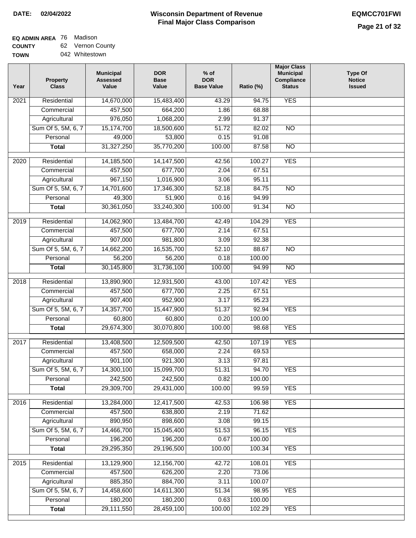#### **EQ ADMIN AREA** 76 Madison **COUNTY** 62 Vernon County

**TOWN** 042 Whitestown

| Year              | <b>Property</b><br><b>Class</b> | <b>Municipal</b><br><b>Assessed</b><br>Value | <b>DOR</b><br><b>Base</b><br>Value | $%$ of<br><b>DOR</b><br><b>Base Value</b> | Ratio (%) | <b>Municipal</b><br>Compliance<br><b>Status</b> | <b>Type Of</b><br><b>Notice</b><br><b>Issued</b> |
|-------------------|---------------------------------|----------------------------------------------|------------------------------------|-------------------------------------------|-----------|-------------------------------------------------|--------------------------------------------------|
| 2021              | Residential                     | 14,670,000                                   | 15,483,400                         | 43.29                                     | 94.75     | <b>YES</b>                                      |                                                  |
|                   | Commercial                      | 457,500                                      | 664,200                            | 1.86                                      | 68.88     |                                                 |                                                  |
|                   | Agricultural                    | 976,050                                      | 1,068,200                          | 2.99                                      | 91.37     |                                                 |                                                  |
|                   | Sum Of 5, 5M, 6, 7              | 15,174,700                                   | 18,500,600                         | 51.72                                     | 82.02     | $\overline{NO}$                                 |                                                  |
|                   | Personal                        | 49,000                                       | 53,800                             | 0.15                                      | 91.08     |                                                 |                                                  |
|                   | <b>Total</b>                    | 31,327,250                                   | 35,770,200                         | 100.00                                    | 87.58     | $\overline{NO}$                                 |                                                  |
| $\overline{2020}$ | Residential                     | 14,185,500                                   | 14,147,500                         | 42.56                                     | 100.27    | <b>YES</b>                                      |                                                  |
|                   | Commercial                      | 457,500                                      | 677,700                            | 2.04                                      | 67.51     |                                                 |                                                  |
|                   | Agricultural                    | 967,150                                      | 1,016,900                          | 3.06                                      | 95.11     |                                                 |                                                  |
|                   | Sum Of 5, 5M, 6, 7              | 14,701,600                                   | 17,346,300                         | 52.18                                     | 84.75     | <b>NO</b>                                       |                                                  |
|                   | Personal                        | 49,300                                       | 51,900                             | 0.16                                      | 94.99     |                                                 |                                                  |
|                   | <b>Total</b>                    | 30,361,050                                   | 33,240,300                         | 100.00                                    | 91.34     | <b>NO</b>                                       |                                                  |
|                   |                                 |                                              |                                    |                                           |           |                                                 |                                                  |
| 2019              | Residential                     | 14,062,900                                   | 13,484,700                         | 42.49                                     | 104.29    | <b>YES</b>                                      |                                                  |
|                   | Commercial                      | 457,500                                      | 677,700                            | 2.14                                      | 67.51     |                                                 |                                                  |
|                   | Agricultural                    | 907,000                                      | 981,800                            | 3.09                                      | 92.38     |                                                 |                                                  |
|                   | Sum Of 5, 5M, 6, 7              | 14,662,200                                   | 16,535,700                         | 52.10                                     | 88.67     | $\overline{NO}$                                 |                                                  |
|                   | Personal                        | 56,200                                       | 56,200                             | 0.18                                      | 100.00    |                                                 |                                                  |
|                   | <b>Total</b>                    | 30,145,800                                   | 31,736,100                         | 100.00                                    | 94.99     | $\overline{NO}$                                 |                                                  |
| 2018              | Residential                     | 13,890,900                                   | 12,931,500                         | 43.00                                     | 107.42    | <b>YES</b>                                      |                                                  |
|                   | Commercial                      | 457,500                                      | 677,700                            | 2.25                                      | 67.51     |                                                 |                                                  |
|                   | Agricultural                    | 907,400                                      | 952,900                            | 3.17                                      | 95.23     |                                                 |                                                  |
|                   | Sum Of 5, 5M, 6, 7              | 14,357,700                                   | 15,447,900                         | $\overline{51.37}$                        | 92.94     | <b>YES</b>                                      |                                                  |
|                   | Personal                        | 60,800                                       | 60,800                             | 0.20                                      | 100.00    |                                                 |                                                  |
|                   | <b>Total</b>                    | 29,674,300                                   | 30,070,800                         | 100.00                                    | 98.68     | <b>YES</b>                                      |                                                  |
| 2017              | Residential                     | 13,408,500                                   | 12,509,500                         | 42.50                                     | 107.19    | <b>YES</b>                                      |                                                  |
|                   | Commercial                      | 457,500                                      | 658,000                            | 2.24                                      | 69.53     |                                                 |                                                  |
|                   | Agricultural                    | 901,100                                      | 921,300                            | 3.13                                      | 97.81     |                                                 |                                                  |
|                   | Sum Of 5, 5M, 6, 7              | 14,300,100                                   | 15,099,700                         | 51.31                                     | 94.70     | <b>YES</b>                                      |                                                  |
|                   | Personal                        | 242,500                                      | 242,500                            | 0.82                                      | 100.00    |                                                 |                                                  |
|                   | <b>Total</b>                    | 29,309,700                                   | 29,431,000                         | 100.00                                    | 99.59     | <b>YES</b>                                      |                                                  |
| 2016              | Residential                     | 13,284,000                                   | 12,417,500                         | 42.53                                     | 106.98    | <b>YES</b>                                      |                                                  |
|                   | Commercial                      | 457,500                                      | 638,800                            | 2.19                                      | 71.62     |                                                 |                                                  |
|                   | Agricultural                    | 890,950                                      | 898,600                            | 3.08                                      | 99.15     |                                                 |                                                  |
|                   | Sum Of 5, 5M, 6, 7              | 14,466,700                                   | 15,045,400                         | 51.53                                     | 96.15     | <b>YES</b>                                      |                                                  |
|                   | Personal                        | 196,200                                      | 196,200                            | 0.67                                      | 100.00    |                                                 |                                                  |
|                   | <b>Total</b>                    | 29,295,350                                   | 29,196,500                         | 100.00                                    | 100.34    | <b>YES</b>                                      |                                                  |
| 2015              | Residential                     | 13,129,900                                   | 12,156,700                         | 42.72                                     | 108.01    | <b>YES</b>                                      |                                                  |
|                   | Commercial                      | 457,500                                      | 626,200                            | 2.20                                      | 73.06     |                                                 |                                                  |
|                   | Agricultural                    | 885,350                                      | 884,700                            | 3.11                                      | 100.07    |                                                 |                                                  |
|                   | Sum Of 5, 5M, 6, 7              | 14,458,600                                   | 14,611,300                         | 51.34                                     | 98.95     | <b>YES</b>                                      |                                                  |
|                   | Personal                        | 180,200                                      | 180,200                            | 0.63                                      | 100.00    |                                                 |                                                  |
|                   | <b>Total</b>                    | 29,111,550                                   | 28,459,100                         | 100.00                                    | 102.29    | <b>YES</b>                                      |                                                  |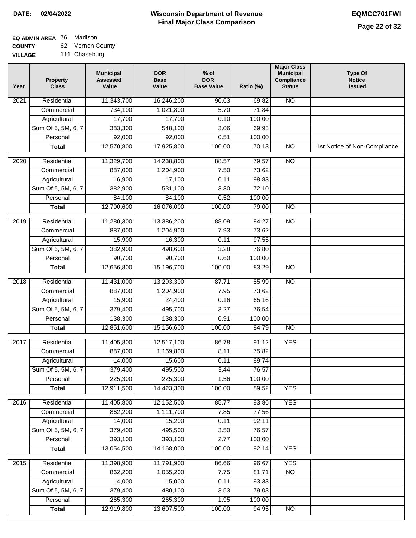## **EQ ADMIN AREA** 76 Madison

**COUNTY VILLAGE** 62 Vernon County

| Year | <b>Property</b><br><b>Class</b> | <b>Municipal</b><br><b>Assessed</b><br>Value | <b>DOR</b><br><b>Base</b><br>Value | % of<br><b>DOR</b><br><b>Base Value</b> | Ratio (%) | <b>Major Class</b><br><b>Municipal</b><br>Compliance<br><b>Status</b> | <b>Type Of</b><br><b>Notice</b><br><b>Issued</b> |
|------|---------------------------------|----------------------------------------------|------------------------------------|-----------------------------------------|-----------|-----------------------------------------------------------------------|--------------------------------------------------|
| 2021 | Residential                     | 11,343,700                                   | 16,246,200                         | 90.63                                   | 69.82     | N <sub>O</sub>                                                        |                                                  |
|      | Commercial                      | 734,100                                      | 1,021,800                          | 5.70                                    | 71.84     |                                                                       |                                                  |
|      | Agricultural                    | 17,700                                       | 17,700                             | 0.10                                    | 100.00    |                                                                       |                                                  |
|      | Sum Of 5, 5M, 6, 7              | 383,300                                      | 548,100                            | 3.06                                    | 69.93     |                                                                       |                                                  |
|      | Personal                        | 92,000                                       | 92,000                             | 0.51                                    | 100.00    |                                                                       |                                                  |
|      | <b>Total</b>                    | 12,570,800                                   | 17,925,800                         | 100.00                                  | 70.13     | $\overline{NO}$                                                       | 1st Notice of Non-Compliance                     |
| 2020 | Residential                     | 11,329,700                                   | 14,238,800                         | 88.57                                   | 79.57     | $\overline{10}$                                                       |                                                  |
|      | Commercial                      | 887,000                                      | 1,204,900                          | 7.50                                    | 73.62     |                                                                       |                                                  |
|      | Agricultural                    | 16,900                                       | 17,100                             | 0.11                                    | 98.83     |                                                                       |                                                  |
|      | Sum Of 5, 5M, 6, 7              | 382,900                                      | 531,100                            | 3.30                                    | 72.10     |                                                                       |                                                  |
|      | Personal                        | 84,100                                       | 84,100                             | 0.52                                    | 100.00    |                                                                       |                                                  |
|      | <b>Total</b>                    | 12,700,600                                   | 16,076,000                         | 100.00                                  | 79.00     | $\overline{NO}$                                                       |                                                  |
|      |                                 |                                              |                                    |                                         |           |                                                                       |                                                  |
| 2019 | Residential                     | 11,280,300                                   | 13,386,200                         | 88.09                                   | 84.27     | $\overline{NO}$                                                       |                                                  |
|      | Commercial                      | 887,000                                      | 1,204,900                          | 7.93                                    | 73.62     |                                                                       |                                                  |
|      | Agricultural                    | 15,900                                       | 16,300                             | 0.11                                    | 97.55     |                                                                       |                                                  |
|      | Sum Of 5, 5M, 6, 7              | 382,900                                      | 498,600                            | 3.28                                    | 76.80     |                                                                       |                                                  |
|      | Personal                        | 90,700                                       | 90,700                             | 0.60                                    | 100.00    |                                                                       |                                                  |
|      | <b>Total</b>                    | 12,656,800                                   | 15,196,700                         | 100.00                                  | 83.29     | $\overline{NO}$                                                       |                                                  |
| 2018 | Residential                     | 11,431,000                                   | 13,293,300                         | 87.71                                   | 85.99     | $\overline{NO}$                                                       |                                                  |
|      | Commercial                      | 887,000                                      | 1,204,900                          | 7.95                                    | 73.62     |                                                                       |                                                  |
|      | Agricultural                    | 15,900                                       | 24,400                             | 0.16                                    | 65.16     |                                                                       |                                                  |
|      | Sum Of 5, 5M, 6, 7              | 379,400                                      | 495,700                            | 3.27                                    | 76.54     |                                                                       |                                                  |
|      | Personal                        | 138,300                                      | 138,300                            | 0.91                                    | 100.00    |                                                                       |                                                  |
|      | <b>Total</b>                    | 12,851,600                                   | 15,156,600                         | 100.00                                  | 84.79     | <b>NO</b>                                                             |                                                  |
| 2017 | Residential                     | 11,405,800                                   | 12,517,100                         | 86.78                                   | 91.12     | <b>YES</b>                                                            |                                                  |
|      | Commercial                      | 887,000                                      | 1,169,800                          | 8.11                                    | 75.82     |                                                                       |                                                  |
|      | Agricultural                    | 14,000                                       | 15,600                             | 0.11                                    | 89.74     |                                                                       |                                                  |
|      | Sum Of 5, 5M, 6, 7              | 379,400                                      | 495,500                            | 3.44                                    | 76.57     |                                                                       |                                                  |
|      | Personal                        | 225,300                                      | 225,300                            | 1.56                                    | 100.00    |                                                                       |                                                  |
|      | <b>Total</b>                    | 12,911,500                                   | 14,423,300                         | 100.00                                  | 89.52     | <b>YES</b>                                                            |                                                  |
| 2016 | Residential                     | 11,405,800                                   | 12,152,500                         | 85.77                                   | 93.86     | <b>YES</b>                                                            |                                                  |
|      | Commercial                      | 862,200                                      | 1,111,700                          | 7.85                                    | 77.56     |                                                                       |                                                  |
|      | Agricultural                    | 14,000                                       | 15,200                             | 0.11                                    | 92.11     |                                                                       |                                                  |
|      | Sum Of 5, 5M, 6, 7              | 379,400                                      | 495,500                            | 3.50                                    | 76.57     |                                                                       |                                                  |
|      | Personal                        | 393,100                                      | 393,100                            | 2.77                                    | 100.00    |                                                                       |                                                  |
|      | <b>Total</b>                    | 13,054,500                                   | 14,168,000                         | 100.00                                  | 92.14     | <b>YES</b>                                                            |                                                  |
| 2015 | Residential                     | 11,398,900                                   | 11,791,900                         | 86.66                                   | 96.67     | <b>YES</b>                                                            |                                                  |
|      | Commercial                      | 862,200                                      | 1,055,200                          | 7.75                                    | 81.71     | $\overline{NO}$                                                       |                                                  |
|      | Agricultural                    | 14,000                                       | 15,000                             | 0.11                                    | 93.33     |                                                                       |                                                  |
|      | Sum Of 5, 5M, 6, 7              | 379,400                                      | 480,100                            | 3.53                                    | 79.03     |                                                                       |                                                  |
|      | Personal                        | 265,300                                      | 265,300                            | 1.95                                    | 100.00    |                                                                       |                                                  |
|      | <b>Total</b>                    | 12,919,800                                   | 13,607,500                         | 100.00                                  | 94.95     | $\overline{NO}$                                                       |                                                  |
|      |                                 |                                              |                                    |                                         |           |                                                                       |                                                  |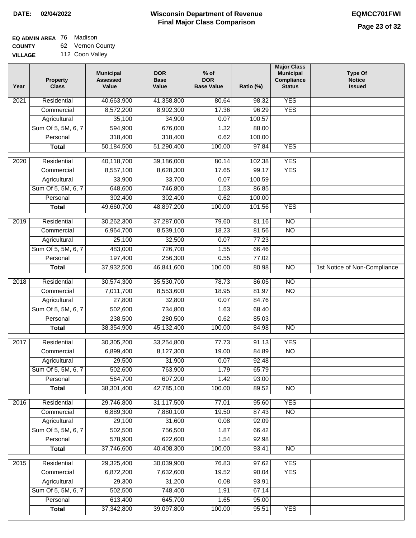## **EQ ADMIN AREA** 76 Madison

**COUNTY VILLAG** 62 Vernon County

| 112 Coon Valley<br>эE |  |
|-----------------------|--|
|-----------------------|--|

| Year | <b>Property</b><br><b>Class</b> | <b>Municipal</b><br><b>Assessed</b><br>Value | <b>DOR</b><br><b>Base</b><br>Value | $%$ of<br><b>DOR</b><br><b>Base Value</b> | Ratio (%) | <b>Major Class</b><br><b>Municipal</b><br>Compliance<br><b>Status</b> | <b>Type Of</b><br><b>Notice</b><br><b>Issued</b> |
|------|---------------------------------|----------------------------------------------|------------------------------------|-------------------------------------------|-----------|-----------------------------------------------------------------------|--------------------------------------------------|
| 2021 | Residential                     | 40,663,900                                   | 41,358,800                         | 80.64                                     | 98.32     | <b>YES</b>                                                            |                                                  |
|      | Commercial                      | 8,572,200                                    | 8,902,300                          | 17.36                                     | 96.29     | <b>YES</b>                                                            |                                                  |
|      | Agricultural                    | 35,100                                       | 34,900                             | 0.07                                      | 100.57    |                                                                       |                                                  |
|      | Sum Of 5, 5M, 6, 7              | 594,900                                      | 676,000                            | 1.32                                      | 88.00     |                                                                       |                                                  |
|      | Personal                        | 318,400                                      | 318,400                            | 0.62                                      | 100.00    |                                                                       |                                                  |
|      | <b>Total</b>                    | 50,184,500                                   | 51,290,400                         | 100.00                                    | 97.84     | <b>YES</b>                                                            |                                                  |
| 2020 | Residential                     | 40,118,700                                   | 39,186,000                         | 80.14                                     | 102.38    | <b>YES</b>                                                            |                                                  |
|      | Commercial                      | 8,557,100                                    | 8,628,300                          | 17.65                                     | 99.17     | <b>YES</b>                                                            |                                                  |
|      | Agricultural                    | 33,900                                       | 33,700                             | 0.07                                      | 100.59    |                                                                       |                                                  |
|      | Sum Of 5, 5M, 6, 7              | 648,600                                      | 746,800                            | 1.53                                      | 86.85     |                                                                       |                                                  |
|      | Personal                        | 302,400                                      | 302,400                            | 0.62                                      | 100.00    |                                                                       |                                                  |
|      | <b>Total</b>                    | 49,660,700                                   | 48,897,200                         | 100.00                                    | 101.56    | <b>YES</b>                                                            |                                                  |
| 2019 | Residential                     | 30,262,300                                   | 37,287,000                         | 79.60                                     | 81.16     | $\overline{10}$                                                       |                                                  |
|      | Commercial                      | 6,964,700                                    | 8,539,100                          | 18.23                                     | 81.56     | $\overline{NO}$                                                       |                                                  |
|      | Agricultural                    | 25,100                                       | 32,500                             | 0.07                                      | 77.23     |                                                                       |                                                  |
|      | Sum Of 5, 5M, 6, 7              | 483,000                                      | 726,700                            | 1.55                                      | 66.46     |                                                                       |                                                  |
|      | Personal                        | 197,400                                      | 256,300                            | 0.55                                      | 77.02     |                                                                       |                                                  |
|      | <b>Total</b>                    | 37,932,500                                   | 46,841,600                         | 100.00                                    | 80.98     | $\overline{NO}$                                                       | 1st Notice of Non-Compliance                     |
| 2018 | Residential                     | 30,574,300                                   | 35,530,700                         | 78.73                                     | 86.05     | N <sub>O</sub>                                                        |                                                  |
|      | Commercial                      | 7,011,700                                    | 8,553,600                          | 18.95                                     | 81.97     | <b>NO</b>                                                             |                                                  |
|      | Agricultural                    | 27,800                                       | 32,800                             | 0.07                                      | 84.76     |                                                                       |                                                  |
|      | Sum Of 5, 5M, 6, 7              | 502,600                                      | 734,800                            | 1.63                                      | 68.40     |                                                                       |                                                  |
|      | Personal                        | 238,500                                      | 280,500                            | 0.62                                      | 85.03     |                                                                       |                                                  |
|      | <b>Total</b>                    | 38,354,900                                   | 45,132,400                         | 100.00                                    | 84.98     | $\overline{10}$                                                       |                                                  |
| 2017 | Residential                     | 30,305,200                                   | 33,254,800                         | 77.73                                     | 91.13     | <b>YES</b>                                                            |                                                  |
|      | Commercial                      | 6,899,400                                    | 8,127,300                          | 19.00                                     | 84.89     | <b>NO</b>                                                             |                                                  |
|      | Agricultural                    | 29,500                                       | 31,900                             | 0.07                                      | 92.48     |                                                                       |                                                  |
|      | Sum Of 5, 5M, 6, 7              | 502,600                                      | 763,900                            | 1.79                                      | 65.79     |                                                                       |                                                  |
|      | Personal                        | 564,700                                      | 607,200                            | 1.42                                      | 93.00     |                                                                       |                                                  |
|      | <b>Total</b>                    | 38,301,400                                   | 42,785,100                         | 100.00                                    | 89.52     | <b>NO</b>                                                             |                                                  |
| 2016 | Residential                     | 29,746,800                                   | 31,117,500                         | 77.01                                     | 95.60     | <b>YES</b>                                                            |                                                  |
|      | Commercial                      | 6,889,300                                    | 7,880,100                          | 19.50                                     | 87.43     | N <sub>O</sub>                                                        |                                                  |
|      | Agricultural                    | 29,100                                       | 31,600                             | 0.08                                      | 92.09     |                                                                       |                                                  |
|      | Sum Of 5, 5M, 6, 7              | 502,500                                      | 756,500                            | 1.87                                      | 66.42     |                                                                       |                                                  |
|      | Personal                        | 578,900                                      | 622,600                            | 1.54                                      | 92.98     |                                                                       |                                                  |
|      | <b>Total</b>                    | 37,746,600                                   | 40,408,300                         | 100.00                                    | 93.41     | N <sub>O</sub>                                                        |                                                  |
| 2015 | Residential                     | 29,325,400                                   | 30,039,900                         | 76.83                                     | 97.62     | <b>YES</b>                                                            |                                                  |
|      | Commercial                      | 6,872,200                                    | 7,632,600                          | 19.52                                     | 90.04     | <b>YES</b>                                                            |                                                  |
|      | Agricultural                    | 29,300                                       | 31,200                             | 0.08                                      | 93.91     |                                                                       |                                                  |
|      | Sum Of 5, 5M, 6, 7              | 502,500                                      | 748,400                            | 1.91                                      | 67.14     |                                                                       |                                                  |
|      | Personal                        | 613,400                                      | 645,700                            | 1.65                                      | 95.00     |                                                                       |                                                  |
|      | <b>Total</b>                    | 37,342,800                                   | 39,097,800                         | 100.00                                    | 95.51     | <b>YES</b>                                                            |                                                  |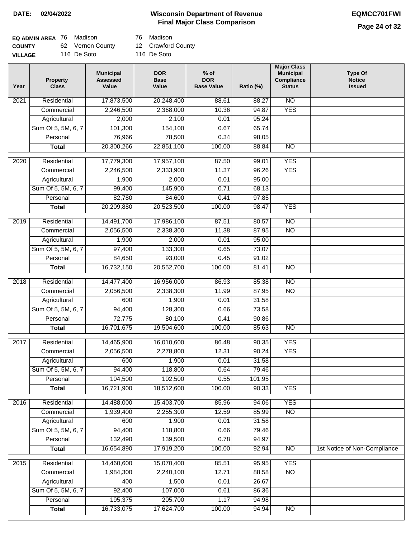### **Wisconsin Department of Revenue DATE: 02/04/2022 EQMCC701FWI Final Major Class Comparison**

| <b>EQ ADMIN AREA</b> 76 Madison |                  | 76 Madison         |
|---------------------------------|------------------|--------------------|
| <b>COUNTY</b>                   | 62 Vernon County | 12 Crawford County |
| <b>VILLAGE</b>                  | 116 De Soto      | 116 De Soto        |

| Year             | <b>Property</b><br><b>Class</b> | <b>Municipal</b><br><b>Assessed</b><br>Value | <b>DOR</b><br><b>Base</b><br>Value | $%$ of<br><b>DOR</b><br><b>Base Value</b> | Ratio (%) | <b>Major Class</b><br><b>Municipal</b><br>Compliance<br><b>Status</b> | <b>Type Of</b><br><b>Notice</b><br><b>Issued</b> |
|------------------|---------------------------------|----------------------------------------------|------------------------------------|-------------------------------------------|-----------|-----------------------------------------------------------------------|--------------------------------------------------|
| 2021             | Residential                     | 17,873,500                                   | 20,248,400                         | 88.61                                     | 88.27     | N <sub>O</sub>                                                        |                                                  |
|                  | Commercial                      | 2,246,500                                    | 2,368,000                          | 10.36                                     | 94.87     | <b>YES</b>                                                            |                                                  |
|                  | Agricultural                    | 2,000                                        | 2,100                              | 0.01                                      | 95.24     |                                                                       |                                                  |
|                  | Sum Of 5, 5M, 6, 7              | 101,300                                      | 154,100                            | 0.67                                      | 65.74     |                                                                       |                                                  |
|                  | Personal                        | 76,966                                       | 78,500                             | 0.34                                      | 98.05     |                                                                       |                                                  |
|                  | <b>Total</b>                    | 20,300,266                                   | 22,851,100                         | 100.00                                    | 88.84     | <b>NO</b>                                                             |                                                  |
| 2020             | Residential                     | 17,779,300                                   | 17,957,100                         | 87.50                                     | 99.01     | <b>YES</b>                                                            |                                                  |
|                  | Commercial                      | 2,246,500                                    | 2,333,900                          | 11.37                                     | 96.26     | <b>YES</b>                                                            |                                                  |
|                  | Agricultural                    | 1,900                                        | 2,000                              | 0.01                                      | 95.00     |                                                                       |                                                  |
|                  | Sum Of 5, 5M, 6, 7              | 99,400                                       | 145,900                            | 0.71                                      | 68.13     |                                                                       |                                                  |
|                  | Personal                        | 82,780                                       | 84,600                             | 0.41                                      | 97.85     |                                                                       |                                                  |
|                  | <b>Total</b>                    | 20,209,880                                   | 20,523,500                         | 100.00                                    | 98.47     | <b>YES</b>                                                            |                                                  |
|                  |                                 |                                              |                                    |                                           |           |                                                                       |                                                  |
| $\frac{1}{2019}$ | Residential                     | 14,491,700                                   | 17,986,100                         | 87.51                                     | 80.57     | $\overline{NO}$                                                       |                                                  |
|                  | Commercial                      | 2,056,500                                    | 2,338,300                          | 11.38                                     | 87.95     | $\overline{NO}$                                                       |                                                  |
|                  | Agricultural                    | 1,900                                        | 2,000                              | 0.01                                      | 95.00     |                                                                       |                                                  |
|                  | Sum Of 5, 5M, 6, 7              | 97,400                                       | 133,300                            | 0.65                                      | 73.07     |                                                                       |                                                  |
|                  | Personal                        | 84,650                                       | 93,000                             | 0.45                                      | 91.02     |                                                                       |                                                  |
|                  | <b>Total</b>                    | 16,732,150                                   | 20,552,700                         | 100.00                                    | 81.41     | $\overline{NO}$                                                       |                                                  |
| 2018             | Residential                     | 14,477,400                                   | 16,956,000                         | 86.93                                     | 85.38     | $\overline{NO}$                                                       |                                                  |
|                  | Commercial                      | 2,056,500                                    | 2,338,300                          | 11.99                                     | 87.95     | $\overline{10}$                                                       |                                                  |
|                  | Agricultural                    | 600                                          | 1,900                              | 0.01                                      | 31.58     |                                                                       |                                                  |
|                  | Sum Of 5, 5M, 6, 7              | 94,400                                       | 128,300                            | 0.66                                      | 73.58     |                                                                       |                                                  |
|                  | Personal                        | 72,775                                       | 80,100                             | 0.41                                      | 90.86     |                                                                       |                                                  |
|                  | <b>Total</b>                    | 16,701,675                                   | 19,504,600                         | 100.00                                    | 85.63     | $\overline{NO}$                                                       |                                                  |
| 2017             | Residential                     | 14,465,900                                   | 16,010,600                         | 86.48                                     | 90.35     | <b>YES</b>                                                            |                                                  |
|                  | Commercial                      | 2,056,500                                    | 2,278,800                          | 12.31                                     | 90.24     | <b>YES</b>                                                            |                                                  |
|                  | Agricultural                    | 600                                          | 1,900                              | 0.01                                      | 31.58     |                                                                       |                                                  |
|                  | Sum Of 5, 5M, 6, 7              | 94,400                                       | 118,800                            | 0.64                                      | 79.46     |                                                                       |                                                  |
|                  | Personal                        | 104,500                                      | 102,500                            | 0.55                                      | 101.95    |                                                                       |                                                  |
|                  | <b>Total</b>                    | 16,721,900                                   | 18,512,600                         | 100.00                                    | 90.33     | <b>YES</b>                                                            |                                                  |
| 2016             | Residential                     | 14,488,000                                   | 15,403,700                         | 85.96                                     | 94.06     | <b>YES</b>                                                            |                                                  |
|                  | Commercial                      | 1,939,400                                    | 2,255,300                          | 12.59                                     | 85.99     | $\overline{NO}$                                                       |                                                  |
|                  | Agricultural                    | 600                                          | 1,900                              | 0.01                                      | 31.58     |                                                                       |                                                  |
|                  | Sum Of 5, 5M, 6, 7              | 94,400                                       | 118,800                            | 0.66                                      | 79.46     |                                                                       |                                                  |
|                  | Personal                        | 132,490                                      | 139,500                            | 0.78                                      | 94.97     |                                                                       |                                                  |
|                  | <b>Total</b>                    | 16,654,890                                   | 17,919,200                         | 100.00                                    | 92.94     | $\overline{NO}$                                                       | 1st Notice of Non-Compliance                     |
| 2015             | Residential                     | 14,460,600                                   | 15,070,400                         | 85.51                                     | 95.95     | <b>YES</b>                                                            |                                                  |
|                  | Commercial                      | 1,984,300                                    | 2,240,100                          | 12.71                                     | 88.58     | $\overline{NO}$                                                       |                                                  |
|                  | Agricultural                    | 400                                          | 1,500                              | 0.01                                      | 26.67     |                                                                       |                                                  |
|                  | Sum Of 5, 5M, 6, 7              | 92,400                                       | 107,000                            | 0.61                                      | 86.36     |                                                                       |                                                  |
|                  | Personal                        | 195,375                                      | 205,700                            | 1.17                                      | 94.98     |                                                                       |                                                  |
|                  | <b>Total</b>                    | 16,733,075                                   | 17,624,700                         | 100.00                                    | 94.94     | NO                                                                    |                                                  |
|                  |                                 |                                              |                                    |                                           |           |                                                                       |                                                  |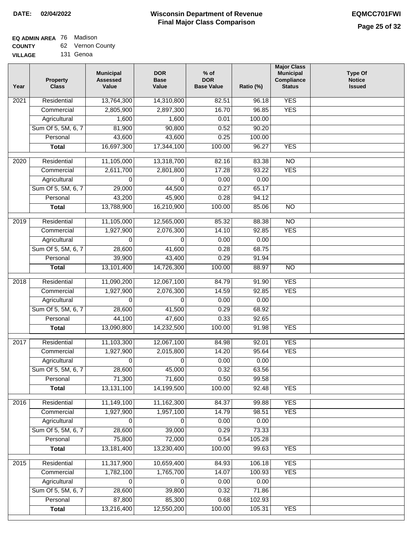#### **Wisconsin Department of Revenue Final Major Class Comparison DATE: 02/04/2022 EQMCC701FWI**

### **EQ ADMIN AREA** 76 Madison **COUNTY**

| <b>COUNTY</b>  | 62 Vernon County |
|----------------|------------------|
| <b>VILLAGE</b> | 131 Genoa        |

| Year             | <b>Property</b><br><b>Class</b> | <b>Municipal</b><br><b>Assessed</b><br>Value | <b>DOR</b><br><b>Base</b><br>Value | $%$ of<br><b>DOR</b><br><b>Base Value</b> | Ratio (%) | <b>Major Class</b><br><b>Municipal</b><br>Compliance<br><b>Status</b> | <b>Type Of</b><br><b>Notice</b><br><b>Issued</b> |
|------------------|---------------------------------|----------------------------------------------|------------------------------------|-------------------------------------------|-----------|-----------------------------------------------------------------------|--------------------------------------------------|
| 2021             | Residential                     | 13,764,300                                   | 14,310,800                         | 82.51                                     | 96.18     | <b>YES</b>                                                            |                                                  |
|                  | Commercial                      | 2,805,900                                    | 2,897,300                          | 16.70                                     | 96.85     | <b>YES</b>                                                            |                                                  |
|                  | Agricultural                    | 1,600                                        | 1,600                              | 0.01                                      | 100.00    |                                                                       |                                                  |
|                  | Sum Of 5, 5M, 6, 7              | 81,900                                       | 90,800                             | 0.52                                      | 90.20     |                                                                       |                                                  |
|                  | Personal                        | 43,600                                       | 43,600                             | 0.25                                      | 100.00    |                                                                       |                                                  |
|                  | <b>Total</b>                    | 16,697,300                                   | 17,344,100                         | 100.00                                    | 96.27     | <b>YES</b>                                                            |                                                  |
| $\frac{1}{2020}$ | Residential                     | 11,105,000                                   | 13,318,700                         | 82.16                                     | 83.38     | $\overline{10}$                                                       |                                                  |
|                  | Commercial                      | 2,611,700                                    | 2,801,800                          | 17.28                                     | 93.22     | <b>YES</b>                                                            |                                                  |
|                  | Agricultural                    | 0                                            | $\Omega$                           | 0.00                                      | 0.00      |                                                                       |                                                  |
|                  | Sum Of 5, 5M, 6, 7              | 29,000                                       | 44,500                             | 0.27                                      | 65.17     |                                                                       |                                                  |
|                  | Personal                        | 43,200                                       | 45,900                             | 0.28                                      | 94.12     |                                                                       |                                                  |
|                  | <b>Total</b>                    | 13,788,900                                   | 16,210,900                         | 100.00                                    | 85.06     | <b>NO</b>                                                             |                                                  |
| 2019             | Residential                     | 11,105,000                                   | 12,565,000                         | 85.32                                     | 88.38     | $\overline{NO}$                                                       |                                                  |
|                  | Commercial                      | 1,927,900                                    | 2,076,300                          | 14.10                                     | 92.85     | <b>YES</b>                                                            |                                                  |
|                  | Agricultural                    | $\Omega$                                     | $\mathbf{0}$                       | 0.00                                      | 0.00      |                                                                       |                                                  |
|                  | Sum Of 5, 5M, 6, 7              | 28,600                                       | 41,600                             | 0.28                                      | 68.75     |                                                                       |                                                  |
|                  | Personal                        | 39,900                                       | 43,400                             | 0.29                                      | 91.94     |                                                                       |                                                  |
|                  | <b>Total</b>                    | 13,101,400                                   | 14,726,300                         | 100.00                                    | 88.97     | $\overline{NO}$                                                       |                                                  |
| 2018             | Residential                     | 11,090,200                                   | 12,067,100                         | 84.79                                     | 91.90     | <b>YES</b>                                                            |                                                  |
|                  | Commercial                      | 1,927,900                                    | 2,076,300                          | 14.59                                     | 92.85     | <b>YES</b>                                                            |                                                  |
|                  | Agricultural                    | $\Omega$                                     | $\Omega$                           | 0.00                                      | 0.00      |                                                                       |                                                  |
|                  | Sum Of 5, 5M, 6, 7              | 28,600                                       | 41,500                             | 0.29                                      | 68.92     |                                                                       |                                                  |
|                  | Personal                        | 44,100                                       | 47,600                             | 0.33                                      | 92.65     |                                                                       |                                                  |
|                  | <b>Total</b>                    | 13,090,800                                   | 14,232,500                         | 100.00                                    | 91.98     | <b>YES</b>                                                            |                                                  |
| 2017             | Residential                     | 11,103,300                                   | 12,067,100                         | 84.98                                     | 92.01     | <b>YES</b>                                                            |                                                  |
|                  | Commercial                      | 1,927,900                                    | 2,015,800                          | 14.20                                     | 95.64     | <b>YES</b>                                                            |                                                  |
|                  | Agricultural                    | 0                                            | 0                                  | 0.00                                      | 0.00      |                                                                       |                                                  |
|                  | Sum Of 5, 5M, 6, 7              | 28,600                                       | 45,000                             | 0.32                                      | 63.56     |                                                                       |                                                  |
|                  | Personal                        | 71,300                                       | 71,600                             | 0.50                                      | 99.58     |                                                                       |                                                  |
|                  | <b>Total</b>                    | 13,131,100                                   | 14,199,500                         | 100.00                                    | 92.48     | <b>YES</b>                                                            |                                                  |
|                  |                                 |                                              |                                    |                                           |           |                                                                       |                                                  |
| 2016             | Residential                     | 11,149,100                                   | 11,162,300                         | 84.37                                     | 99.88     | <b>YES</b>                                                            |                                                  |
|                  | Commercial                      | 1,927,900                                    | 1,957,100                          | 14.79                                     | 98.51     | <b>YES</b>                                                            |                                                  |
|                  | Agricultural                    | 0                                            | 0                                  | 0.00                                      | 0.00      |                                                                       |                                                  |
|                  | Sum Of 5, 5M, 6, 7              | 28,600                                       | 39,000                             | 0.29                                      | 73.33     |                                                                       |                                                  |
|                  | Personal                        | 75,800                                       | 72,000                             | 0.54                                      | 105.28    |                                                                       |                                                  |
|                  | <b>Total</b>                    | 13,181,400                                   | 13,230,400                         | 100.00                                    | 99.63     | <b>YES</b>                                                            |                                                  |
| 2015             | Residential                     | 11,317,900                                   | 10,659,400                         | 84.93                                     | 106.18    | <b>YES</b>                                                            |                                                  |
|                  | Commercial                      | 1,782,100                                    | 1,765,700                          | 14.07                                     | 100.93    | <b>YES</b>                                                            |                                                  |
|                  | Agricultural                    | 0                                            | 0                                  | 0.00                                      | 0.00      |                                                                       |                                                  |
|                  | Sum Of 5, 5M, 6, 7              | 28,600                                       | 39,800                             | 0.32                                      | 71.86     |                                                                       |                                                  |
|                  | Personal                        | 87,800                                       | 85,300                             | 0.68                                      | 102.93    |                                                                       |                                                  |
|                  | <b>Total</b>                    | 13,216,400                                   | 12,550,200                         | 100.00                                    | 105.31    | <b>YES</b>                                                            |                                                  |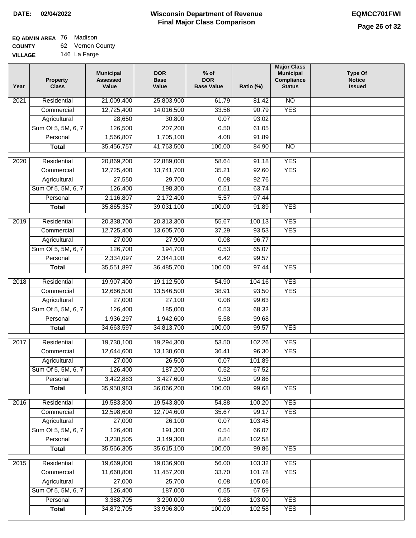| <b>UUUNII</b>  | <u>uz</u> | <u>vullull vuul</u> |
|----------------|-----------|---------------------|
| <b>VILLAGE</b> |           | 146 La Farge        |

| Year              | <b>Property</b><br><b>Class</b> | <b>Municipal</b><br><b>Assessed</b><br>Value | <b>DOR</b><br><b>Base</b><br>Value | $%$ of<br><b>DOR</b><br><b>Base Value</b> | Ratio (%) | <b>Major Class</b><br><b>Municipal</b><br>Compliance<br><b>Status</b> | <b>Type Of</b><br><b>Notice</b><br><b>Issued</b> |
|-------------------|---------------------------------|----------------------------------------------|------------------------------------|-------------------------------------------|-----------|-----------------------------------------------------------------------|--------------------------------------------------|
| 2021              | Residential                     | 21,009,400                                   | 25,803,900                         | 61.79                                     | 81.42     | $\overline{NO}$                                                       |                                                  |
|                   | Commercial                      | 12,725,400                                   | 14,016,500                         | 33.56                                     | 90.79     | <b>YES</b>                                                            |                                                  |
|                   | Agricultural                    | 28,650                                       | 30,800                             | 0.07                                      | 93.02     |                                                                       |                                                  |
|                   | Sum Of 5, 5M, 6, 7              | 126,500                                      | 207,200                            | 0.50                                      | 61.05     |                                                                       |                                                  |
|                   | Personal                        | 1,566,807                                    | 1,705,100                          | 4.08                                      | 91.89     |                                                                       |                                                  |
|                   | <b>Total</b>                    | 35,456,757                                   | 41,763,500                         | 100.00                                    | 84.90     | $\overline{NO}$                                                       |                                                  |
| $\overline{2020}$ | Residential                     | 20,869,200                                   | 22,889,000                         | 58.64                                     | 91.18     | <b>YES</b>                                                            |                                                  |
|                   | Commercial                      | 12,725,400                                   | 13,741,700                         | 35.21                                     | 92.60     | <b>YES</b>                                                            |                                                  |
|                   | Agricultural                    | 27,550                                       | 29,700                             | 0.08                                      | 92.76     |                                                                       |                                                  |
|                   | Sum Of 5, 5M, 6, 7              | 126,400                                      | 198,300                            | 0.51                                      | 63.74     |                                                                       |                                                  |
|                   | Personal                        | 2,116,807                                    | 2,172,400                          | 5.57                                      | 97.44     |                                                                       |                                                  |
|                   | <b>Total</b>                    | 35,865,357                                   | 39,031,100                         | 100.00                                    | 91.89     | <b>YES</b>                                                            |                                                  |
|                   |                                 |                                              |                                    |                                           |           |                                                                       |                                                  |
| $\frac{1}{2019}$  | Residential                     | 20,338,700                                   | 20,313,300                         | 55.67                                     | 100.13    | <b>YES</b>                                                            |                                                  |
|                   | Commercial                      | 12,725,400                                   | 13,605,700                         | 37.29                                     | 93.53     | <b>YES</b>                                                            |                                                  |
|                   | Agricultural                    | 27,000                                       | 27,900                             | 0.08                                      | 96.77     |                                                                       |                                                  |
|                   | Sum Of 5, 5M, 6, 7              | 126,700                                      | 194,700                            | 0.53                                      | 65.07     |                                                                       |                                                  |
|                   | Personal                        | 2,334,097                                    | 2,344,100                          | 6.42                                      | 99.57     |                                                                       |                                                  |
|                   | <b>Total</b>                    | 35,551,897                                   | 36,485,700                         | 100.00                                    | 97.44     | <b>YES</b>                                                            |                                                  |
| 2018              | Residential                     | 19,907,400                                   | 19,112,500                         | 54.90                                     | 104.16    | <b>YES</b>                                                            |                                                  |
|                   | Commercial                      | 12,666,500                                   | 13,546,500                         | 38.91                                     | 93.50     | <b>YES</b>                                                            |                                                  |
|                   | Agricultural                    | 27,000                                       | 27,100                             | 0.08                                      | 99.63     |                                                                       |                                                  |
|                   | Sum Of 5, 5M, 6, 7              | 126,400                                      | 185,000                            | 0.53                                      | 68.32     |                                                                       |                                                  |
|                   | Personal                        | 1,936,297                                    | 1,942,600                          | 5.58                                      | 99.68     |                                                                       |                                                  |
|                   | <b>Total</b>                    | 34,663,597                                   | 34,813,700                         | 100.00                                    | 99.57     | <b>YES</b>                                                            |                                                  |
| 2017              | Residential                     | 19,730,100                                   | 19,294,300                         | 53.50                                     | 102.26    | <b>YES</b>                                                            |                                                  |
|                   | Commercial                      | 12,644,600                                   | 13,130,600                         | 36.41                                     | 96.30     | <b>YES</b>                                                            |                                                  |
|                   | Agricultural                    | 27,000                                       | 26,500                             | 0.07                                      | 101.89    |                                                                       |                                                  |
|                   | Sum Of 5, 5M, 6, 7              | 126,400                                      | 187,200                            | 0.52                                      | 67.52     |                                                                       |                                                  |
|                   | Personal                        | 3,422,883                                    | 3,427,600                          | 9.50                                      | 99.86     |                                                                       |                                                  |
|                   | <b>Total</b>                    | 35,950,983                                   | 36,066,200                         | 100.00                                    | 99.68     | <b>YES</b>                                                            |                                                  |
|                   |                                 |                                              |                                    |                                           |           |                                                                       |                                                  |
| 2016              | Residential                     | 19,583,800                                   | 19,543,800                         | 54.88                                     | 100.20    | <b>YES</b>                                                            |                                                  |
|                   | Commercial                      | 12,598,600                                   | 12,704,600                         | 35.67                                     | 99.17     | <b>YES</b>                                                            |                                                  |
|                   | Agricultural                    | 27,000                                       | 26,100                             | 0.07                                      | 103.45    |                                                                       |                                                  |
|                   | Sum Of 5, 5M, 6, 7              | 126,400                                      | 191,300                            | 0.54                                      | 66.07     |                                                                       |                                                  |
|                   | Personal                        | 3,230,505                                    | 3,149,300                          | 8.84                                      | 102.58    |                                                                       |                                                  |
|                   | <b>Total</b>                    | 35,566,305                                   | 35,615,100                         | 100.00                                    | 99.86     | <b>YES</b>                                                            |                                                  |
| 2015              | Residential                     | 19,669,800                                   | 19,036,900                         | 56.00                                     | 103.32    | <b>YES</b>                                                            |                                                  |
|                   | Commercial                      | 11,660,800                                   | 11,457,200                         | 33.70                                     | 101.78    | <b>YES</b>                                                            |                                                  |
|                   | Agricultural                    | 27,000                                       | 25,700                             | 0.08                                      | 105.06    |                                                                       |                                                  |
|                   | Sum Of 5, 5M, 6, 7              | 126,400                                      | 187,000                            | 0.55                                      | 67.59     |                                                                       |                                                  |
|                   | Personal                        | 3,388,705                                    | 3,290,000                          | 9.68                                      | 103.00    | <b>YES</b>                                                            |                                                  |
|                   | <b>Total</b>                    | 34,872,705                                   | 33,996,800                         | 100.00                                    | 102.58    | <b>YES</b>                                                            |                                                  |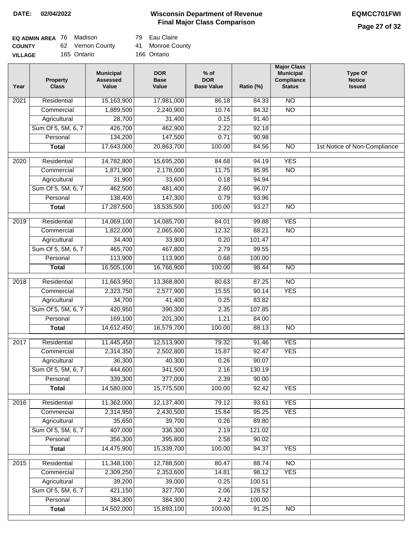### **Wisconsin Department of Revenue DATE: 02/04/2022 EQMCC701FWI Final Major Class Comparison**

| EQ ADMIN AREA 76 Madison |                  | 79 Eau Claire    |
|--------------------------|------------------|------------------|
| <b>COUNTY</b>            | 62 Vernon County | 41 Monroe County |
| <b>VILLAGE</b>           | 165 Ontario      | 166 Ontario      |

| Year              | <b>Property</b><br><b>Class</b> | <b>Municipal</b><br><b>Assessed</b><br>Value | <b>DOR</b><br><b>Base</b><br>Value | $%$ of<br><b>DOR</b><br><b>Base Value</b> | Ratio (%) | <b>Major Class</b><br><b>Municipal</b><br>Compliance<br><b>Status</b> | <b>Type Of</b><br><b>Notice</b><br><b>Issued</b> |
|-------------------|---------------------------------|----------------------------------------------|------------------------------------|-------------------------------------------|-----------|-----------------------------------------------------------------------|--------------------------------------------------|
| $\overline{202}1$ | Residential                     | 15,163,900                                   | 17,981,000                         | 86.18                                     | 84.33     | $\overline{NO}$                                                       |                                                  |
|                   | Commercial                      | 1,889,500                                    | 2,240,900                          | 10.74                                     | 84.32     | $\overline{NO}$                                                       |                                                  |
|                   | Agricultural                    | 28,700                                       | 31,400                             | 0.15                                      | 91.40     |                                                                       |                                                  |
|                   | Sum Of 5, 5M, 6, 7              | 426,700                                      | 462,900                            | 2.22                                      | 92.18     |                                                                       |                                                  |
|                   | Personal                        | 134,200                                      | 147,500                            | 0.71                                      | 90.98     |                                                                       |                                                  |
|                   | <b>Total</b>                    | 17,643,000                                   | 20,863,700                         | 100.00                                    | 84.56     | $\overline{NO}$                                                       | 1st Notice of Non-Compliance                     |
| 2020              | Residential                     | 14,782,800                                   | 15,695,200                         | 84.68                                     | 94.19     | <b>YES</b>                                                            |                                                  |
|                   | Commercial                      | 1,871,900                                    | 2,178,000                          | 11.75                                     | 85.95     | $\overline{NO}$                                                       |                                                  |
|                   | Agricultural                    | 31,900                                       | 33,600                             | 0.18                                      | 94.94     |                                                                       |                                                  |
|                   | Sum Of 5, 5M, 6, 7              | 462,500                                      | 481,400                            | 2.60                                      | 96.07     |                                                                       |                                                  |
|                   | Personal                        | 138,400                                      | 147,300                            | 0.79                                      | 93.96     |                                                                       |                                                  |
|                   | <b>Total</b>                    | 17,287,500                                   | 18,535,500                         | 100.00                                    | 93.27     | $\overline{NO}$                                                       |                                                  |
| 2019              | Residential                     | 14,069,100                                   | 14,085,700                         | 84.01                                     | 99.88     | <b>YES</b>                                                            |                                                  |
|                   | Commercial                      | 1,822,000                                    | 2,065,600                          | 12.32                                     | 88.21     | $\overline{NO}$                                                       |                                                  |
|                   | Agricultural                    | 34,400                                       | 33,900                             | 0.20                                      | 101.47    |                                                                       |                                                  |
|                   | Sum Of 5, 5M, 6, 7              | 465,700                                      | 467,800                            | 2.79                                      | 99.55     |                                                                       |                                                  |
|                   | Personal                        | 113,900                                      | 113,900                            | 0.68                                      | 100.00    |                                                                       |                                                  |
|                   | <b>Total</b>                    | 16,505,100                                   | 16,766,900                         | 100.00                                    | 98.44     | $\overline{NO}$                                                       |                                                  |
| 2018              | Residential                     | 11,663,950                                   | 13,368,800                         | 80.63                                     | 87.25     | N <sub>O</sub>                                                        |                                                  |
|                   | Commercial                      | 2,323,750                                    | 2,577,900                          | 15.55                                     | 90.14     | <b>YES</b>                                                            |                                                  |
|                   | Agricultural                    | 34,700                                       | 41,400                             | 0.25                                      | 83.82     |                                                                       |                                                  |
|                   | Sum Of 5, 5M, 6, 7              | 420,950                                      | 390,300                            | 2.35                                      | 107.85    |                                                                       |                                                  |
|                   | Personal                        | 169,100                                      | 201,300                            | 1.21                                      | 84.00     |                                                                       |                                                  |
|                   | <b>Total</b>                    | 14,612,450                                   | 16,579,700                         | 100.00                                    | 88.13     | $\overline{NO}$                                                       |                                                  |
| 2017              | Residential                     | 11,445,450                                   | 12,513,900                         | 79.32                                     | 91.46     | <b>YES</b>                                                            |                                                  |
|                   | Commercial                      | 2,314,350                                    | 2,502,800                          | 15.87                                     | 92.47     | <b>YES</b>                                                            |                                                  |
|                   | Agricultural                    | 36,300                                       | 40,300                             | 0.26                                      | 90.07     |                                                                       |                                                  |
|                   | Sum Of 5, 5M, 6, 7              | 444,600                                      | 341,500                            | 2.16                                      | 130.19    |                                                                       |                                                  |
|                   | Personal                        | 339,300                                      | 377,000                            | 2.39                                      | 90.00     |                                                                       |                                                  |
|                   | <b>Total</b>                    | 14,580,000                                   | 15,775,500                         | 100.00                                    | 92.42     | <b>YES</b>                                                            |                                                  |
| 2016              | Residential                     | 11,362,000                                   | 12,137,400                         | 79.12                                     | 93.61     | <b>YES</b>                                                            |                                                  |
|                   | Commercial                      | 2,314,950                                    | 2,430,500                          | 15.84                                     | 95.25     | <b>YES</b>                                                            |                                                  |
|                   | Agricultural                    | 35,650                                       | 39,700                             | 0.26                                      | 89.80     |                                                                       |                                                  |
|                   | Sum Of 5, 5M, 6, 7              | 407,000                                      | 336,300                            | 2.19                                      | 121.02    |                                                                       |                                                  |
|                   | Personal                        | 356,300                                      | 395,800                            | 2.58                                      | 90.02     |                                                                       |                                                  |
|                   | <b>Total</b>                    | 14,475,900                                   | 15,339,700                         | 100.00                                    | 94.37     | <b>YES</b>                                                            |                                                  |
| 2015              | Residential                     | 11,348,100                                   | 12,788,500                         | 80.47                                     | 88.74     | $\overline{NO}$                                                       |                                                  |
|                   | Commercial                      | 2,309,250                                    | 2,353,600                          | 14.81                                     | 98.12     | <b>YES</b>                                                            |                                                  |
|                   | Agricultural                    | 39,200                                       | 39,000                             | 0.25                                      | 100.51    |                                                                       |                                                  |
|                   | Sum Of 5, 5M, 6, 7              | 421,150                                      | 327,700                            | 2.06                                      | 128.52    |                                                                       |                                                  |
|                   | Personal                        | 384,300                                      | 384,300                            | 2.42                                      | 100.00    |                                                                       |                                                  |
|                   | <b>Total</b>                    | 14,502,000                                   | 15,893,100                         | 100.00                                    | 91.25     | NO                                                                    |                                                  |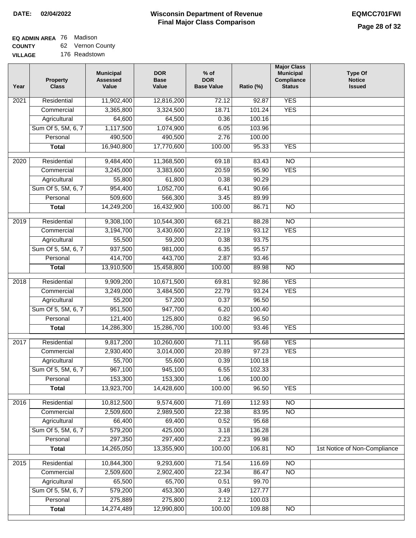## **EQ ADMIN AREA** 76 Madison

**COUNTY VILLAGE** 62 Vernon County 176 Readstown

| Year | <b>Property</b><br><b>Class</b> | <b>Municipal</b><br><b>Assessed</b><br>Value | <b>DOR</b><br><b>Base</b><br>Value | $%$ of<br><b>DOR</b><br><b>Base Value</b> | Ratio (%) | <b>Major Class</b><br><b>Municipal</b><br>Compliance<br><b>Status</b> | <b>Type Of</b><br><b>Notice</b><br><b>Issued</b> |
|------|---------------------------------|----------------------------------------------|------------------------------------|-------------------------------------------|-----------|-----------------------------------------------------------------------|--------------------------------------------------|
| 2021 | Residential                     | 11,902,400                                   | 12,816,200                         | 72.12                                     | 92.87     | <b>YES</b>                                                            |                                                  |
|      | Commercial                      | 3,365,800                                    | 3,324,500                          | 18.71                                     | 101.24    | <b>YES</b>                                                            |                                                  |
|      | Agricultural                    | 64,600                                       | 64,500                             | 0.36                                      | 100.16    |                                                                       |                                                  |
|      | Sum Of 5, 5M, 6, 7              | 1,117,500                                    | 1,074,900                          | 6.05                                      | 103.96    |                                                                       |                                                  |
|      | Personal                        | 490,500                                      | 490,500                            | 2.76                                      | 100.00    |                                                                       |                                                  |
|      | <b>Total</b>                    | 16,940,800                                   | 17,770,600                         | 100.00                                    | 95.33     | <b>YES</b>                                                            |                                                  |
|      |                                 |                                              |                                    |                                           |           |                                                                       |                                                  |
| 2020 | Residential                     | 9,484,400                                    | 11,368,500                         | 69.18                                     | 83.43     | $\overline{NO}$                                                       |                                                  |
|      | Commercial                      | 3,245,000                                    | 3,383,600                          | 20.59                                     | 95.90     | <b>YES</b>                                                            |                                                  |
|      | Agricultural                    | 55,800                                       | 61,800                             | 0.38                                      | 90.29     |                                                                       |                                                  |
|      | Sum Of 5, 5M, 6, 7              | 954,400                                      | 1,052,700                          | 6.41                                      | 90.66     |                                                                       |                                                  |
|      | Personal                        | 509,600<br>14,249,200                        | 566,300                            | 3.45                                      | 89.99     |                                                                       |                                                  |
|      | <b>Total</b>                    |                                              | 16,432,900                         | 100.00                                    | 86.71     | $\overline{NO}$                                                       |                                                  |
| 2019 | Residential                     | 9,308,100                                    | 10,544,300                         | 68.21                                     | 88.28     | $\overline{10}$                                                       |                                                  |
|      | Commercial                      | 3,194,700                                    | 3,430,600                          | 22.19                                     | 93.12     | <b>YES</b>                                                            |                                                  |
|      | Agricultural                    | 55,500                                       | 59,200                             | 0.38                                      | 93.75     |                                                                       |                                                  |
|      | Sum Of 5, 5M, 6, 7              | 937,500                                      | 981,000                            | 6.35                                      | 95.57     |                                                                       |                                                  |
|      | Personal                        | 414,700                                      | 443,700                            | 2.87                                      | 93.46     |                                                                       |                                                  |
|      | <b>Total</b>                    | 13,910,500                                   | 15,458,800                         | 100.00                                    | 89.98     | $\overline{NO}$                                                       |                                                  |
| 2018 | Residential                     | 9,909,200                                    | 10,671,500                         | 69.81                                     | 92.86     | <b>YES</b>                                                            |                                                  |
|      | Commercial                      | 3,249,000                                    | 3,484,500                          | 22.79                                     | 93.24     | <b>YES</b>                                                            |                                                  |
|      | Agricultural                    | 55,200                                       | 57,200                             | 0.37                                      | 96.50     |                                                                       |                                                  |
|      | Sum Of 5, 5M, 6, 7              | 951,500                                      | 947,700                            | 6.20                                      | 100.40    |                                                                       |                                                  |
|      | Personal                        | 121,400                                      | 125,800                            | 0.82                                      | 96.50     |                                                                       |                                                  |
|      | <b>Total</b>                    | 14,286,300                                   | 15,286,700                         | 100.00                                    | 93.46     | <b>YES</b>                                                            |                                                  |
| 2017 | Residential                     | 9,817,200                                    | 10,260,600                         | 71.11                                     | 95.68     | <b>YES</b>                                                            |                                                  |
|      | Commercial                      | 2,930,400                                    | 3,014,000                          | 20.89                                     | 97.23     | <b>YES</b>                                                            |                                                  |
|      | Agricultural                    | 55,700                                       | 55,600                             | 0.39                                      | 100.18    |                                                                       |                                                  |
|      | Sum Of 5, 5M, 6, 7              | 967,100                                      | 945,100                            | 6.55                                      | 102.33    |                                                                       |                                                  |
|      | Personal                        | 153,300                                      | 153,300                            | 1.06                                      | 100.00    |                                                                       |                                                  |
|      | <b>Total</b>                    | 13,923,700                                   | 14,428,600                         | 100.00                                    | 96.50     | <b>YES</b>                                                            |                                                  |
| 2016 | Residential                     | 10,812,500                                   | 9,574,600                          | 71.69                                     | 112.93    | $\overline{NO}$                                                       |                                                  |
|      | Commercial                      | 2,509,600                                    | 2,989,500                          | 22.38                                     | 83.95     | N <sub>O</sub>                                                        |                                                  |
|      | Agricultural                    | 66,400                                       | 69,400                             | 0.52                                      | 95.68     |                                                                       |                                                  |
|      | Sum Of 5, 5M, 6, 7              | 579,200                                      | 425,000                            | 3.18                                      | 136.28    |                                                                       |                                                  |
|      | Personal                        | 297,350                                      | 297,400                            | 2.23                                      | 99.98     |                                                                       |                                                  |
|      | <b>Total</b>                    | 14,265,050                                   | 13,355,900                         | 100.00                                    | 106.81    | N <sub>O</sub>                                                        | 1st Notice of Non-Compliance                     |
| 2015 | Residential                     | 10,844,300                                   | 9,293,600                          | 71.54                                     | 116.69    | <b>NO</b>                                                             |                                                  |
|      | Commercial                      | 2,509,600                                    | 2,902,400                          | 22.34                                     | 86.47     | N <sub>O</sub>                                                        |                                                  |
|      | Agricultural                    | 65,500                                       | 65,700                             | 0.51                                      | 99.70     |                                                                       |                                                  |
|      | Sum Of 5, 5M, 6, 7              | 579,200                                      | 453,300                            | 3.49                                      | 127.77    |                                                                       |                                                  |
|      | Personal                        | 275,889                                      | 275,800                            | 2.12                                      | 100.03    |                                                                       |                                                  |
|      | <b>Total</b>                    | 14,274,489                                   | 12,990,800                         | 100.00                                    | 109.88    | NO                                                                    |                                                  |
|      |                                 |                                              |                                    |                                           |           |                                                                       |                                                  |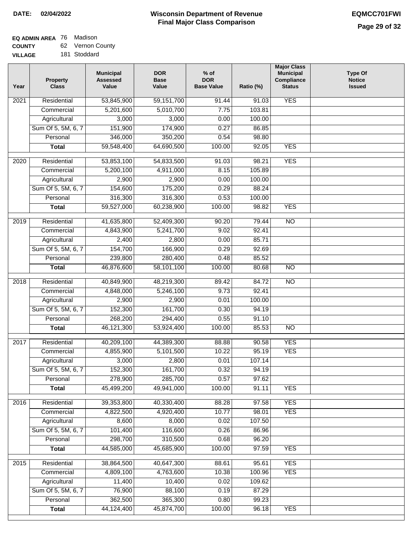#### **EQ ADMIN AREA** 76 Madison **COUNTY** 62 Vernon County

**VILLAGE** 181 Stoddard

| Year              | <b>Property</b><br><b>Class</b> | <b>Municipal</b><br><b>Assessed</b><br>Value | <b>DOR</b><br><b>Base</b><br>Value | $%$ of<br><b>DOR</b><br><b>Base Value</b> | Ratio (%) | <b>Major Class</b><br><b>Municipal</b><br>Compliance<br><b>Status</b> | <b>Type Of</b><br><b>Notice</b><br><b>Issued</b> |
|-------------------|---------------------------------|----------------------------------------------|------------------------------------|-------------------------------------------|-----------|-----------------------------------------------------------------------|--------------------------------------------------|
| 2021              | Residential                     | 53,845,900                                   | 59,151,700                         | 91.44                                     | 91.03     | <b>YES</b>                                                            |                                                  |
|                   | Commercial                      | 5,201,600                                    | 5,010,700                          | 7.75                                      | 103.81    |                                                                       |                                                  |
|                   | Agricultural                    | 3,000                                        | 3,000                              | 0.00                                      | 100.00    |                                                                       |                                                  |
|                   | Sum Of 5, 5M, 6, 7              | 151,900                                      | 174,900                            | 0.27                                      | 86.85     |                                                                       |                                                  |
|                   | Personal                        | 346,000                                      | 350,200                            | 0.54                                      | 98.80     |                                                                       |                                                  |
|                   | <b>Total</b>                    | 59,548,400                                   | 64,690,500                         | 100.00                                    | 92.05     | <b>YES</b>                                                            |                                                  |
| 2020              | Residential                     | 53,853,100                                   | 54,833,500                         | 91.03                                     | 98.21     | <b>YES</b>                                                            |                                                  |
|                   | Commercial                      | 5,200,100                                    | 4,911,000                          | 8.15                                      | 105.89    |                                                                       |                                                  |
|                   | Agricultural                    | 2,900                                        | 2,900                              | 0.00                                      | 100.00    |                                                                       |                                                  |
|                   | Sum Of 5, 5M, 6, 7              | 154,600                                      | 175,200                            | 0.29                                      | 88.24     |                                                                       |                                                  |
|                   | Personal                        | 316,300                                      | 316,300                            | 0.53                                      | 100.00    |                                                                       |                                                  |
|                   | <b>Total</b>                    | 59,527,000                                   | 60,238,900                         | 100.00                                    | 98.82     | <b>YES</b>                                                            |                                                  |
|                   |                                 |                                              |                                    |                                           |           |                                                                       |                                                  |
| 2019              | Residential                     | 41,635,800                                   | 52,409,300                         | 90.20                                     | 79.44     | <b>NO</b>                                                             |                                                  |
|                   | Commercial                      | 4,843,900                                    | 5,241,700                          | 9.02                                      | 92.41     |                                                                       |                                                  |
|                   | Agricultural                    | 2,400                                        | 2,800                              | 0.00                                      | 85.71     |                                                                       |                                                  |
|                   | Sum Of 5, 5M, 6, 7              | 154,700                                      | 166,900                            | 0.29                                      | 92.69     |                                                                       |                                                  |
|                   | Personal                        | 239,800                                      | 280,400                            | 0.48                                      | 85.52     |                                                                       |                                                  |
|                   | <b>Total</b>                    | 46,876,600                                   | 58,101,100                         | 100.00                                    | 80.68     | $\overline{NO}$                                                       |                                                  |
| $\overline{2018}$ | Residential                     | 40,849,900                                   | 48,219,300                         | 89.42                                     | 84.72     | $\overline{NO}$                                                       |                                                  |
|                   | Commercial                      | 4,848,000                                    | 5,246,100                          | 9.73                                      | 92.41     |                                                                       |                                                  |
|                   | Agricultural                    | 2,900                                        | 2,900                              | 0.01                                      | 100.00    |                                                                       |                                                  |
|                   | Sum Of 5, 5M, 6, 7              | 152,300                                      | 161,700                            | 0.30                                      | 94.19     |                                                                       |                                                  |
|                   | Personal                        | 268,200                                      | 294,400                            | 0.55                                      | 91.10     |                                                                       |                                                  |
|                   | <b>Total</b>                    | 46,121,300                                   | 53,924,400                         | 100.00                                    | 85.53     | <b>NO</b>                                                             |                                                  |
|                   |                                 |                                              |                                    |                                           |           |                                                                       |                                                  |
| 2017              | Residential                     | 40,209,100                                   | 44,389,300                         | 88.88                                     | 90.58     | <b>YES</b>                                                            |                                                  |
|                   | Commercial                      | 4,855,900                                    | 5,101,500                          | 10.22                                     | 95.19     | <b>YES</b>                                                            |                                                  |
|                   | Agricultural                    | 3,000                                        | 2,800                              | 0.01                                      | 107.14    |                                                                       |                                                  |
|                   | Sum Of 5, 5M, 6, 7              | 152,300                                      | 161,700                            | 0.32                                      | 94.19     |                                                                       |                                                  |
|                   | Personal                        | 278,900                                      | 285,700                            | 0.57                                      | 97.62     |                                                                       |                                                  |
|                   | <b>Total</b>                    | 45,499,200                                   | 49,941,000                         | 100.00                                    | 91.11     | <b>YES</b>                                                            |                                                  |
| 2016              | Residential                     | 39,353,800                                   | 40,330,400                         | 88.28                                     | 97.58     | <b>YES</b>                                                            |                                                  |
|                   | Commercial                      | 4,822,500                                    | 4,920,400                          | 10.77                                     | 98.01     | <b>YES</b>                                                            |                                                  |
|                   | Agricultural                    | 8,600                                        | 8,000                              | 0.02                                      | 107.50    |                                                                       |                                                  |
|                   | Sum Of 5, 5M, 6, 7              | 101,400                                      | 116,600                            | 0.26                                      | 86.96     |                                                                       |                                                  |
|                   | Personal                        | 298,700                                      | 310,500                            | 0.68                                      | 96.20     |                                                                       |                                                  |
|                   | <b>Total</b>                    | 44,585,000                                   | 45,685,900                         | 100.00                                    | 97.59     | <b>YES</b>                                                            |                                                  |
| 2015              | Residential                     | 38,864,500                                   | 40,647,300                         | 88.61                                     | 95.61     | <b>YES</b>                                                            |                                                  |
|                   | Commercial                      | 4,809,100                                    | 4,763,600                          | 10.38                                     | 100.96    | <b>YES</b>                                                            |                                                  |
|                   | Agricultural                    | 11,400                                       | 10,400                             | 0.02                                      | 109.62    |                                                                       |                                                  |
|                   | Sum Of 5, 5M, 6, 7              | 76,900                                       | 88,100                             | 0.19                                      | 87.29     |                                                                       |                                                  |
|                   | Personal                        | 362,500                                      | 365,300                            | 0.80                                      | 99.23     |                                                                       |                                                  |
|                   | <b>Total</b>                    | 44,124,400                                   | 45,874,700                         | 100.00                                    | 96.18     | <b>YES</b>                                                            |                                                  |
|                   |                                 |                                              |                                    |                                           |           |                                                                       |                                                  |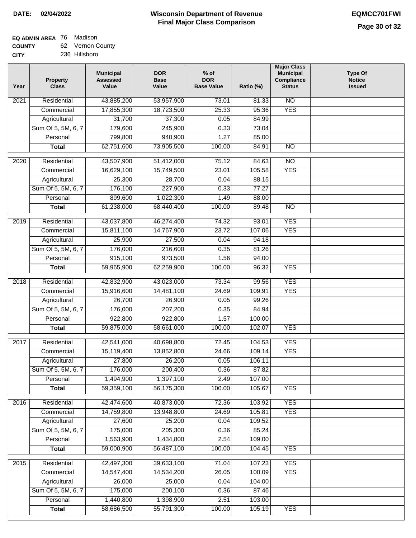## **EQ ADMIN AREA** 76 Madison

**COUNTY CITY** 62 Vernon County

|  | 236 Hillsboro |
|--|---------------|

| Residential<br>43,885,200<br>N <sub>O</sub><br>53,957,900<br>73.01<br>2021<br>81.33<br><b>YES</b><br>18,723,500<br>25.33<br>95.36<br>Commercial<br>17,855,300<br>37,300<br>Agricultural<br>31,700<br>0.05<br>84.99<br>179,600<br>Sum Of 5, 5M, 6, 7<br>245,900<br>0.33<br>73.04<br>799,800<br>940,900<br>1.27<br>Personal<br>85.00<br>62,751,600<br>73,905,500<br>100.00<br>84.91<br>$\overline{NO}$<br><b>Total</b><br>Residential<br>43,507,900<br>51,412,000<br>75.12<br>84.63<br>$\overline{10}$<br>2020<br>16,629,100<br><b>YES</b><br>Commercial<br>15,749,500<br>23.01<br>105.58<br>25,300<br>28,700<br>0.04<br>88.15<br>Agricultural<br>Sum Of 5, 5M, 6, 7<br>176,100<br>227,900<br>0.33<br>77.27<br>899,600<br>Personal<br>1,022,300<br>1.49<br>88.00<br>61,238,000<br><b>Total</b><br>68,440,400<br>100.00<br>89.48<br>$\overline{NO}$<br><b>YES</b><br>Residential<br>43,037,800<br>46,274,400<br>74.32<br>93.01<br>2019<br><b>YES</b><br>Commercial<br>15,811,100<br>14,767,900<br>23.72<br>107.06<br>Agricultural<br>25,900<br>27,500<br>0.04<br>94.18<br>Sum Of 5, 5M, 6, 7<br>176,000<br>216,600<br>0.35<br>81.26<br>915,100<br>Personal<br>973,500<br>1.56<br>94.00 | <b>Type Of</b><br><b>Notice</b><br><b>Issued</b> |
|-------------------------------------------------------------------------------------------------------------------------------------------------------------------------------------------------------------------------------------------------------------------------------------------------------------------------------------------------------------------------------------------------------------------------------------------------------------------------------------------------------------------------------------------------------------------------------------------------------------------------------------------------------------------------------------------------------------------------------------------------------------------------------------------------------------------------------------------------------------------------------------------------------------------------------------------------------------------------------------------------------------------------------------------------------------------------------------------------------------------------------------------------------------------------------------|--------------------------------------------------|
|                                                                                                                                                                                                                                                                                                                                                                                                                                                                                                                                                                                                                                                                                                                                                                                                                                                                                                                                                                                                                                                                                                                                                                                     |                                                  |
|                                                                                                                                                                                                                                                                                                                                                                                                                                                                                                                                                                                                                                                                                                                                                                                                                                                                                                                                                                                                                                                                                                                                                                                     |                                                  |
|                                                                                                                                                                                                                                                                                                                                                                                                                                                                                                                                                                                                                                                                                                                                                                                                                                                                                                                                                                                                                                                                                                                                                                                     |                                                  |
|                                                                                                                                                                                                                                                                                                                                                                                                                                                                                                                                                                                                                                                                                                                                                                                                                                                                                                                                                                                                                                                                                                                                                                                     |                                                  |
|                                                                                                                                                                                                                                                                                                                                                                                                                                                                                                                                                                                                                                                                                                                                                                                                                                                                                                                                                                                                                                                                                                                                                                                     |                                                  |
|                                                                                                                                                                                                                                                                                                                                                                                                                                                                                                                                                                                                                                                                                                                                                                                                                                                                                                                                                                                                                                                                                                                                                                                     |                                                  |
|                                                                                                                                                                                                                                                                                                                                                                                                                                                                                                                                                                                                                                                                                                                                                                                                                                                                                                                                                                                                                                                                                                                                                                                     |                                                  |
|                                                                                                                                                                                                                                                                                                                                                                                                                                                                                                                                                                                                                                                                                                                                                                                                                                                                                                                                                                                                                                                                                                                                                                                     |                                                  |
|                                                                                                                                                                                                                                                                                                                                                                                                                                                                                                                                                                                                                                                                                                                                                                                                                                                                                                                                                                                                                                                                                                                                                                                     |                                                  |
|                                                                                                                                                                                                                                                                                                                                                                                                                                                                                                                                                                                                                                                                                                                                                                                                                                                                                                                                                                                                                                                                                                                                                                                     |                                                  |
|                                                                                                                                                                                                                                                                                                                                                                                                                                                                                                                                                                                                                                                                                                                                                                                                                                                                                                                                                                                                                                                                                                                                                                                     |                                                  |
|                                                                                                                                                                                                                                                                                                                                                                                                                                                                                                                                                                                                                                                                                                                                                                                                                                                                                                                                                                                                                                                                                                                                                                                     |                                                  |
|                                                                                                                                                                                                                                                                                                                                                                                                                                                                                                                                                                                                                                                                                                                                                                                                                                                                                                                                                                                                                                                                                                                                                                                     |                                                  |
|                                                                                                                                                                                                                                                                                                                                                                                                                                                                                                                                                                                                                                                                                                                                                                                                                                                                                                                                                                                                                                                                                                                                                                                     |                                                  |
|                                                                                                                                                                                                                                                                                                                                                                                                                                                                                                                                                                                                                                                                                                                                                                                                                                                                                                                                                                                                                                                                                                                                                                                     |                                                  |
|                                                                                                                                                                                                                                                                                                                                                                                                                                                                                                                                                                                                                                                                                                                                                                                                                                                                                                                                                                                                                                                                                                                                                                                     |                                                  |
|                                                                                                                                                                                                                                                                                                                                                                                                                                                                                                                                                                                                                                                                                                                                                                                                                                                                                                                                                                                                                                                                                                                                                                                     |                                                  |
|                                                                                                                                                                                                                                                                                                                                                                                                                                                                                                                                                                                                                                                                                                                                                                                                                                                                                                                                                                                                                                                                                                                                                                                     |                                                  |
| 59,965,900<br>100.00<br>96.32<br><b>YES</b><br><b>Total</b><br>62,259,900                                                                                                                                                                                                                                                                                                                                                                                                                                                                                                                                                                                                                                                                                                                                                                                                                                                                                                                                                                                                                                                                                                           |                                                  |
| Residential<br>42,832,900<br><b>YES</b><br>$\overline{2018}$<br>43,023,000<br>73.34<br>99.56                                                                                                                                                                                                                                                                                                                                                                                                                                                                                                                                                                                                                                                                                                                                                                                                                                                                                                                                                                                                                                                                                        |                                                  |
| Commercial<br>15,916,600<br>14,481,100<br>24.69<br>109.91<br><b>YES</b>                                                                                                                                                                                                                                                                                                                                                                                                                                                                                                                                                                                                                                                                                                                                                                                                                                                                                                                                                                                                                                                                                                             |                                                  |
| 26,700<br>Agricultural<br>26,900<br>0.05<br>99.26                                                                                                                                                                                                                                                                                                                                                                                                                                                                                                                                                                                                                                                                                                                                                                                                                                                                                                                                                                                                                                                                                                                                   |                                                  |
| Sum Of 5, 5M, 6, 7<br>176,000<br>207,200<br>0.35<br>84.94                                                                                                                                                                                                                                                                                                                                                                                                                                                                                                                                                                                                                                                                                                                                                                                                                                                                                                                                                                                                                                                                                                                           |                                                  |
| 922,800<br>922,800<br>1.57<br>Personal<br>100.00                                                                                                                                                                                                                                                                                                                                                                                                                                                                                                                                                                                                                                                                                                                                                                                                                                                                                                                                                                                                                                                                                                                                    |                                                  |
| 59,875,000<br>100.00<br>102.07<br><b>YES</b><br><b>Total</b><br>58,661,000                                                                                                                                                                                                                                                                                                                                                                                                                                                                                                                                                                                                                                                                                                                                                                                                                                                                                                                                                                                                                                                                                                          |                                                  |
| <b>YES</b><br>2017<br>Residential<br>42,541,000<br>40,698,800<br>72.45<br>104.53                                                                                                                                                                                                                                                                                                                                                                                                                                                                                                                                                                                                                                                                                                                                                                                                                                                                                                                                                                                                                                                                                                    |                                                  |
| 15,119,400<br><b>YES</b><br>13,852,800<br>24.66<br>109.14<br>Commercial                                                                                                                                                                                                                                                                                                                                                                                                                                                                                                                                                                                                                                                                                                                                                                                                                                                                                                                                                                                                                                                                                                             |                                                  |
| 27,800<br>26,200<br>0.05<br>106.11<br>Agricultural                                                                                                                                                                                                                                                                                                                                                                                                                                                                                                                                                                                                                                                                                                                                                                                                                                                                                                                                                                                                                                                                                                                                  |                                                  |
| Sum Of 5, 5M, 6, 7<br>176,000<br>200,400<br>0.36<br>87.82                                                                                                                                                                                                                                                                                                                                                                                                                                                                                                                                                                                                                                                                                                                                                                                                                                                                                                                                                                                                                                                                                                                           |                                                  |
| 1,494,900<br>1,397,100<br>2.49<br>107.00<br>Personal                                                                                                                                                                                                                                                                                                                                                                                                                                                                                                                                                                                                                                                                                                                                                                                                                                                                                                                                                                                                                                                                                                                                |                                                  |
| 59,359,100<br>56,175,300<br>100.00<br>105.67<br><b>YES</b><br><b>Total</b>                                                                                                                                                                                                                                                                                                                                                                                                                                                                                                                                                                                                                                                                                                                                                                                                                                                                                                                                                                                                                                                                                                          |                                                  |
| Residential<br>42,474,600<br>40,873,000<br>72.36<br>103.92<br><b>YES</b><br>2016                                                                                                                                                                                                                                                                                                                                                                                                                                                                                                                                                                                                                                                                                                                                                                                                                                                                                                                                                                                                                                                                                                    |                                                  |
| <b>YES</b><br>14,759,800<br>24.69<br>Commercial<br>13,948,800<br>105.81                                                                                                                                                                                                                                                                                                                                                                                                                                                                                                                                                                                                                                                                                                                                                                                                                                                                                                                                                                                                                                                                                                             |                                                  |
| 27,600<br>25,200<br>0.04<br>109.52<br>Agricultural                                                                                                                                                                                                                                                                                                                                                                                                                                                                                                                                                                                                                                                                                                                                                                                                                                                                                                                                                                                                                                                                                                                                  |                                                  |
| 175,000<br>205,300<br>Sum Of 5, 5M, 6, 7<br>0.36<br>85.24                                                                                                                                                                                                                                                                                                                                                                                                                                                                                                                                                                                                                                                                                                                                                                                                                                                                                                                                                                                                                                                                                                                           |                                                  |
| Personal<br>1,563,900<br>2.54<br>109.00<br>1,434,800                                                                                                                                                                                                                                                                                                                                                                                                                                                                                                                                                                                                                                                                                                                                                                                                                                                                                                                                                                                                                                                                                                                                |                                                  |
| 59,000,900<br>100.00<br>104.45<br><b>YES</b><br>56,487,100<br><b>Total</b>                                                                                                                                                                                                                                                                                                                                                                                                                                                                                                                                                                                                                                                                                                                                                                                                                                                                                                                                                                                                                                                                                                          |                                                  |
| Residential<br>42,497,300<br>39,633,100<br><b>YES</b><br>2015<br>71.04<br>107.23                                                                                                                                                                                                                                                                                                                                                                                                                                                                                                                                                                                                                                                                                                                                                                                                                                                                                                                                                                                                                                                                                                    |                                                  |
| Commercial<br>14,547,400<br>14,534,200<br>26.05<br>100.09<br><b>YES</b>                                                                                                                                                                                                                                                                                                                                                                                                                                                                                                                                                                                                                                                                                                                                                                                                                                                                                                                                                                                                                                                                                                             |                                                  |
| Agricultural<br>26,000<br>25,000<br>0.04<br>104.00                                                                                                                                                                                                                                                                                                                                                                                                                                                                                                                                                                                                                                                                                                                                                                                                                                                                                                                                                                                                                                                                                                                                  |                                                  |
| Sum Of 5, 5M, 6, 7<br>175,000<br>200,100<br>0.36<br>87.46                                                                                                                                                                                                                                                                                                                                                                                                                                                                                                                                                                                                                                                                                                                                                                                                                                                                                                                                                                                                                                                                                                                           |                                                  |
| Personal<br>1,440,800<br>1,398,900<br>2.51<br>103.00                                                                                                                                                                                                                                                                                                                                                                                                                                                                                                                                                                                                                                                                                                                                                                                                                                                                                                                                                                                                                                                                                                                                |                                                  |
| 58,686,500<br>55,791,300<br>100.00<br><b>YES</b><br><b>Total</b><br>105.19                                                                                                                                                                                                                                                                                                                                                                                                                                                                                                                                                                                                                                                                                                                                                                                                                                                                                                                                                                                                                                                                                                          |                                                  |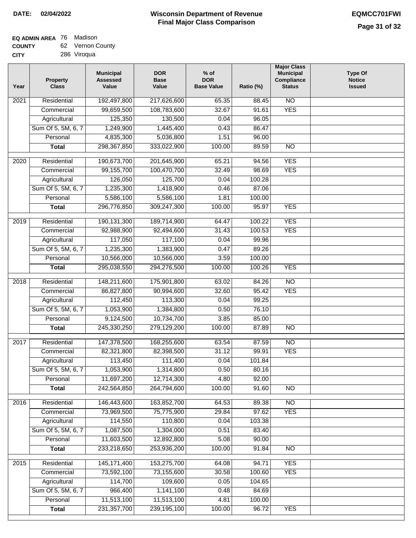### **EQ ADMIN AREA** 76 Madison

| <b>COUNTY</b> | 62 Vernon County |
|---------------|------------------|
| CITY          | 286 Viroqua      |

| N <sub>O</sub><br>Residential<br>192,497,800<br>217,626,600<br>65.35<br>2021<br>88.45<br>99,659,500<br>108,783,600<br>32.67<br>91.61<br><b>YES</b><br>Commercial<br>125,350<br>130,500<br>Agricultural<br>0.04<br>96.05<br>Sum Of 5, 5M, 6, 7<br>1,249,900<br>1,445,400<br>0.43<br>86.47<br>4,835,300<br>5,036,800<br>1.51<br>96.00<br>Personal<br>298, 367, 850<br>333,022,900<br>100.00<br>89.59<br>$\overline{NO}$<br><b>Total</b><br><b>YES</b><br>Residential<br>190,673,700<br>201,645,900<br>65.21<br>94.56<br>2020<br>100,470,700<br><b>YES</b><br>Commercial<br>99,155,700<br>32.49<br>98.69<br>125,700<br>126,050<br>0.04<br>100.28<br>Agricultural<br>Sum Of 5, 5M, 6, 7<br>1,235,300<br>1,418,900<br>0.46<br>87.06<br>5,586,100<br>5,586,100<br>Personal<br>1.81<br>100.00<br>296,776,850<br><b>YES</b><br>309,247,300<br>100.00<br>95.97<br><b>Total</b><br><b>YES</b><br>2019<br>Residential<br>190,131,300<br>189,714,900<br>64.47<br>100.22<br><b>YES</b><br>100.53<br>Commercial<br>92,988,900<br>92,494,600<br>31.43<br>117,050<br>117,100<br>0.04<br>99.96<br>Agricultural<br>Sum Of 5, 5M, 6, 7<br>1,235,300<br>1,383,900<br>0.47<br>89.26<br>10,566,000<br>Personal<br>10,566,000<br>3.59<br>100.00<br>294,276,500<br>100.00<br><b>YES</b><br><b>Total</b><br>295,038,550<br>100.26<br>Residential<br>148,211,600<br>175,901,800<br>63.02<br>$\overline{10}$<br>2018<br>84.26<br><b>YES</b><br>Commercial<br>86,827,800<br>90,994,600<br>32.60<br>95.42<br>112,450<br>113,300<br>99.25<br>Agricultural<br>0.04<br>Sum Of 5, 5M, 6, 7<br>1,053,900<br>1,384,800<br>0.50<br>76.10<br>Personal<br>9,124,500<br>10,734,700<br>3.85<br>85.00<br>245,330,250<br>279,129,200<br>100.00<br><b>NO</b><br><b>Total</b><br>87.89<br>Residential<br>147,378,500<br>168,255,600<br>87.59<br>$\overline{NO}$<br>2017<br>63.54<br><b>YES</b><br>Commercial<br>82,321,800<br>82,398,500<br>31.12<br>99.91<br>Agricultural<br>113,450<br>111,400<br>0.04<br>101.84<br>1,053,900<br>Sum Of 5, 5M, 6, 7<br>1,314,800<br>0.50<br>80.16<br>4.80<br>Personal<br>11,697,200<br>12,714,300<br>92.00<br>242,564,850<br>264,794,600<br>100.00<br>91.60<br><b>Total</b><br><b>NO</b><br>2016<br>Residential<br>146,443,600<br>163,852,700<br>$\overline{NO}$<br>64.53<br>89.38<br>Commercial<br>73,969,500<br>75,775,900<br>29.84<br>97.62<br><b>YES</b><br>110,800<br>114,550<br>0.04<br>103.38<br>Agricultural<br>Sum Of 5, 5M, 6, 7<br>1,087,500<br>1,304,000<br>0.51<br>83.40<br>11,603,500<br>12,892,800<br>5.08<br>90.00<br>Personal<br>233,218,650<br>253,936,200<br>100.00<br>91.84<br>N <sub>O</sub><br><b>Total</b><br><b>YES</b><br>Residential<br>145, 171, 400<br>153,275,700<br>64.08<br>94.71<br>2015<br>73,592,100<br>73,155,600<br>30.58<br>100.60<br><b>YES</b><br>Commercial<br>114,700<br>109,600<br>Agricultural<br>0.05<br>104.65<br>Sum Of 5, 5M, 6, 7<br>966,400<br>1,141,100<br>0.48<br>84.69<br>11,513,100<br>11,513,100<br>Personal<br>4.81<br>100.00<br>231, 357, 700<br>239,195,100<br>100.00<br><b>YES</b><br><b>Total</b><br>96.72 | Year | <b>Property</b><br><b>Class</b> | <b>Municipal</b><br><b>Assessed</b><br>Value | <b>DOR</b><br><b>Base</b><br>Value | $%$ of<br><b>DOR</b><br><b>Base Value</b> | Ratio (%) | <b>Major Class</b><br><b>Municipal</b><br>Compliance<br><b>Status</b> | <b>Type Of</b><br><b>Notice</b><br><b>Issued</b> |
|-------------------------------------------------------------------------------------------------------------------------------------------------------------------------------------------------------------------------------------------------------------------------------------------------------------------------------------------------------------------------------------------------------------------------------------------------------------------------------------------------------------------------------------------------------------------------------------------------------------------------------------------------------------------------------------------------------------------------------------------------------------------------------------------------------------------------------------------------------------------------------------------------------------------------------------------------------------------------------------------------------------------------------------------------------------------------------------------------------------------------------------------------------------------------------------------------------------------------------------------------------------------------------------------------------------------------------------------------------------------------------------------------------------------------------------------------------------------------------------------------------------------------------------------------------------------------------------------------------------------------------------------------------------------------------------------------------------------------------------------------------------------------------------------------------------------------------------------------------------------------------------------------------------------------------------------------------------------------------------------------------------------------------------------------------------------------------------------------------------------------------------------------------------------------------------------------------------------------------------------------------------------------------------------------------------------------------------------------------------------------------------------------------------------------------------------------------------------------------------------------------------------------------------------------------------------------------------------------------------------------------------------------------------------------------------------------------------------------------------------------------------------------------------------------------------------------------------------------------------------------------------------------------------------------------------------------------------------------------------------------------------------------------------------------------------|------|---------------------------------|----------------------------------------------|------------------------------------|-------------------------------------------|-----------|-----------------------------------------------------------------------|--------------------------------------------------|
|                                                                                                                                                                                                                                                                                                                                                                                                                                                                                                                                                                                                                                                                                                                                                                                                                                                                                                                                                                                                                                                                                                                                                                                                                                                                                                                                                                                                                                                                                                                                                                                                                                                                                                                                                                                                                                                                                                                                                                                                                                                                                                                                                                                                                                                                                                                                                                                                                                                                                                                                                                                                                                                                                                                                                                                                                                                                                                                                                                                                                                                             |      |                                 |                                              |                                    |                                           |           |                                                                       |                                                  |
|                                                                                                                                                                                                                                                                                                                                                                                                                                                                                                                                                                                                                                                                                                                                                                                                                                                                                                                                                                                                                                                                                                                                                                                                                                                                                                                                                                                                                                                                                                                                                                                                                                                                                                                                                                                                                                                                                                                                                                                                                                                                                                                                                                                                                                                                                                                                                                                                                                                                                                                                                                                                                                                                                                                                                                                                                                                                                                                                                                                                                                                             |      |                                 |                                              |                                    |                                           |           |                                                                       |                                                  |
|                                                                                                                                                                                                                                                                                                                                                                                                                                                                                                                                                                                                                                                                                                                                                                                                                                                                                                                                                                                                                                                                                                                                                                                                                                                                                                                                                                                                                                                                                                                                                                                                                                                                                                                                                                                                                                                                                                                                                                                                                                                                                                                                                                                                                                                                                                                                                                                                                                                                                                                                                                                                                                                                                                                                                                                                                                                                                                                                                                                                                                                             |      |                                 |                                              |                                    |                                           |           |                                                                       |                                                  |
|                                                                                                                                                                                                                                                                                                                                                                                                                                                                                                                                                                                                                                                                                                                                                                                                                                                                                                                                                                                                                                                                                                                                                                                                                                                                                                                                                                                                                                                                                                                                                                                                                                                                                                                                                                                                                                                                                                                                                                                                                                                                                                                                                                                                                                                                                                                                                                                                                                                                                                                                                                                                                                                                                                                                                                                                                                                                                                                                                                                                                                                             |      |                                 |                                              |                                    |                                           |           |                                                                       |                                                  |
|                                                                                                                                                                                                                                                                                                                                                                                                                                                                                                                                                                                                                                                                                                                                                                                                                                                                                                                                                                                                                                                                                                                                                                                                                                                                                                                                                                                                                                                                                                                                                                                                                                                                                                                                                                                                                                                                                                                                                                                                                                                                                                                                                                                                                                                                                                                                                                                                                                                                                                                                                                                                                                                                                                                                                                                                                                                                                                                                                                                                                                                             |      |                                 |                                              |                                    |                                           |           |                                                                       |                                                  |
|                                                                                                                                                                                                                                                                                                                                                                                                                                                                                                                                                                                                                                                                                                                                                                                                                                                                                                                                                                                                                                                                                                                                                                                                                                                                                                                                                                                                                                                                                                                                                                                                                                                                                                                                                                                                                                                                                                                                                                                                                                                                                                                                                                                                                                                                                                                                                                                                                                                                                                                                                                                                                                                                                                                                                                                                                                                                                                                                                                                                                                                             |      |                                 |                                              |                                    |                                           |           |                                                                       |                                                  |
|                                                                                                                                                                                                                                                                                                                                                                                                                                                                                                                                                                                                                                                                                                                                                                                                                                                                                                                                                                                                                                                                                                                                                                                                                                                                                                                                                                                                                                                                                                                                                                                                                                                                                                                                                                                                                                                                                                                                                                                                                                                                                                                                                                                                                                                                                                                                                                                                                                                                                                                                                                                                                                                                                                                                                                                                                                                                                                                                                                                                                                                             |      |                                 |                                              |                                    |                                           |           |                                                                       |                                                  |
|                                                                                                                                                                                                                                                                                                                                                                                                                                                                                                                                                                                                                                                                                                                                                                                                                                                                                                                                                                                                                                                                                                                                                                                                                                                                                                                                                                                                                                                                                                                                                                                                                                                                                                                                                                                                                                                                                                                                                                                                                                                                                                                                                                                                                                                                                                                                                                                                                                                                                                                                                                                                                                                                                                                                                                                                                                                                                                                                                                                                                                                             |      |                                 |                                              |                                    |                                           |           |                                                                       |                                                  |
|                                                                                                                                                                                                                                                                                                                                                                                                                                                                                                                                                                                                                                                                                                                                                                                                                                                                                                                                                                                                                                                                                                                                                                                                                                                                                                                                                                                                                                                                                                                                                                                                                                                                                                                                                                                                                                                                                                                                                                                                                                                                                                                                                                                                                                                                                                                                                                                                                                                                                                                                                                                                                                                                                                                                                                                                                                                                                                                                                                                                                                                             |      |                                 |                                              |                                    |                                           |           |                                                                       |                                                  |
|                                                                                                                                                                                                                                                                                                                                                                                                                                                                                                                                                                                                                                                                                                                                                                                                                                                                                                                                                                                                                                                                                                                                                                                                                                                                                                                                                                                                                                                                                                                                                                                                                                                                                                                                                                                                                                                                                                                                                                                                                                                                                                                                                                                                                                                                                                                                                                                                                                                                                                                                                                                                                                                                                                                                                                                                                                                                                                                                                                                                                                                             |      |                                 |                                              |                                    |                                           |           |                                                                       |                                                  |
|                                                                                                                                                                                                                                                                                                                                                                                                                                                                                                                                                                                                                                                                                                                                                                                                                                                                                                                                                                                                                                                                                                                                                                                                                                                                                                                                                                                                                                                                                                                                                                                                                                                                                                                                                                                                                                                                                                                                                                                                                                                                                                                                                                                                                                                                                                                                                                                                                                                                                                                                                                                                                                                                                                                                                                                                                                                                                                                                                                                                                                                             |      |                                 |                                              |                                    |                                           |           |                                                                       |                                                  |
|                                                                                                                                                                                                                                                                                                                                                                                                                                                                                                                                                                                                                                                                                                                                                                                                                                                                                                                                                                                                                                                                                                                                                                                                                                                                                                                                                                                                                                                                                                                                                                                                                                                                                                                                                                                                                                                                                                                                                                                                                                                                                                                                                                                                                                                                                                                                                                                                                                                                                                                                                                                                                                                                                                                                                                                                                                                                                                                                                                                                                                                             |      |                                 |                                              |                                    |                                           |           |                                                                       |                                                  |
|                                                                                                                                                                                                                                                                                                                                                                                                                                                                                                                                                                                                                                                                                                                                                                                                                                                                                                                                                                                                                                                                                                                                                                                                                                                                                                                                                                                                                                                                                                                                                                                                                                                                                                                                                                                                                                                                                                                                                                                                                                                                                                                                                                                                                                                                                                                                                                                                                                                                                                                                                                                                                                                                                                                                                                                                                                                                                                                                                                                                                                                             |      |                                 |                                              |                                    |                                           |           |                                                                       |                                                  |
|                                                                                                                                                                                                                                                                                                                                                                                                                                                                                                                                                                                                                                                                                                                                                                                                                                                                                                                                                                                                                                                                                                                                                                                                                                                                                                                                                                                                                                                                                                                                                                                                                                                                                                                                                                                                                                                                                                                                                                                                                                                                                                                                                                                                                                                                                                                                                                                                                                                                                                                                                                                                                                                                                                                                                                                                                                                                                                                                                                                                                                                             |      |                                 |                                              |                                    |                                           |           |                                                                       |                                                  |
|                                                                                                                                                                                                                                                                                                                                                                                                                                                                                                                                                                                                                                                                                                                                                                                                                                                                                                                                                                                                                                                                                                                                                                                                                                                                                                                                                                                                                                                                                                                                                                                                                                                                                                                                                                                                                                                                                                                                                                                                                                                                                                                                                                                                                                                                                                                                                                                                                                                                                                                                                                                                                                                                                                                                                                                                                                                                                                                                                                                                                                                             |      |                                 |                                              |                                    |                                           |           |                                                                       |                                                  |
|                                                                                                                                                                                                                                                                                                                                                                                                                                                                                                                                                                                                                                                                                                                                                                                                                                                                                                                                                                                                                                                                                                                                                                                                                                                                                                                                                                                                                                                                                                                                                                                                                                                                                                                                                                                                                                                                                                                                                                                                                                                                                                                                                                                                                                                                                                                                                                                                                                                                                                                                                                                                                                                                                                                                                                                                                                                                                                                                                                                                                                                             |      |                                 |                                              |                                    |                                           |           |                                                                       |                                                  |
|                                                                                                                                                                                                                                                                                                                                                                                                                                                                                                                                                                                                                                                                                                                                                                                                                                                                                                                                                                                                                                                                                                                                                                                                                                                                                                                                                                                                                                                                                                                                                                                                                                                                                                                                                                                                                                                                                                                                                                                                                                                                                                                                                                                                                                                                                                                                                                                                                                                                                                                                                                                                                                                                                                                                                                                                                                                                                                                                                                                                                                                             |      |                                 |                                              |                                    |                                           |           |                                                                       |                                                  |
|                                                                                                                                                                                                                                                                                                                                                                                                                                                                                                                                                                                                                                                                                                                                                                                                                                                                                                                                                                                                                                                                                                                                                                                                                                                                                                                                                                                                                                                                                                                                                                                                                                                                                                                                                                                                                                                                                                                                                                                                                                                                                                                                                                                                                                                                                                                                                                                                                                                                                                                                                                                                                                                                                                                                                                                                                                                                                                                                                                                                                                                             |      |                                 |                                              |                                    |                                           |           |                                                                       |                                                  |
|                                                                                                                                                                                                                                                                                                                                                                                                                                                                                                                                                                                                                                                                                                                                                                                                                                                                                                                                                                                                                                                                                                                                                                                                                                                                                                                                                                                                                                                                                                                                                                                                                                                                                                                                                                                                                                                                                                                                                                                                                                                                                                                                                                                                                                                                                                                                                                                                                                                                                                                                                                                                                                                                                                                                                                                                                                                                                                                                                                                                                                                             |      |                                 |                                              |                                    |                                           |           |                                                                       |                                                  |
|                                                                                                                                                                                                                                                                                                                                                                                                                                                                                                                                                                                                                                                                                                                                                                                                                                                                                                                                                                                                                                                                                                                                                                                                                                                                                                                                                                                                                                                                                                                                                                                                                                                                                                                                                                                                                                                                                                                                                                                                                                                                                                                                                                                                                                                                                                                                                                                                                                                                                                                                                                                                                                                                                                                                                                                                                                                                                                                                                                                                                                                             |      |                                 |                                              |                                    |                                           |           |                                                                       |                                                  |
|                                                                                                                                                                                                                                                                                                                                                                                                                                                                                                                                                                                                                                                                                                                                                                                                                                                                                                                                                                                                                                                                                                                                                                                                                                                                                                                                                                                                                                                                                                                                                                                                                                                                                                                                                                                                                                                                                                                                                                                                                                                                                                                                                                                                                                                                                                                                                                                                                                                                                                                                                                                                                                                                                                                                                                                                                                                                                                                                                                                                                                                             |      |                                 |                                              |                                    |                                           |           |                                                                       |                                                  |
|                                                                                                                                                                                                                                                                                                                                                                                                                                                                                                                                                                                                                                                                                                                                                                                                                                                                                                                                                                                                                                                                                                                                                                                                                                                                                                                                                                                                                                                                                                                                                                                                                                                                                                                                                                                                                                                                                                                                                                                                                                                                                                                                                                                                                                                                                                                                                                                                                                                                                                                                                                                                                                                                                                                                                                                                                                                                                                                                                                                                                                                             |      |                                 |                                              |                                    |                                           |           |                                                                       |                                                  |
|                                                                                                                                                                                                                                                                                                                                                                                                                                                                                                                                                                                                                                                                                                                                                                                                                                                                                                                                                                                                                                                                                                                                                                                                                                                                                                                                                                                                                                                                                                                                                                                                                                                                                                                                                                                                                                                                                                                                                                                                                                                                                                                                                                                                                                                                                                                                                                                                                                                                                                                                                                                                                                                                                                                                                                                                                                                                                                                                                                                                                                                             |      |                                 |                                              |                                    |                                           |           |                                                                       |                                                  |
|                                                                                                                                                                                                                                                                                                                                                                                                                                                                                                                                                                                                                                                                                                                                                                                                                                                                                                                                                                                                                                                                                                                                                                                                                                                                                                                                                                                                                                                                                                                                                                                                                                                                                                                                                                                                                                                                                                                                                                                                                                                                                                                                                                                                                                                                                                                                                                                                                                                                                                                                                                                                                                                                                                                                                                                                                                                                                                                                                                                                                                                             |      |                                 |                                              |                                    |                                           |           |                                                                       |                                                  |
|                                                                                                                                                                                                                                                                                                                                                                                                                                                                                                                                                                                                                                                                                                                                                                                                                                                                                                                                                                                                                                                                                                                                                                                                                                                                                                                                                                                                                                                                                                                                                                                                                                                                                                                                                                                                                                                                                                                                                                                                                                                                                                                                                                                                                                                                                                                                                                                                                                                                                                                                                                                                                                                                                                                                                                                                                                                                                                                                                                                                                                                             |      |                                 |                                              |                                    |                                           |           |                                                                       |                                                  |
|                                                                                                                                                                                                                                                                                                                                                                                                                                                                                                                                                                                                                                                                                                                                                                                                                                                                                                                                                                                                                                                                                                                                                                                                                                                                                                                                                                                                                                                                                                                                                                                                                                                                                                                                                                                                                                                                                                                                                                                                                                                                                                                                                                                                                                                                                                                                                                                                                                                                                                                                                                                                                                                                                                                                                                                                                                                                                                                                                                                                                                                             |      |                                 |                                              |                                    |                                           |           |                                                                       |                                                  |
|                                                                                                                                                                                                                                                                                                                                                                                                                                                                                                                                                                                                                                                                                                                                                                                                                                                                                                                                                                                                                                                                                                                                                                                                                                                                                                                                                                                                                                                                                                                                                                                                                                                                                                                                                                                                                                                                                                                                                                                                                                                                                                                                                                                                                                                                                                                                                                                                                                                                                                                                                                                                                                                                                                                                                                                                                                                                                                                                                                                                                                                             |      |                                 |                                              |                                    |                                           |           |                                                                       |                                                  |
|                                                                                                                                                                                                                                                                                                                                                                                                                                                                                                                                                                                                                                                                                                                                                                                                                                                                                                                                                                                                                                                                                                                                                                                                                                                                                                                                                                                                                                                                                                                                                                                                                                                                                                                                                                                                                                                                                                                                                                                                                                                                                                                                                                                                                                                                                                                                                                                                                                                                                                                                                                                                                                                                                                                                                                                                                                                                                                                                                                                                                                                             |      |                                 |                                              |                                    |                                           |           |                                                                       |                                                  |
|                                                                                                                                                                                                                                                                                                                                                                                                                                                                                                                                                                                                                                                                                                                                                                                                                                                                                                                                                                                                                                                                                                                                                                                                                                                                                                                                                                                                                                                                                                                                                                                                                                                                                                                                                                                                                                                                                                                                                                                                                                                                                                                                                                                                                                                                                                                                                                                                                                                                                                                                                                                                                                                                                                                                                                                                                                                                                                                                                                                                                                                             |      |                                 |                                              |                                    |                                           |           |                                                                       |                                                  |
|                                                                                                                                                                                                                                                                                                                                                                                                                                                                                                                                                                                                                                                                                                                                                                                                                                                                                                                                                                                                                                                                                                                                                                                                                                                                                                                                                                                                                                                                                                                                                                                                                                                                                                                                                                                                                                                                                                                                                                                                                                                                                                                                                                                                                                                                                                                                                                                                                                                                                                                                                                                                                                                                                                                                                                                                                                                                                                                                                                                                                                                             |      |                                 |                                              |                                    |                                           |           |                                                                       |                                                  |
|                                                                                                                                                                                                                                                                                                                                                                                                                                                                                                                                                                                                                                                                                                                                                                                                                                                                                                                                                                                                                                                                                                                                                                                                                                                                                                                                                                                                                                                                                                                                                                                                                                                                                                                                                                                                                                                                                                                                                                                                                                                                                                                                                                                                                                                                                                                                                                                                                                                                                                                                                                                                                                                                                                                                                                                                                                                                                                                                                                                                                                                             |      |                                 |                                              |                                    |                                           |           |                                                                       |                                                  |
|                                                                                                                                                                                                                                                                                                                                                                                                                                                                                                                                                                                                                                                                                                                                                                                                                                                                                                                                                                                                                                                                                                                                                                                                                                                                                                                                                                                                                                                                                                                                                                                                                                                                                                                                                                                                                                                                                                                                                                                                                                                                                                                                                                                                                                                                                                                                                                                                                                                                                                                                                                                                                                                                                                                                                                                                                                                                                                                                                                                                                                                             |      |                                 |                                              |                                    |                                           |           |                                                                       |                                                  |
|                                                                                                                                                                                                                                                                                                                                                                                                                                                                                                                                                                                                                                                                                                                                                                                                                                                                                                                                                                                                                                                                                                                                                                                                                                                                                                                                                                                                                                                                                                                                                                                                                                                                                                                                                                                                                                                                                                                                                                                                                                                                                                                                                                                                                                                                                                                                                                                                                                                                                                                                                                                                                                                                                                                                                                                                                                                                                                                                                                                                                                                             |      |                                 |                                              |                                    |                                           |           |                                                                       |                                                  |
|                                                                                                                                                                                                                                                                                                                                                                                                                                                                                                                                                                                                                                                                                                                                                                                                                                                                                                                                                                                                                                                                                                                                                                                                                                                                                                                                                                                                                                                                                                                                                                                                                                                                                                                                                                                                                                                                                                                                                                                                                                                                                                                                                                                                                                                                                                                                                                                                                                                                                                                                                                                                                                                                                                                                                                                                                                                                                                                                                                                                                                                             |      |                                 |                                              |                                    |                                           |           |                                                                       |                                                  |
|                                                                                                                                                                                                                                                                                                                                                                                                                                                                                                                                                                                                                                                                                                                                                                                                                                                                                                                                                                                                                                                                                                                                                                                                                                                                                                                                                                                                                                                                                                                                                                                                                                                                                                                                                                                                                                                                                                                                                                                                                                                                                                                                                                                                                                                                                                                                                                                                                                                                                                                                                                                                                                                                                                                                                                                                                                                                                                                                                                                                                                                             |      |                                 |                                              |                                    |                                           |           |                                                                       |                                                  |
|                                                                                                                                                                                                                                                                                                                                                                                                                                                                                                                                                                                                                                                                                                                                                                                                                                                                                                                                                                                                                                                                                                                                                                                                                                                                                                                                                                                                                                                                                                                                                                                                                                                                                                                                                                                                                                                                                                                                                                                                                                                                                                                                                                                                                                                                                                                                                                                                                                                                                                                                                                                                                                                                                                                                                                                                                                                                                                                                                                                                                                                             |      |                                 |                                              |                                    |                                           |           |                                                                       |                                                  |
|                                                                                                                                                                                                                                                                                                                                                                                                                                                                                                                                                                                                                                                                                                                                                                                                                                                                                                                                                                                                                                                                                                                                                                                                                                                                                                                                                                                                                                                                                                                                                                                                                                                                                                                                                                                                                                                                                                                                                                                                                                                                                                                                                                                                                                                                                                                                                                                                                                                                                                                                                                                                                                                                                                                                                                                                                                                                                                                                                                                                                                                             |      |                                 |                                              |                                    |                                           |           |                                                                       |                                                  |
|                                                                                                                                                                                                                                                                                                                                                                                                                                                                                                                                                                                                                                                                                                                                                                                                                                                                                                                                                                                                                                                                                                                                                                                                                                                                                                                                                                                                                                                                                                                                                                                                                                                                                                                                                                                                                                                                                                                                                                                                                                                                                                                                                                                                                                                                                                                                                                                                                                                                                                                                                                                                                                                                                                                                                                                                                                                                                                                                                                                                                                                             |      |                                 |                                              |                                    |                                           |           |                                                                       |                                                  |
|                                                                                                                                                                                                                                                                                                                                                                                                                                                                                                                                                                                                                                                                                                                                                                                                                                                                                                                                                                                                                                                                                                                                                                                                                                                                                                                                                                                                                                                                                                                                                                                                                                                                                                                                                                                                                                                                                                                                                                                                                                                                                                                                                                                                                                                                                                                                                                                                                                                                                                                                                                                                                                                                                                                                                                                                                                                                                                                                                                                                                                                             |      |                                 |                                              |                                    |                                           |           |                                                                       |                                                  |
|                                                                                                                                                                                                                                                                                                                                                                                                                                                                                                                                                                                                                                                                                                                                                                                                                                                                                                                                                                                                                                                                                                                                                                                                                                                                                                                                                                                                                                                                                                                                                                                                                                                                                                                                                                                                                                                                                                                                                                                                                                                                                                                                                                                                                                                                                                                                                                                                                                                                                                                                                                                                                                                                                                                                                                                                                                                                                                                                                                                                                                                             |      |                                 |                                              |                                    |                                           |           |                                                                       |                                                  |
|                                                                                                                                                                                                                                                                                                                                                                                                                                                                                                                                                                                                                                                                                                                                                                                                                                                                                                                                                                                                                                                                                                                                                                                                                                                                                                                                                                                                                                                                                                                                                                                                                                                                                                                                                                                                                                                                                                                                                                                                                                                                                                                                                                                                                                                                                                                                                                                                                                                                                                                                                                                                                                                                                                                                                                                                                                                                                                                                                                                                                                                             |      |                                 |                                              |                                    |                                           |           |                                                                       |                                                  |
|                                                                                                                                                                                                                                                                                                                                                                                                                                                                                                                                                                                                                                                                                                                                                                                                                                                                                                                                                                                                                                                                                                                                                                                                                                                                                                                                                                                                                                                                                                                                                                                                                                                                                                                                                                                                                                                                                                                                                                                                                                                                                                                                                                                                                                                                                                                                                                                                                                                                                                                                                                                                                                                                                                                                                                                                                                                                                                                                                                                                                                                             |      |                                 |                                              |                                    |                                           |           |                                                                       |                                                  |
|                                                                                                                                                                                                                                                                                                                                                                                                                                                                                                                                                                                                                                                                                                                                                                                                                                                                                                                                                                                                                                                                                                                                                                                                                                                                                                                                                                                                                                                                                                                                                                                                                                                                                                                                                                                                                                                                                                                                                                                                                                                                                                                                                                                                                                                                                                                                                                                                                                                                                                                                                                                                                                                                                                                                                                                                                                                                                                                                                                                                                                                             |      |                                 |                                              |                                    |                                           |           |                                                                       |                                                  |